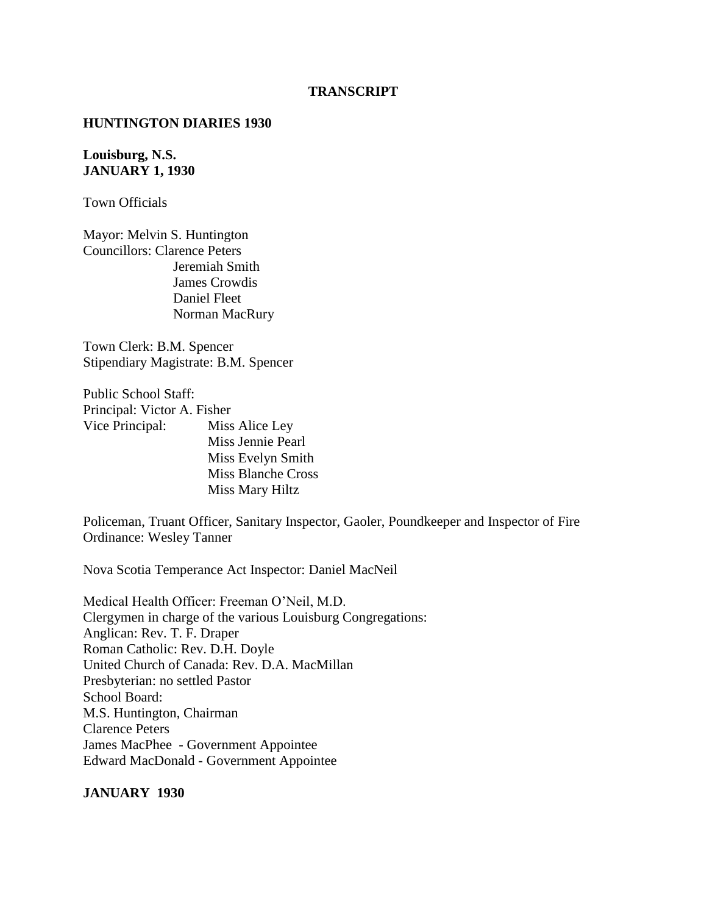#### **TRANSCRIPT**

#### **HUNTINGTON DIARIES 1930**

#### **Louisburg, N.S. JANUARY 1, 1930**

Town Officials

Mayor: Melvin S. Huntington Councillors: Clarence Peters Jeremiah Smith James Crowdis Daniel Fleet Norman MacRury

Town Clerk: B.M. Spencer Stipendiary Magistrate: B.M. Spencer

Public School Staff: Principal: Victor A. Fisher Vice Principal: Miss Alice Ley Miss Jennie Pearl Miss Evelyn Smith Miss Blanche Cross Miss Mary Hiltz

Policeman, Truant Officer, Sanitary Inspector, Gaoler, Poundkeeper and Inspector of Fire Ordinance: Wesley Tanner

Nova Scotia Temperance Act Inspector: Daniel MacNeil

Medical Health Officer: Freeman O'Neil, M.D. Clergymen in charge of the various Louisburg Congregations: Anglican: Rev. T. F. Draper Roman Catholic: Rev. D.H. Doyle United Church of Canada: Rev. D.A. MacMillan Presbyterian: no settled Pastor School Board: M.S. Huntington, Chairman Clarence Peters James MacPhee - Government Appointee Edward MacDonald - Government Appointee

#### **JANUARY 1930**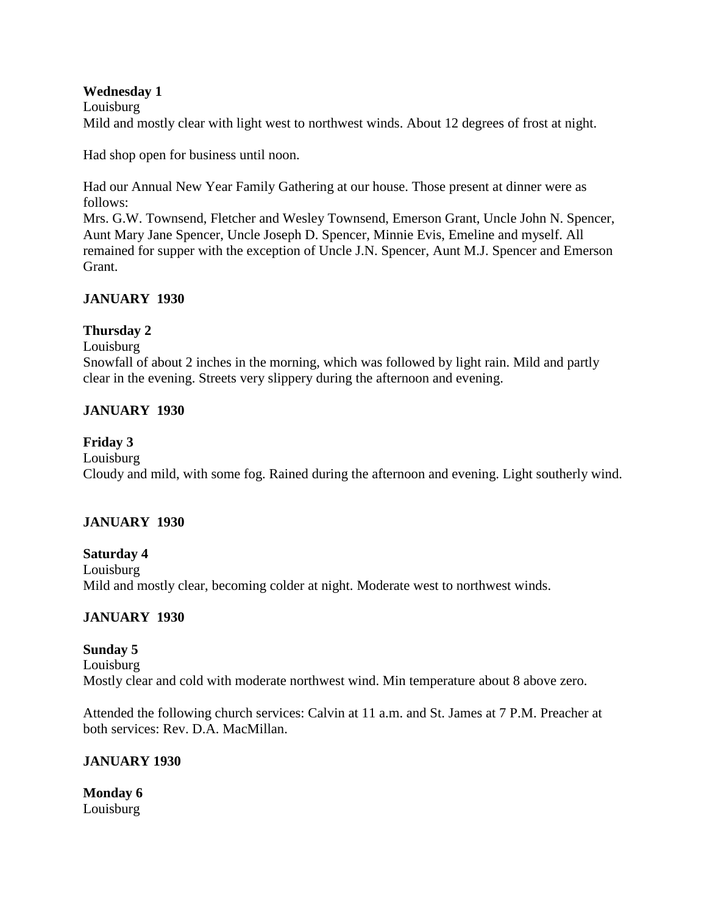### **Wednesday 1**

Louisburg

Mild and mostly clear with light west to northwest winds. About 12 degrees of frost at night.

Had shop open for business until noon.

Had our Annual New Year Family Gathering at our house. Those present at dinner were as follows:

Mrs. G.W. Townsend, Fletcher and Wesley Townsend, Emerson Grant, Uncle John N. Spencer, Aunt Mary Jane Spencer, Uncle Joseph D. Spencer, Minnie Evis, Emeline and myself. All remained for supper with the exception of Uncle J.N. Spencer, Aunt M.J. Spencer and Emerson Grant.

# **JANUARY 1930**

# **Thursday 2**

Louisburg

Snowfall of about 2 inches in the morning, which was followed by light rain. Mild and partly clear in the evening. Streets very slippery during the afternoon and evening.

# **JANUARY 1930**

## **Friday 3**

Louisburg Cloudy and mild, with some fog. Rained during the afternoon and evening. Light southerly wind.

# **JANUARY 1930**

## **Saturday 4**

Louisburg Mild and mostly clear, becoming colder at night. Moderate west to northwest winds.

## **JANUARY 1930**

# **Sunday 5**

Louisburg

Mostly clear and cold with moderate northwest wind. Min temperature about 8 above zero.

Attended the following church services: Calvin at 11 a.m. and St. James at 7 P.M. Preacher at both services: Rev. D.A. MacMillan.

## **JANUARY 1930**

**Monday 6** Louisburg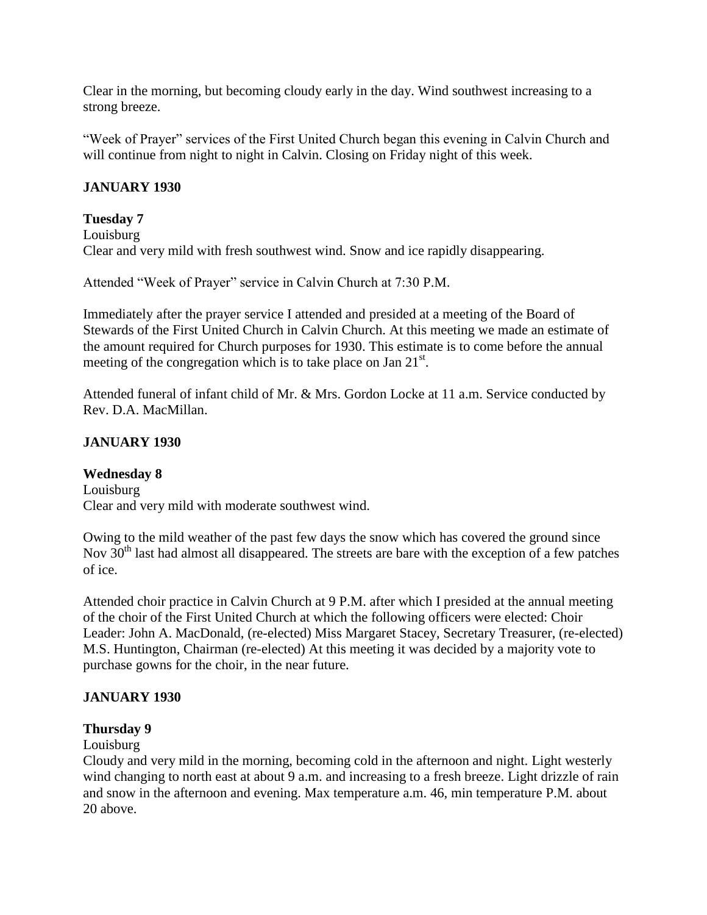Clear in the morning, but becoming cloudy early in the day. Wind southwest increasing to a strong breeze.

"Week of Prayer" services of the First United Church began this evening in Calvin Church and will continue from night to night in Calvin. Closing on Friday night of this week.

## **JANUARY 1930**

## **Tuesday 7**

Louisburg Clear and very mild with fresh southwest wind. Snow and ice rapidly disappearing.

Attended "Week of Prayer" service in Calvin Church at 7:30 P.M.

Immediately after the prayer service I attended and presided at a meeting of the Board of Stewards of the First United Church in Calvin Church. At this meeting we made an estimate of the amount required for Church purposes for 1930. This estimate is to come before the annual meeting of the congregation which is to take place on Jan  $21<sup>st</sup>$ .

Attended funeral of infant child of Mr. & Mrs. Gordon Locke at 11 a.m. Service conducted by Rev. D.A. MacMillan.

# **JANUARY 1930**

## **Wednesday 8**

Louisburg Clear and very mild with moderate southwest wind.

Owing to the mild weather of the past few days the snow which has covered the ground since Nov  $30<sup>th</sup>$  last had almost all disappeared. The streets are bare with the exception of a few patches of ice.

Attended choir practice in Calvin Church at 9 P.M. after which I presided at the annual meeting of the choir of the First United Church at which the following officers were elected: Choir Leader: John A. MacDonald, (re-elected) Miss Margaret Stacey, Secretary Treasurer, (re-elected) M.S. Huntington, Chairman (re-elected) At this meeting it was decided by a majority vote to purchase gowns for the choir, in the near future.

## **JANUARY 1930**

## **Thursday 9**

Louisburg

Cloudy and very mild in the morning, becoming cold in the afternoon and night. Light westerly wind changing to north east at about 9 a.m. and increasing to a fresh breeze. Light drizzle of rain and snow in the afternoon and evening. Max temperature a.m. 46, min temperature P.M. about 20 above.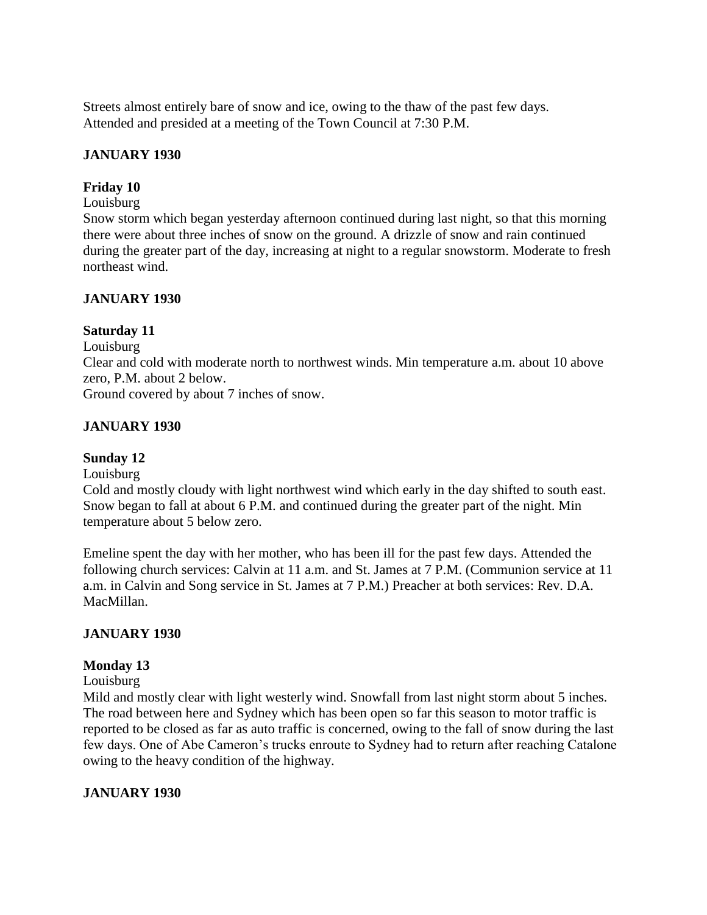Streets almost entirely bare of snow and ice, owing to the thaw of the past few days. Attended and presided at a meeting of the Town Council at 7:30 P.M.

## **JANUARY 1930**

#### **Friday 10**

#### Louisburg

Snow storm which began yesterday afternoon continued during last night, so that this morning there were about three inches of snow on the ground. A drizzle of snow and rain continued during the greater part of the day, increasing at night to a regular snowstorm. Moderate to fresh northeast wind.

#### **JANUARY 1930**

#### **Saturday 11**

Louisburg Clear and cold with moderate north to northwest winds. Min temperature a.m. about 10 above zero, P.M. about 2 below. Ground covered by about 7 inches of snow.

#### **JANUARY 1930**

# **Sunday 12**

Louisburg

Cold and mostly cloudy with light northwest wind which early in the day shifted to south east. Snow began to fall at about 6 P.M. and continued during the greater part of the night. Min temperature about 5 below zero.

Emeline spent the day with her mother, who has been ill for the past few days. Attended the following church services: Calvin at 11 a.m. and St. James at 7 P.M. (Communion service at 11 a.m. in Calvin and Song service in St. James at 7 P.M.) Preacher at both services: Rev. D.A. MacMillan.

#### **JANUARY 1930**

#### **Monday 13**

#### Louisburg

Mild and mostly clear with light westerly wind. Snowfall from last night storm about 5 inches. The road between here and Sydney which has been open so far this season to motor traffic is reported to be closed as far as auto traffic is concerned, owing to the fall of snow during the last few days. One of Abe Cameron's trucks enroute to Sydney had to return after reaching Catalone owing to the heavy condition of the highway.

## **JANUARY 1930**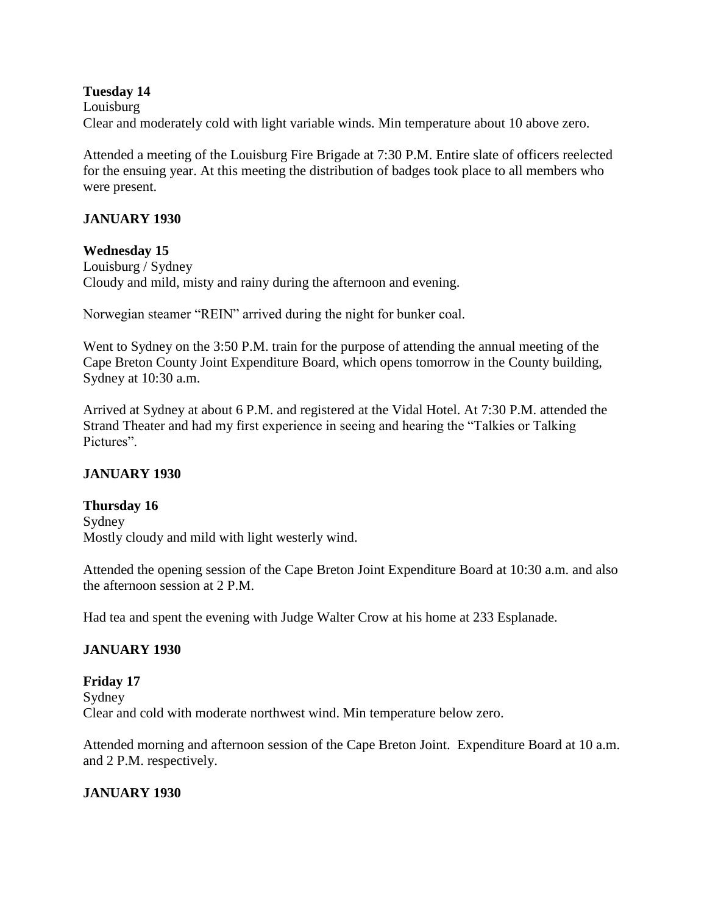#### **Tuesday 14**

Louisburg

Clear and moderately cold with light variable winds. Min temperature about 10 above zero.

Attended a meeting of the Louisburg Fire Brigade at 7:30 P.M. Entire slate of officers reelected for the ensuing year. At this meeting the distribution of badges took place to all members who were present.

#### **JANUARY 1930**

#### **Wednesday 15**

Louisburg / Sydney Cloudy and mild, misty and rainy during the afternoon and evening.

Norwegian steamer "REIN" arrived during the night for bunker coal.

Went to Sydney on the 3:50 P.M. train for the purpose of attending the annual meeting of the Cape Breton County Joint Expenditure Board, which opens tomorrow in the County building, Sydney at 10:30 a.m.

Arrived at Sydney at about 6 P.M. and registered at the Vidal Hotel. At 7:30 P.M. attended the Strand Theater and had my first experience in seeing and hearing the "Talkies or Talking Pictures".

#### **JANUARY 1930**

**Thursday 16** Sydney Mostly cloudy and mild with light westerly wind.

Attended the opening session of the Cape Breton Joint Expenditure Board at 10:30 a.m. and also the afternoon session at 2 P.M.

Had tea and spent the evening with Judge Walter Crow at his home at 233 Esplanade.

#### **JANUARY 1930**

**Friday 17** Sydney Clear and cold with moderate northwest wind. Min temperature below zero.

Attended morning and afternoon session of the Cape Breton Joint. Expenditure Board at 10 a.m. and 2 P.M. respectively.

#### **JANUARY 1930**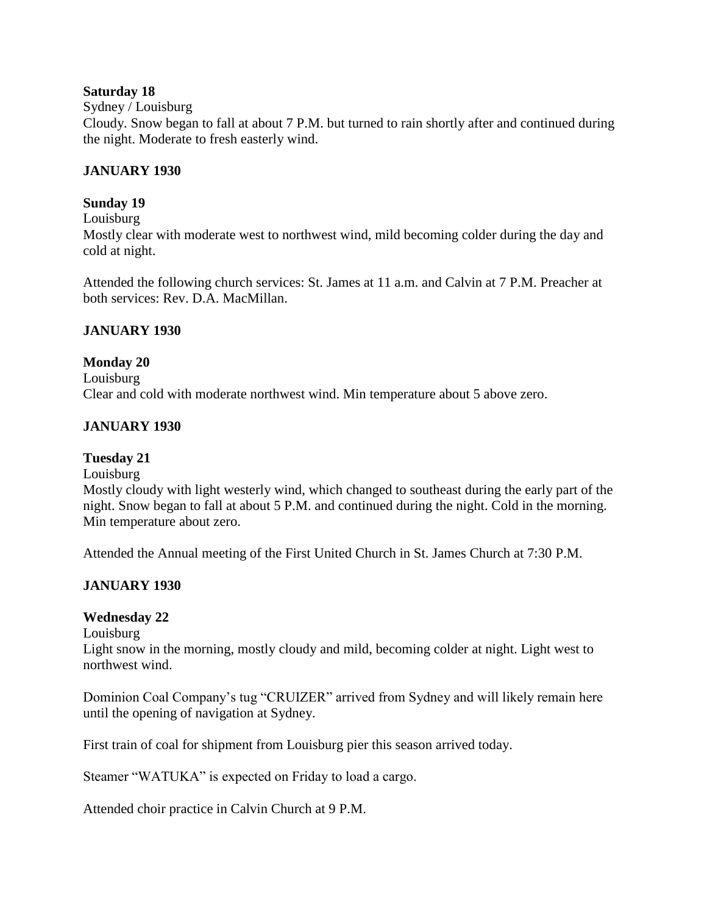#### **Saturday 18**

Sydney / Louisburg

Cloudy. Snow began to fall at about 7 P.M. but turned to rain shortly after and continued during the night. Moderate to fresh easterly wind.

### **JANUARY 1930**

### **Sunday 19**

Louisburg

Mostly clear with moderate west to northwest wind, mild becoming colder during the day and cold at night.

Attended the following church services: St. James at 11 a.m. and Calvin at 7 P.M. Preacher at both services: Rev. D.A. MacMillan.

#### **JANUARY 1930**

## **Monday 20**

Louisburg Clear and cold with moderate northwest wind. Min temperature about 5 above zero.

#### **JANUARY 1930**

## **Tuesday 21**

Louisburg

Mostly cloudy with light westerly wind, which changed to southeast during the early part of the night. Snow began to fall at about 5 P.M. and continued during the night. Cold in the morning. Min temperature about zero.

Attended the Annual meeting of the First United Church in St. James Church at 7:30 P.M.

## **JANUARY 1930**

## **Wednesday 22**

Louisburg

Light snow in the morning, mostly cloudy and mild, becoming colder at night. Light west to northwest wind.

Dominion Coal Company's tug "CRUIZER" arrived from Sydney and will likely remain here until the opening of navigation at Sydney.

First train of coal for shipment from Louisburg pier this season arrived today.

Steamer "WATUKA" is expected on Friday to load a cargo.

Attended choir practice in Calvin Church at 9 P.M.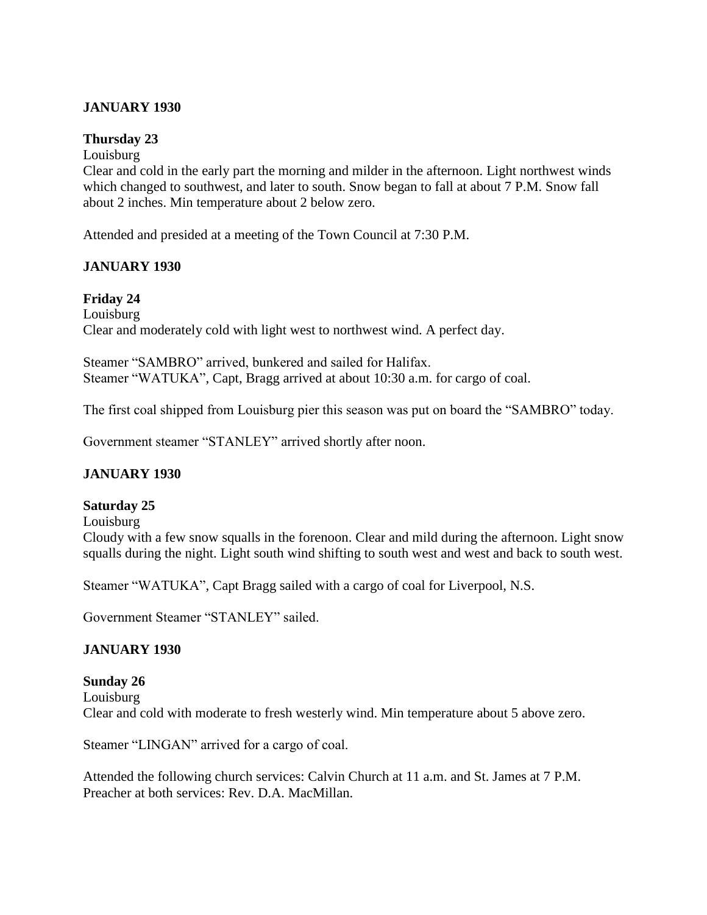## **JANUARY 1930**

#### **Thursday 23**

Louisburg

Clear and cold in the early part the morning and milder in the afternoon. Light northwest winds which changed to southwest, and later to south. Snow began to fall at about 7 P.M. Snow fall about 2 inches. Min temperature about 2 below zero.

Attended and presided at a meeting of the Town Council at 7:30 P.M.

## **JANUARY 1930**

#### **Friday 24**

Louisburg Clear and moderately cold with light west to northwest wind. A perfect day.

Steamer "SAMBRO" arrived, bunkered and sailed for Halifax. Steamer "WATUKA", Capt, Bragg arrived at about 10:30 a.m. for cargo of coal.

The first coal shipped from Louisburg pier this season was put on board the "SAMBRO" today.

Government steamer "STANLEY" arrived shortly after noon.

## **JANUARY 1930**

#### **Saturday 25**

Louisburg

Cloudy with a few snow squalls in the forenoon. Clear and mild during the afternoon. Light snow squalls during the night. Light south wind shifting to south west and west and back to south west.

Steamer "WATUKA", Capt Bragg sailed with a cargo of coal for Liverpool, N.S.

Government Steamer "STANLEY" sailed.

#### **JANUARY 1930**

#### **Sunday 26**

Louisburg Clear and cold with moderate to fresh westerly wind. Min temperature about 5 above zero.

Steamer "LINGAN" arrived for a cargo of coal.

Attended the following church services: Calvin Church at 11 a.m. and St. James at 7 P.M. Preacher at both services: Rev. D.A. MacMillan.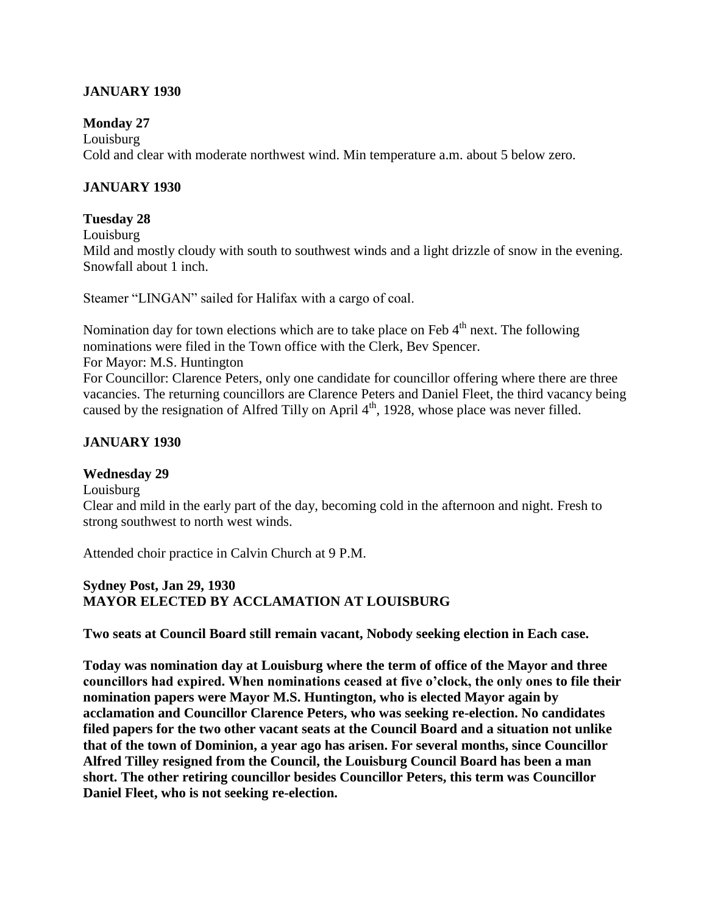## **JANUARY 1930**

#### **Monday 27**

Louisburg Cold and clear with moderate northwest wind. Min temperature a.m. about 5 below zero.

#### **JANUARY 1930**

#### **Tuesday 28**

Louisburg

Mild and mostly cloudy with south to southwest winds and a light drizzle of snow in the evening. Snowfall about 1 inch.

Steamer "LINGAN" sailed for Halifax with a cargo of coal.

Nomination day for town elections which are to take place on Feb  $4<sup>th</sup>$  next. The following nominations were filed in the Town office with the Clerk, Bev Spencer. For Mayor: M.S. Huntington For Councillor: Clarence Peters, only one candidate for councillor offering where there are three vacancies. The returning councillors are Clarence Peters and Daniel Fleet, the third vacancy being caused by the resignation of Alfred Tilly on April  $4<sup>th</sup>$ , 1928, whose place was never filled.

#### **JANUARY 1930**

#### **Wednesday 29**

Louisburg

Clear and mild in the early part of the day, becoming cold in the afternoon and night. Fresh to strong southwest to north west winds.

Attended choir practice in Calvin Church at 9 P.M.

#### **Sydney Post, Jan 29, 1930 MAYOR ELECTED BY ACCLAMATION AT LOUISBURG**

**Two seats at Council Board still remain vacant, Nobody seeking election in Each case.**

**Today was nomination day at Louisburg where the term of office of the Mayor and three councillors had expired. When nominations ceased at five o'clock, the only ones to file their nomination papers were Mayor M.S. Huntington, who is elected Mayor again by acclamation and Councillor Clarence Peters, who was seeking re-election. No candidates filed papers for the two other vacant seats at the Council Board and a situation not unlike that of the town of Dominion, a year ago has arisen. For several months, since Councillor Alfred Tilley resigned from the Council, the Louisburg Council Board has been a man short. The other retiring councillor besides Councillor Peters, this term was Councillor Daniel Fleet, who is not seeking re-election.**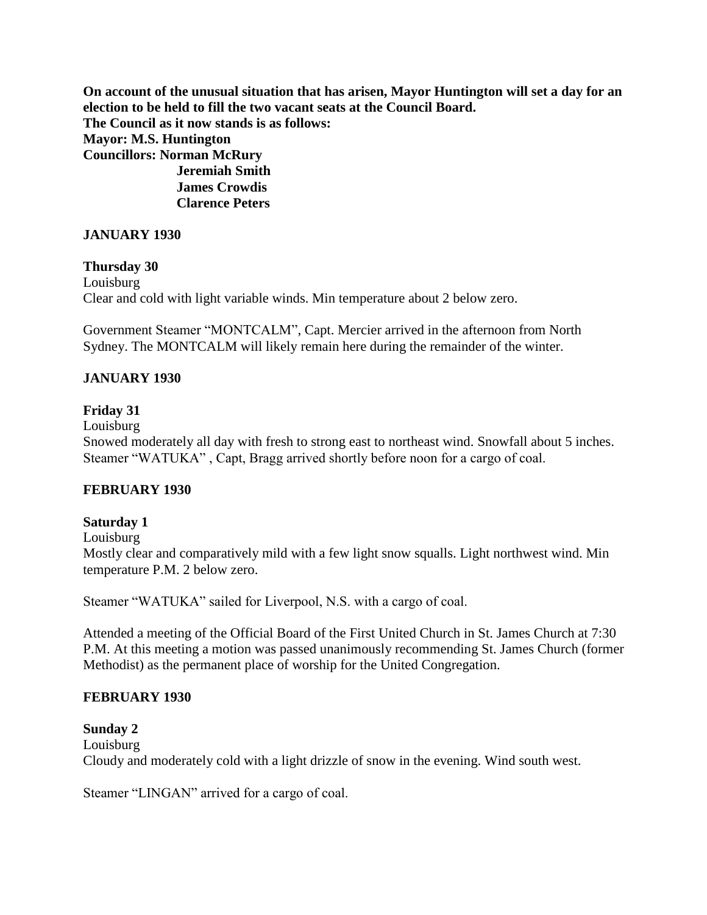**On account of the unusual situation that has arisen, Mayor Huntington will set a day for an election to be held to fill the two vacant seats at the Council Board. The Council as it now stands is as follows: Mayor: M.S. Huntington Councillors: Norman McRury Jeremiah Smith James Crowdis Clarence Peters**

#### **JANUARY 1930**

#### **Thursday 30**

Louisburg Clear and cold with light variable winds. Min temperature about 2 below zero.

Government Steamer "MONTCALM", Capt. Mercier arrived in the afternoon from North Sydney. The MONTCALM will likely remain here during the remainder of the winter.

#### **JANUARY 1930**

#### **Friday 31**

Louisburg

Snowed moderately all day with fresh to strong east to northeast wind. Snowfall about 5 inches. Steamer "WATUKA" , Capt, Bragg arrived shortly before noon for a cargo of coal.

#### **FEBRUARY 1930**

#### **Saturday 1**

Louisburg

Mostly clear and comparatively mild with a few light snow squalls. Light northwest wind. Min temperature P.M. 2 below zero.

Steamer "WATUKA" sailed for Liverpool, N.S. with a cargo of coal.

Attended a meeting of the Official Board of the First United Church in St. James Church at 7:30 P.M. At this meeting a motion was passed unanimously recommending St. James Church (former Methodist) as the permanent place of worship for the United Congregation.

#### **FEBRUARY 1930**

#### **Sunday 2**

Louisburg Cloudy and moderately cold with a light drizzle of snow in the evening. Wind south west.

Steamer "LINGAN" arrived for a cargo of coal.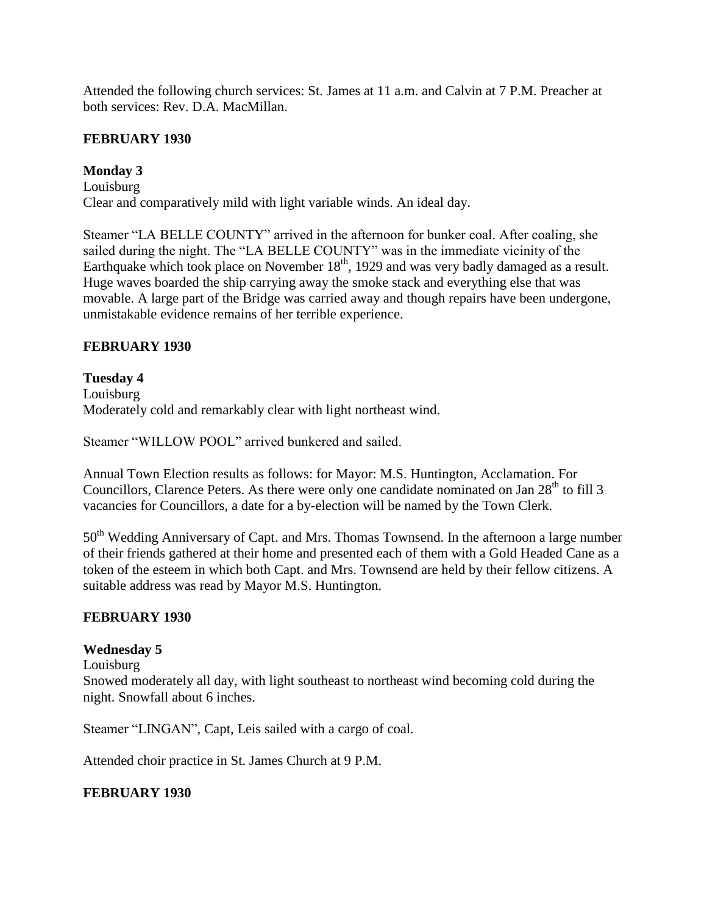Attended the following church services: St. James at 11 a.m. and Calvin at 7 P.M. Preacher at both services: Rev. D.A. MacMillan.

### **FEBRUARY 1930**

# **Monday 3**

Louisburg

Clear and comparatively mild with light variable winds. An ideal day.

Steamer "LA BELLE COUNTY" arrived in the afternoon for bunker coal. After coaling, she sailed during the night. The "LA BELLE COUNTY" was in the immediate vicinity of the Earthquake which took place on November  $18<sup>th</sup>$ , 1929 and was very badly damaged as a result. Huge waves boarded the ship carrying away the smoke stack and everything else that was movable. A large part of the Bridge was carried away and though repairs have been undergone, unmistakable evidence remains of her terrible experience.

## **FEBRUARY 1930**

**Tuesday 4** Louisburg Moderately cold and remarkably clear with light northeast wind.

Steamer "WILLOW POOL" arrived bunkered and sailed.

Annual Town Election results as follows: for Mayor: M.S. Huntington, Acclamation. For Councillors, Clarence Peters. As there were only one candidate nominated on Jan  $28<sup>th</sup>$  to fill 3 vacancies for Councillors, a date for a by-election will be named by the Town Clerk.

50<sup>th</sup> Wedding Anniversary of Capt. and Mrs. Thomas Townsend. In the afternoon a large number of their friends gathered at their home and presented each of them with a Gold Headed Cane as a token of the esteem in which both Capt. and Mrs. Townsend are held by their fellow citizens. A suitable address was read by Mayor M.S. Huntington.

## **FEBRUARY 1930**

# **Wednesday 5**

Louisburg

Snowed moderately all day, with light southeast to northeast wind becoming cold during the night. Snowfall about 6 inches.

Steamer "LINGAN", Capt, Leis sailed with a cargo of coal.

Attended choir practice in St. James Church at 9 P.M.

## **FEBRUARY 1930**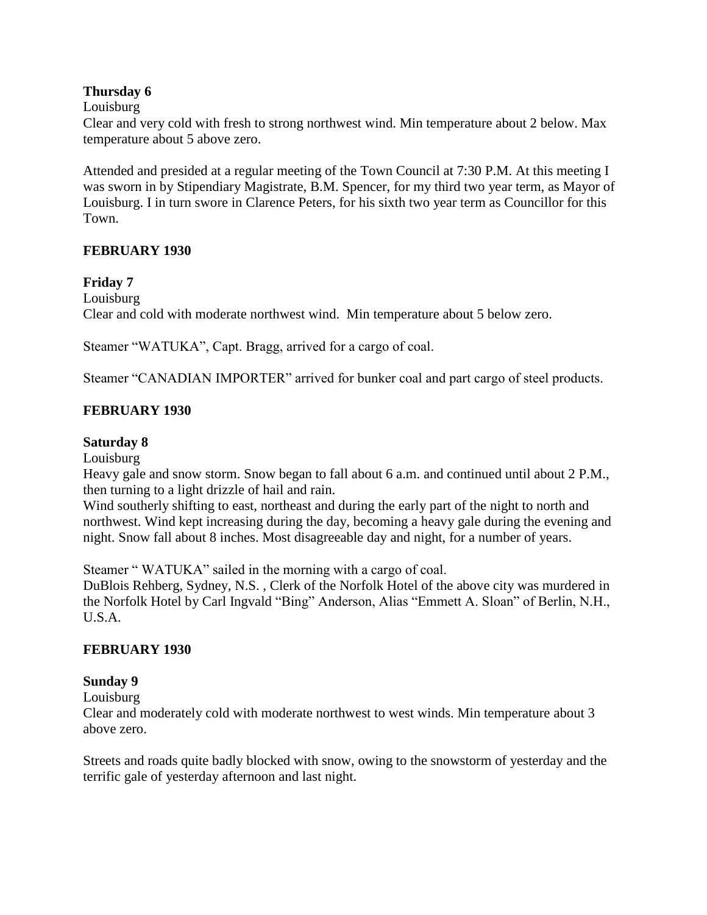### **Thursday 6**

#### Louisburg

Clear and very cold with fresh to strong northwest wind. Min temperature about 2 below. Max temperature about 5 above zero.

Attended and presided at a regular meeting of the Town Council at 7:30 P.M. At this meeting I was sworn in by Stipendiary Magistrate, B.M. Spencer, for my third two year term, as Mayor of Louisburg. I in turn swore in Clarence Peters, for his sixth two year term as Councillor for this Town.

#### **FEBRUARY 1930**

#### **Friday 7**

Louisburg

Clear and cold with moderate northwest wind. Min temperature about 5 below zero.

Steamer "WATUKA", Capt. Bragg, arrived for a cargo of coal.

Steamer "CANADIAN IMPORTER" arrived for bunker coal and part cargo of steel products.

#### **FEBRUARY 1930**

#### **Saturday 8**

Louisburg

Heavy gale and snow storm. Snow began to fall about 6 a.m. and continued until about 2 P.M., then turning to a light drizzle of hail and rain.

Wind southerly shifting to east, northeast and during the early part of the night to north and northwest. Wind kept increasing during the day, becoming a heavy gale during the evening and night. Snow fall about 8 inches. Most disagreeable day and night, for a number of years.

Steamer " WATUKA" sailed in the morning with a cargo of coal.

DuBlois Rehberg, Sydney, N.S. , Clerk of the Norfolk Hotel of the above city was murdered in the Norfolk Hotel by Carl Ingvald "Bing" Anderson, Alias "Emmett A. Sloan" of Berlin, N.H., U.S.A.

#### **FEBRUARY 1930**

#### **Sunday 9**

Louisburg

Clear and moderately cold with moderate northwest to west winds. Min temperature about 3 above zero.

Streets and roads quite badly blocked with snow, owing to the snowstorm of yesterday and the terrific gale of yesterday afternoon and last night.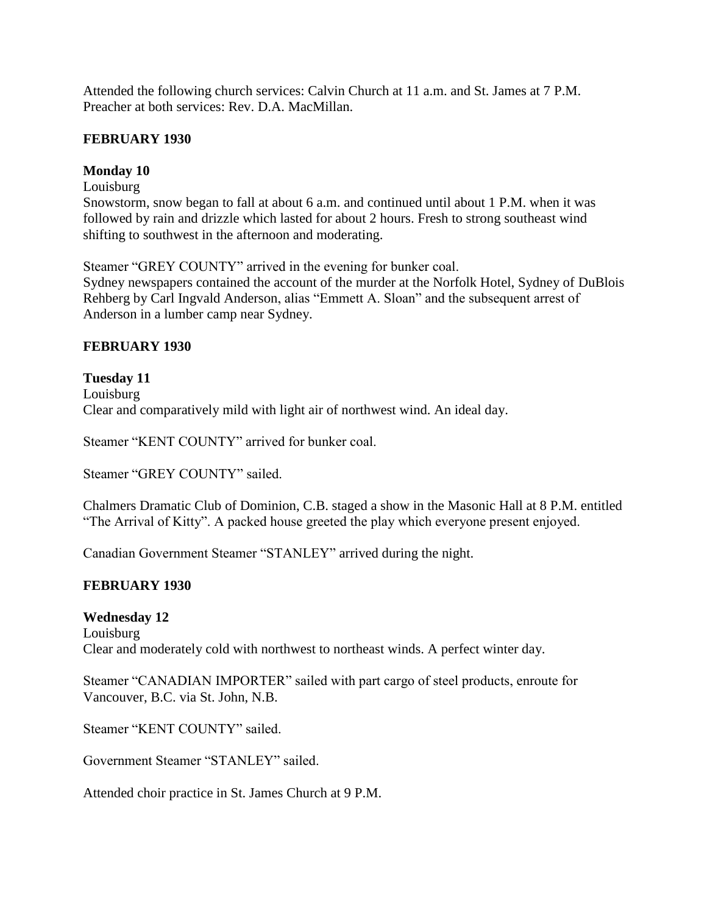Attended the following church services: Calvin Church at 11 a.m. and St. James at 7 P.M. Preacher at both services: Rev. D.A. MacMillan.

### **FEBRUARY 1930**

## **Monday 10**

### Louisburg

Snowstorm, snow began to fall at about 6 a.m. and continued until about 1 P.M. when it was followed by rain and drizzle which lasted for about 2 hours. Fresh to strong southeast wind shifting to southwest in the afternoon and moderating.

Steamer "GREY COUNTY" arrived in the evening for bunker coal.

Sydney newspapers contained the account of the murder at the Norfolk Hotel, Sydney of DuBlois Rehberg by Carl Ingvald Anderson, alias "Emmett A. Sloan" and the subsequent arrest of Anderson in a lumber camp near Sydney.

## **FEBRUARY 1930**

**Tuesday 11** Louisburg Clear and comparatively mild with light air of northwest wind. An ideal day.

Steamer "KENT COUNTY" arrived for bunker coal.

Steamer "GREY COUNTY" sailed.

Chalmers Dramatic Club of Dominion, C.B. staged a show in the Masonic Hall at 8 P.M. entitled "The Arrival of Kitty". A packed house greeted the play which everyone present enjoyed.

Canadian Government Steamer "STANLEY" arrived during the night.

## **FEBRUARY 1930**

#### **Wednesday 12**

Louisburg Clear and moderately cold with northwest to northeast winds. A perfect winter day.

Steamer "CANADIAN IMPORTER" sailed with part cargo of steel products, enroute for Vancouver, B.C. via St. John, N.B.

Steamer "KENT COUNTY" sailed.

Government Steamer "STANLEY" sailed.

Attended choir practice in St. James Church at 9 P.M.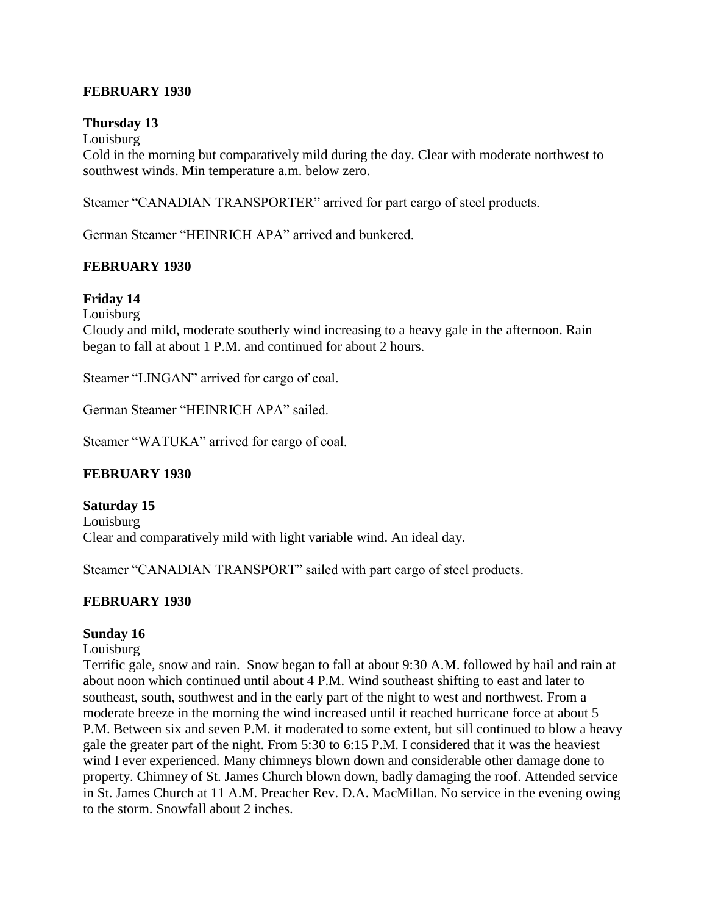### **FEBRUARY 1930**

#### **Thursday 13**

Louisburg

Cold in the morning but comparatively mild during the day. Clear with moderate northwest to southwest winds. Min temperature a.m. below zero.

Steamer "CANADIAN TRANSPORTER" arrived for part cargo of steel products.

German Steamer "HEINRICH APA" arrived and bunkered.

#### **FEBRUARY 1930**

#### **Friday 14**

Louisburg

Cloudy and mild, moderate southerly wind increasing to a heavy gale in the afternoon. Rain began to fall at about 1 P.M. and continued for about 2 hours.

Steamer "LINGAN" arrived for cargo of coal.

German Steamer "HEINRICH APA" sailed.

Steamer "WATUKA" arrived for cargo of coal.

#### **FEBRUARY 1930**

**Saturday 15** Louisburg Clear and comparatively mild with light variable wind. An ideal day.

Steamer "CANADIAN TRANSPORT" sailed with part cargo of steel products.

#### **FEBRUARY 1930**

#### **Sunday 16**

Louisburg

Terrific gale, snow and rain. Snow began to fall at about 9:30 A.M. followed by hail and rain at about noon which continued until about 4 P.M. Wind southeast shifting to east and later to southeast, south, southwest and in the early part of the night to west and northwest. From a moderate breeze in the morning the wind increased until it reached hurricane force at about 5 P.M. Between six and seven P.M. it moderated to some extent, but sill continued to blow a heavy gale the greater part of the night. From 5:30 to 6:15 P.M. I considered that it was the heaviest wind I ever experienced. Many chimneys blown down and considerable other damage done to property. Chimney of St. James Church blown down, badly damaging the roof. Attended service in St. James Church at 11 A.M. Preacher Rev. D.A. MacMillan. No service in the evening owing to the storm. Snowfall about 2 inches.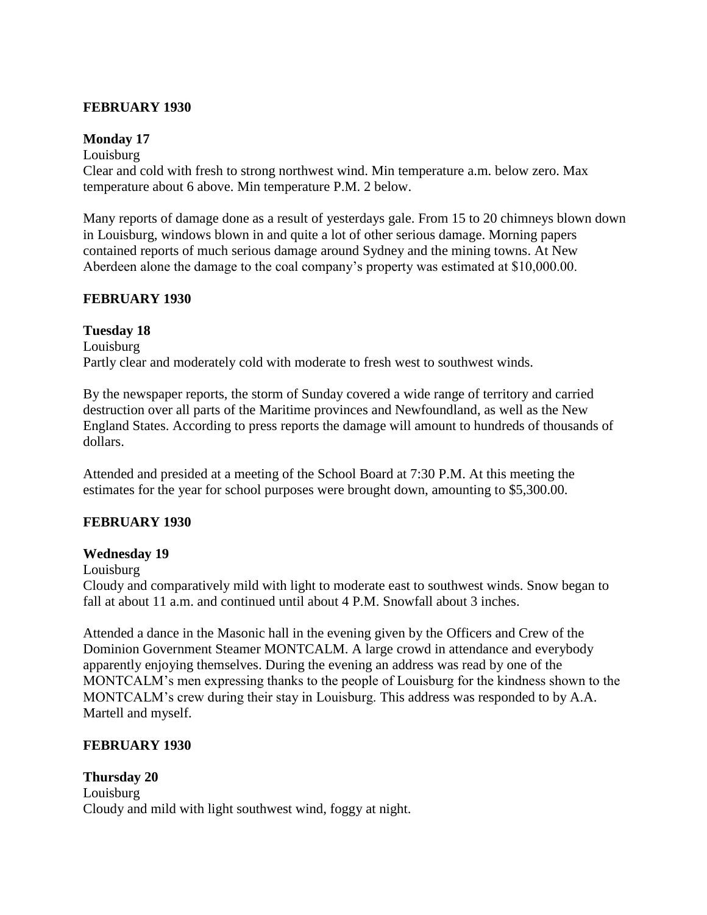#### **FEBRUARY 1930**

#### **Monday 17**

Louisburg Clear and cold with fresh to strong northwest wind. Min temperature a.m. below zero. Max temperature about 6 above. Min temperature P.M. 2 below.

Many reports of damage done as a result of yesterdays gale. From 15 to 20 chimneys blown down in Louisburg, windows blown in and quite a lot of other serious damage. Morning papers contained reports of much serious damage around Sydney and the mining towns. At New Aberdeen alone the damage to the coal company's property was estimated at \$10,000.00.

## **FEBRUARY 1930**

#### **Tuesday 18**

Louisburg Partly clear and moderately cold with moderate to fresh west to southwest winds.

By the newspaper reports, the storm of Sunday covered a wide range of territory and carried destruction over all parts of the Maritime provinces and Newfoundland, as well as the New England States. According to press reports the damage will amount to hundreds of thousands of dollars.

Attended and presided at a meeting of the School Board at 7:30 P.M. At this meeting the estimates for the year for school purposes were brought down, amounting to \$5,300.00.

## **FEBRUARY 1930**

## **Wednesday 19**

#### Louisburg

Cloudy and comparatively mild with light to moderate east to southwest winds. Snow began to fall at about 11 a.m. and continued until about  $4 \text{ P.M.}$  Snowfall about 3 inches.

Attended a dance in the Masonic hall in the evening given by the Officers and Crew of the Dominion Government Steamer MONTCALM. A large crowd in attendance and everybody apparently enjoying themselves. During the evening an address was read by one of the MONTCALM's men expressing thanks to the people of Louisburg for the kindness shown to the MONTCALM's crew during their stay in Louisburg. This address was responded to by A.A. Martell and myself.

## **FEBRUARY 1930**

**Thursday 20** Louisburg Cloudy and mild with light southwest wind, foggy at night.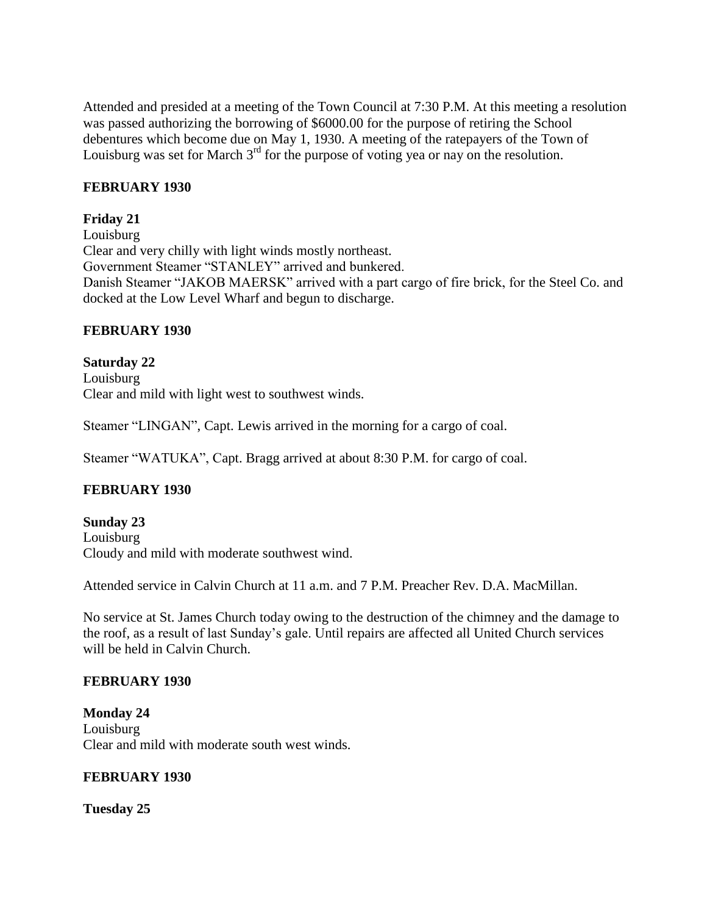Attended and presided at a meeting of the Town Council at 7:30 P.M. At this meeting a resolution was passed authorizing the borrowing of \$6000.00 for the purpose of retiring the School debentures which become due on May 1, 1930. A meeting of the ratepayers of the Town of Louisburg was set for March  $3<sup>rd</sup>$  for the purpose of voting yea or nay on the resolution.

### **FEBRUARY 1930**

### **Friday 21**

Louisburg Clear and very chilly with light winds mostly northeast. Government Steamer "STANLEY" arrived and bunkered. Danish Steamer "JAKOB MAERSK" arrived with a part cargo of fire brick, for the Steel Co. and docked at the Low Level Wharf and begun to discharge.

#### **FEBRUARY 1930**

#### **Saturday 22**

Louisburg Clear and mild with light west to southwest winds.

Steamer "LINGAN", Capt. Lewis arrived in the morning for a cargo of coal.

Steamer "WATUKA", Capt. Bragg arrived at about 8:30 P.M. for cargo of coal.

## **FEBRUARY 1930**

**Sunday 23** Louisburg Cloudy and mild with moderate southwest wind.

Attended service in Calvin Church at 11 a.m. and 7 P.M. Preacher Rev. D.A. MacMillan.

No service at St. James Church today owing to the destruction of the chimney and the damage to the roof, as a result of last Sunday's gale. Until repairs are affected all United Church services will be held in Calvin Church.

#### **FEBRUARY 1930**

**Monday 24** Louisburg Clear and mild with moderate south west winds.

#### **FEBRUARY 1930**

**Tuesday 25**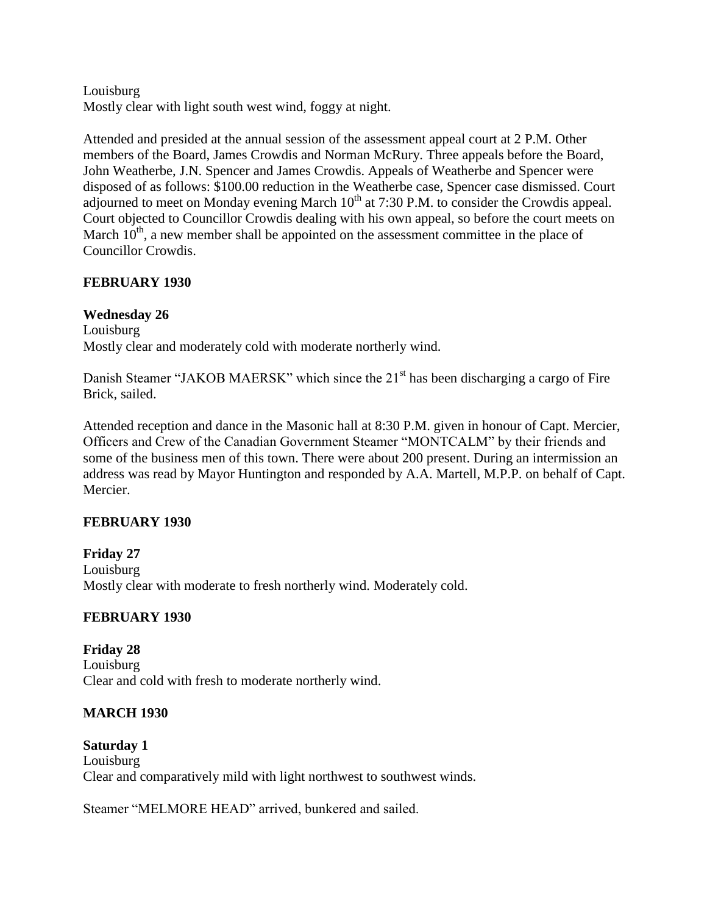Louisburg Mostly clear with light south west wind, foggy at night.

Attended and presided at the annual session of the assessment appeal court at 2 P.M. Other members of the Board, James Crowdis and Norman McRury. Three appeals before the Board, John Weatherbe, J.N. Spencer and James Crowdis. Appeals of Weatherbe and Spencer were disposed of as follows: \$100.00 reduction in the Weatherbe case, Spencer case dismissed. Court adjourned to meet on Monday evening March  $10<sup>th</sup>$  at 7:30 P.M. to consider the Crowdis appeal. Court objected to Councillor Crowdis dealing with his own appeal, so before the court meets on March  $10^{th}$ , a new member shall be appointed on the assessment committee in the place of Councillor Crowdis.

# **FEBRUARY 1930**

# **Wednesday 26**

Louisburg Mostly clear and moderately cold with moderate northerly wind.

Danish Steamer "JAKOB MAERSK" which since the 21<sup>st</sup> has been discharging a cargo of Fire Brick, sailed.

Attended reception and dance in the Masonic hall at 8:30 P.M. given in honour of Capt. Mercier, Officers and Crew of the Canadian Government Steamer "MONTCALM" by their friends and some of the business men of this town. There were about 200 present. During an intermission an address was read by Mayor Huntington and responded by A.A. Martell, M.P.P. on behalf of Capt. Mercier.

# **FEBRUARY 1930**

**Friday 27** Louisburg Mostly clear with moderate to fresh northerly wind. Moderately cold.

# **FEBRUARY 1930**

**Friday 28** Louisburg Clear and cold with fresh to moderate northerly wind.

# **MARCH 1930**

**Saturday 1** Louisburg Clear and comparatively mild with light northwest to southwest winds.

Steamer "MELMORE HEAD" arrived, bunkered and sailed.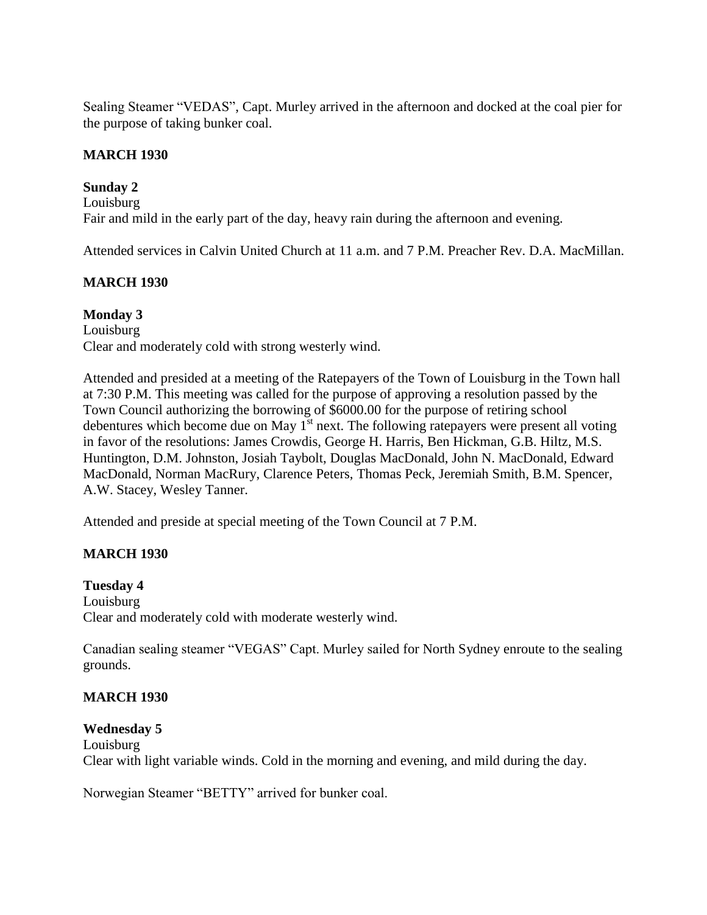Sealing Steamer "VEDAS", Capt. Murley arrived in the afternoon and docked at the coal pier for the purpose of taking bunker coal.

## **MARCH 1930**

# **Sunday 2**

Louisburg Fair and mild in the early part of the day, heavy rain during the afternoon and evening.

Attended services in Calvin United Church at 11 a.m. and 7 P.M. Preacher Rev. D.A. MacMillan.

## **MARCH 1930**

## **Monday 3**

Louisburg Clear and moderately cold with strong westerly wind.

Attended and presided at a meeting of the Ratepayers of the Town of Louisburg in the Town hall at 7:30 P.M. This meeting was called for the purpose of approving a resolution passed by the Town Council authorizing the borrowing of \$6000.00 for the purpose of retiring school debentures which become due on May  $1<sup>st</sup>$  next. The following ratepayers were present all voting in favor of the resolutions: James Crowdis, George H. Harris, Ben Hickman, G.B. Hiltz, M.S. Huntington, D.M. Johnston, Josiah Taybolt, Douglas MacDonald, John N. MacDonald, Edward MacDonald, Norman MacRury, Clarence Peters, Thomas Peck, Jeremiah Smith, B.M. Spencer, A.W. Stacey, Wesley Tanner.

Attended and preside at special meeting of the Town Council at 7 P.M.

## **MARCH 1930**

## **Tuesday 4**

Louisburg Clear and moderately cold with moderate westerly wind.

Canadian sealing steamer "VEGAS" Capt. Murley sailed for North Sydney enroute to the sealing grounds.

## **MARCH 1930**

## **Wednesday 5**

Louisburg Clear with light variable winds. Cold in the morning and evening, and mild during the day.

Norwegian Steamer "BETTY" arrived for bunker coal.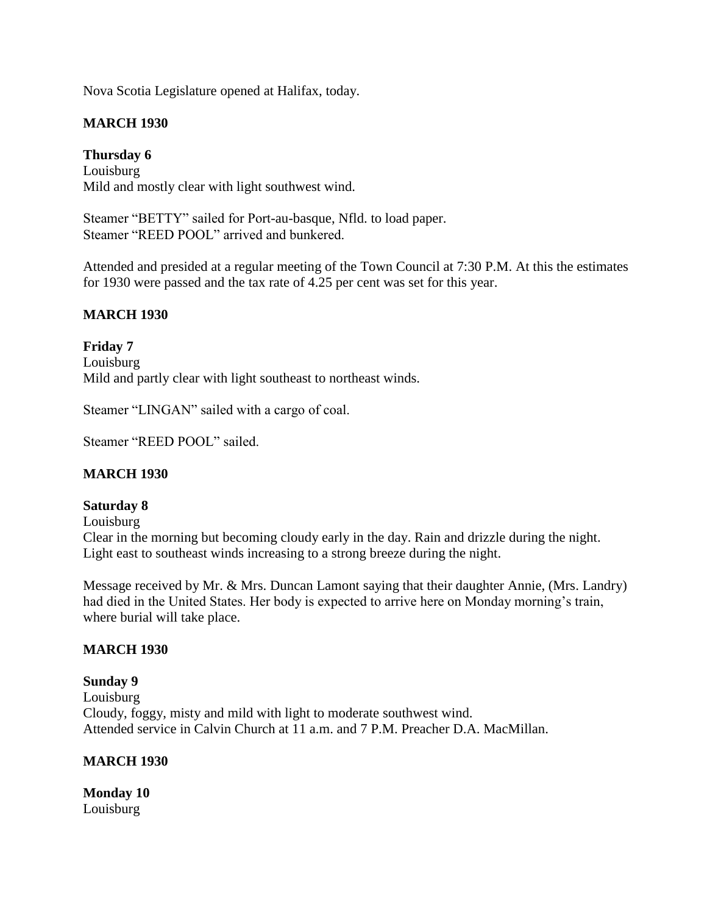Nova Scotia Legislature opened at Halifax, today.

## **MARCH 1930**

# **Thursday 6**

Louisburg Mild and mostly clear with light southwest wind.

Steamer "BETTY" sailed for Port-au-basque, Nfld. to load paper. Steamer "REED POOL" arrived and bunkered.

Attended and presided at a regular meeting of the Town Council at 7:30 P.M. At this the estimates for 1930 were passed and the tax rate of 4.25 per cent was set for this year.

## **MARCH 1930**

**Friday 7** Louisburg Mild and partly clear with light southeast to northeast winds.

Steamer "LINGAN" sailed with a cargo of coal.

Steamer "REED POOL" sailed.

## **MARCH 1930**

#### **Saturday 8**

Louisburg

Clear in the morning but becoming cloudy early in the day. Rain and drizzle during the night. Light east to southeast winds increasing to a strong breeze during the night.

Message received by Mr. & Mrs. Duncan Lamont saying that their daughter Annie, (Mrs. Landry) had died in the United States. Her body is expected to arrive here on Monday morning's train, where burial will take place.

#### **MARCH 1930**

#### **Sunday 9**

Louisburg Cloudy, foggy, misty and mild with light to moderate southwest wind. Attended service in Calvin Church at 11 a.m. and 7 P.M. Preacher D.A. MacMillan.

#### **MARCH 1930**

**Monday 10** Louisburg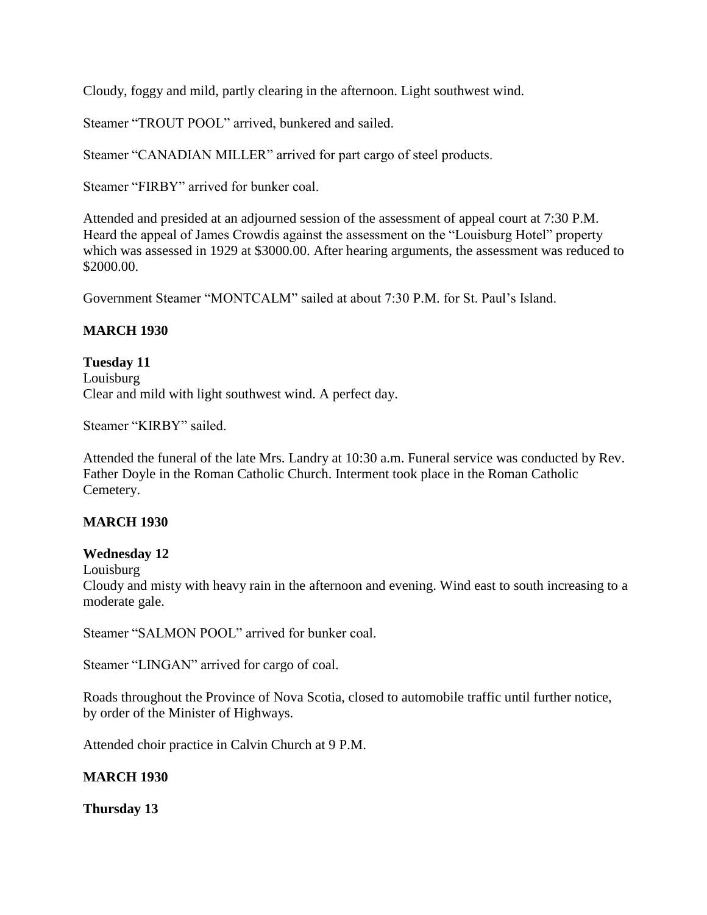Cloudy, foggy and mild, partly clearing in the afternoon. Light southwest wind.

Steamer "TROUT POOL" arrived, bunkered and sailed.

Steamer "CANADIAN MILLER" arrived for part cargo of steel products.

Steamer "FIRBY" arrived for bunker coal.

Attended and presided at an adjourned session of the assessment of appeal court at 7:30 P.M. Heard the appeal of James Crowdis against the assessment on the "Louisburg Hotel" property which was assessed in 1929 at \$3000.00. After hearing arguments, the assessment was reduced to \$2000.00.

Government Steamer "MONTCALM" sailed at about 7:30 P.M. for St. Paul's Island.

#### **MARCH 1930**

#### **Tuesday 11**

Louisburg Clear and mild with light southwest wind. A perfect day.

Steamer "KIRBY" sailed.

Attended the funeral of the late Mrs. Landry at 10:30 a.m. Funeral service was conducted by Rev. Father Doyle in the Roman Catholic Church. Interment took place in the Roman Catholic Cemetery.

#### **MARCH 1930**

#### **Wednesday 12**

Louisburg

Cloudy and misty with heavy rain in the afternoon and evening. Wind east to south increasing to a moderate gale.

Steamer "SALMON POOL" arrived for bunker coal.

Steamer "LINGAN" arrived for cargo of coal.

Roads throughout the Province of Nova Scotia, closed to automobile traffic until further notice, by order of the Minister of Highways.

Attended choir practice in Calvin Church at 9 P.M.

#### **MARCH 1930**

**Thursday 13**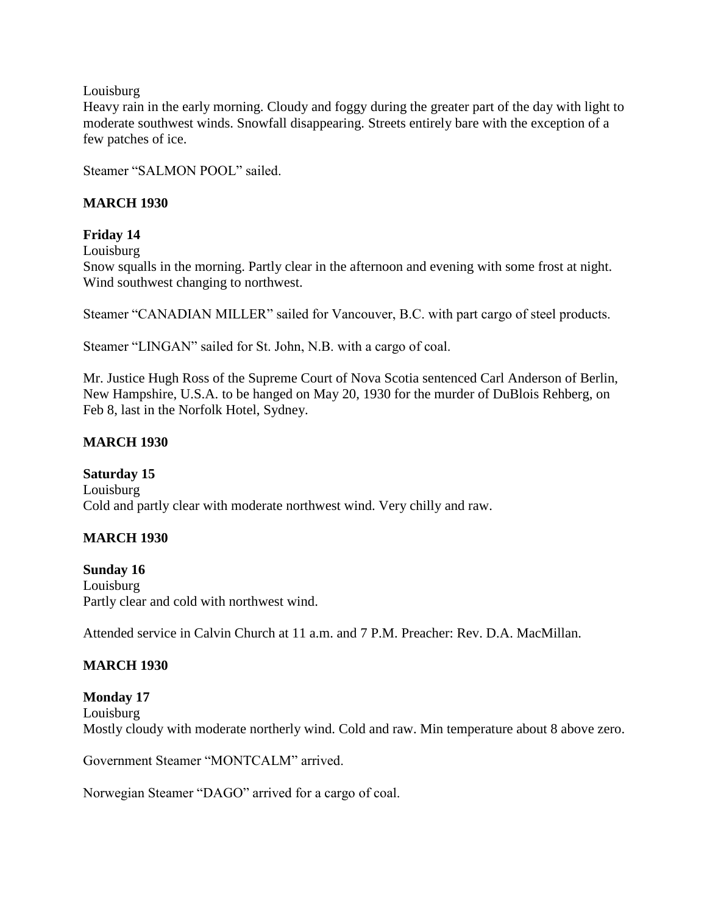#### Louisburg

Heavy rain in the early morning. Cloudy and foggy during the greater part of the day with light to moderate southwest winds. Snowfall disappearing. Streets entirely bare with the exception of a few patches of ice.

Steamer "SALMON POOL" sailed.

## **MARCH 1930**

## **Friday 14**

Louisburg

Snow squalls in the morning. Partly clear in the afternoon and evening with some frost at night. Wind southwest changing to northwest.

Steamer "CANADIAN MILLER" sailed for Vancouver, B.C. with part cargo of steel products.

Steamer "LINGAN" sailed for St. John, N.B. with a cargo of coal.

Mr. Justice Hugh Ross of the Supreme Court of Nova Scotia sentenced Carl Anderson of Berlin, New Hampshire, U.S.A. to be hanged on May 20, 1930 for the murder of DuBlois Rehberg, on Feb 8, last in the Norfolk Hotel, Sydney.

## **MARCH 1930**

## **Saturday 15**

Louisburg Cold and partly clear with moderate northwest wind. Very chilly and raw.

## **MARCH 1930**

**Sunday 16** Louisburg Partly clear and cold with northwest wind.

Attended service in Calvin Church at 11 a.m. and 7 P.M. Preacher: Rev. D.A. MacMillan.

## **MARCH 1930**

## **Monday 17**

Louisburg Mostly cloudy with moderate northerly wind. Cold and raw. Min temperature about 8 above zero.

Government Steamer "MONTCALM" arrived.

Norwegian Steamer "DAGO" arrived for a cargo of coal.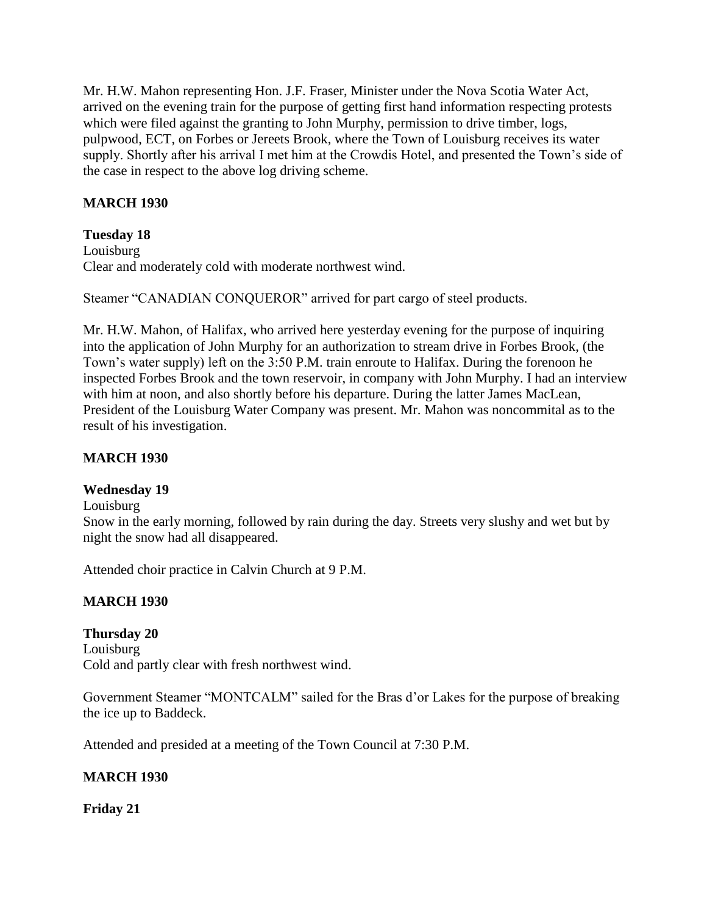Mr. H.W. Mahon representing Hon. J.F. Fraser, Minister under the Nova Scotia Water Act, arrived on the evening train for the purpose of getting first hand information respecting protests which were filed against the granting to John Murphy, permission to drive timber, logs, pulpwood, ECT, on Forbes or Jereets Brook, where the Town of Louisburg receives its water supply. Shortly after his arrival I met him at the Crowdis Hotel, and presented the Town's side of the case in respect to the above log driving scheme.

# **MARCH 1930**

## **Tuesday 18**

Louisburg Clear and moderately cold with moderate northwest wind.

Steamer "CANADIAN CONQUEROR" arrived for part cargo of steel products.

Mr. H.W. Mahon, of Halifax, who arrived here yesterday evening for the purpose of inquiring into the application of John Murphy for an authorization to stream drive in Forbes Brook, (the Town's water supply) left on the 3:50 P.M. train enroute to Halifax. During the forenoon he inspected Forbes Brook and the town reservoir, in company with John Murphy. I had an interview with him at noon, and also shortly before his departure. During the latter James MacLean, President of the Louisburg Water Company was present. Mr. Mahon was noncommital as to the result of his investigation.

## **MARCH 1930**

## **Wednesday 19**

Louisburg

Snow in the early morning, followed by rain during the day. Streets very slushy and wet but by night the snow had all disappeared.

Attended choir practice in Calvin Church at 9 P.M.

## **MARCH 1930**

**Thursday 20** Louisburg Cold and partly clear with fresh northwest wind.

Government Steamer "MONTCALM" sailed for the Bras d'or Lakes for the purpose of breaking the ice up to Baddeck.

Attended and presided at a meeting of the Town Council at 7:30 P.M.

## **MARCH 1930**

**Friday 21**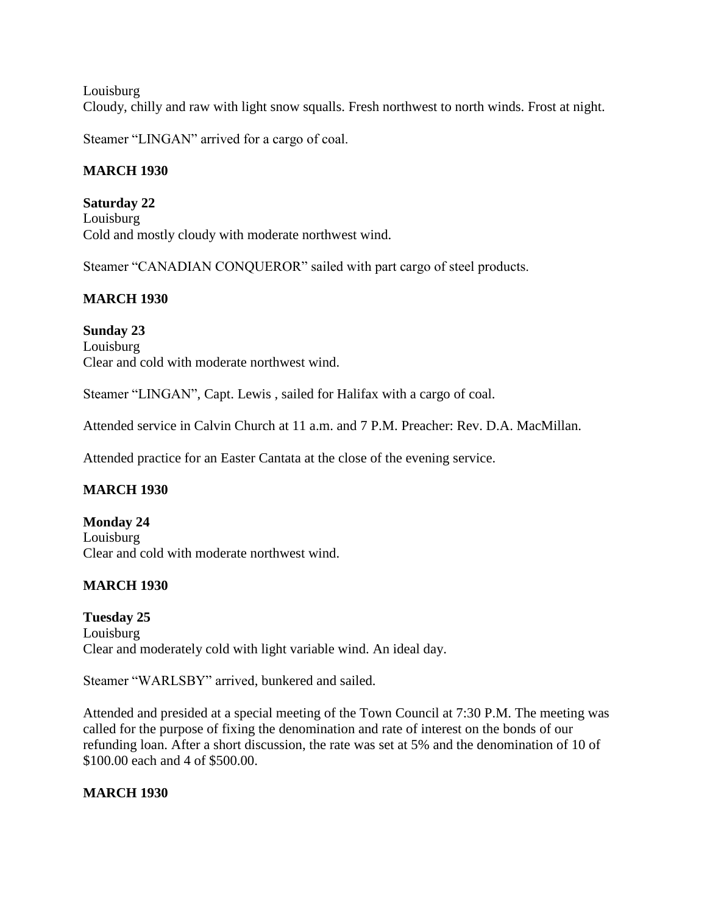Louisburg

Cloudy, chilly and raw with light snow squalls. Fresh northwest to north winds. Frost at night.

Steamer "LINGAN" arrived for a cargo of coal.

# **MARCH 1930**

# **Saturday 22**

Louisburg Cold and mostly cloudy with moderate northwest wind.

Steamer "CANADIAN CONQUEROR" sailed with part cargo of steel products.

# **MARCH 1930**

# **Sunday 23**

Louisburg Clear and cold with moderate northwest wind.

Steamer "LINGAN", Capt. Lewis , sailed for Halifax with a cargo of coal.

Attended service in Calvin Church at 11 a.m. and 7 P.M. Preacher: Rev. D.A. MacMillan.

Attended practice for an Easter Cantata at the close of the evening service.

# **MARCH 1930**

**Monday 24** Louisburg Clear and cold with moderate northwest wind.

# **MARCH 1930**

**Tuesday 25** Louisburg Clear and moderately cold with light variable wind. An ideal day.

Steamer "WARLSBY" arrived, bunkered and sailed.

Attended and presided at a special meeting of the Town Council at 7:30 P.M. The meeting was called for the purpose of fixing the denomination and rate of interest on the bonds of our refunding loan. After a short discussion, the rate was set at 5% and the denomination of 10 of \$100.00 each and 4 of \$500.00.

# **MARCH 1930**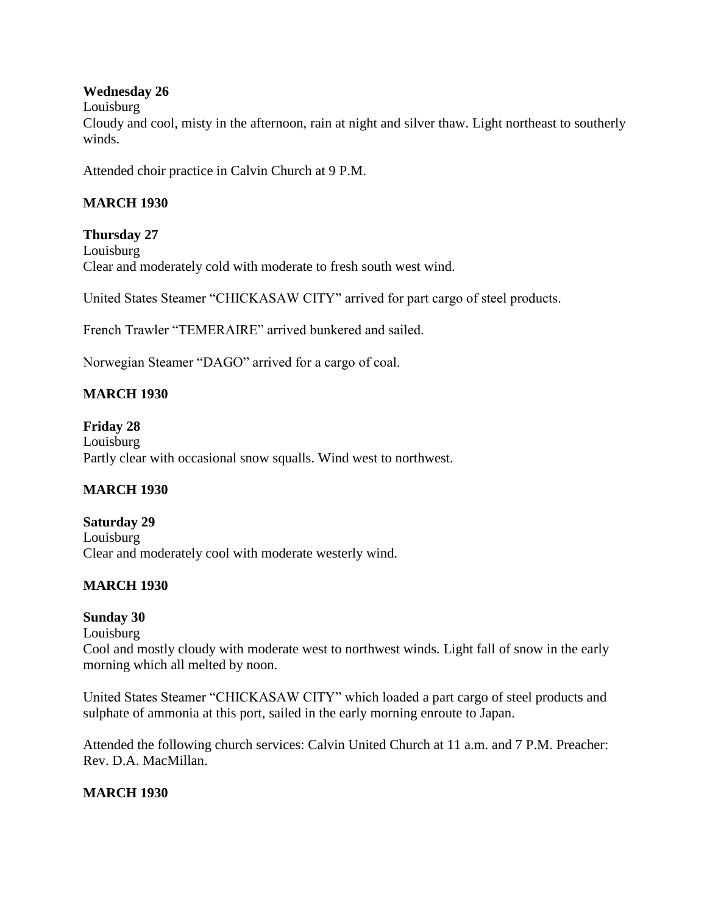#### **Wednesday 26**

Louisburg

Cloudy and cool, misty in the afternoon, rain at night and silver thaw. Light northeast to southerly winds.

Attended choir practice in Calvin Church at 9 P.M.

## **MARCH 1930**

# **Thursday 27**

Louisburg Clear and moderately cold with moderate to fresh south west wind.

United States Steamer "CHICKASAW CITY" arrived for part cargo of steel products.

French Trawler "TEMERAIRE" arrived bunkered and sailed.

Norwegian Steamer "DAGO" arrived for a cargo of coal.

# **MARCH 1930**

**Friday 28** Louisburg Partly clear with occasional snow squalls. Wind west to northwest.

## **MARCH 1930**

**Saturday 29** Louisburg Clear and moderately cool with moderate westerly wind.

## **MARCH 1930**

## **Sunday 30**

Louisburg

Cool and mostly cloudy with moderate west to northwest winds. Light fall of snow in the early morning which all melted by noon.

United States Steamer "CHICKASAW CITY" which loaded a part cargo of steel products and sulphate of ammonia at this port, sailed in the early morning enroute to Japan.

Attended the following church services: Calvin United Church at 11 a.m. and 7 P.M. Preacher: Rev. D.A. MacMillan.

## **MARCH 1930**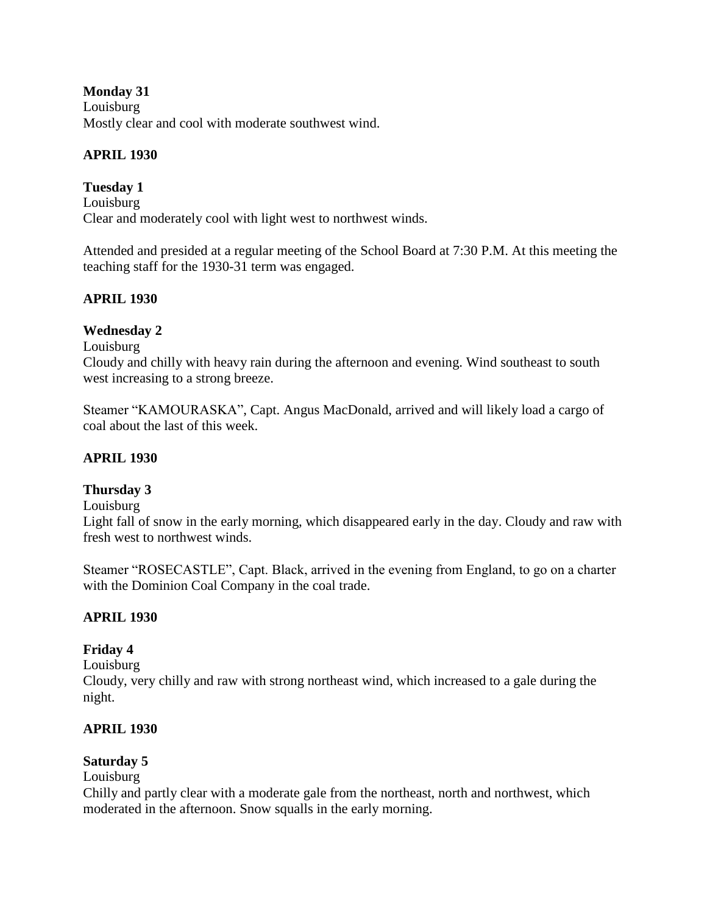#### **Monday 31** Louisburg Mostly clear and cool with moderate southwest wind.

# **APRIL 1930**

# **Tuesday 1**

Louisburg Clear and moderately cool with light west to northwest winds.

Attended and presided at a regular meeting of the School Board at 7:30 P.M. At this meeting the teaching staff for the 1930-31 term was engaged.

# **APRIL 1930**

## **Wednesday 2**

Louisburg

Cloudy and chilly with heavy rain during the afternoon and evening. Wind southeast to south west increasing to a strong breeze.

Steamer "KAMOURASKA", Capt. Angus MacDonald, arrived and will likely load a cargo of coal about the last of this week.

## **APRIL 1930**

## **Thursday 3**

Louisburg

Light fall of snow in the early morning, which disappeared early in the day. Cloudy and raw with fresh west to northwest winds.

Steamer "ROSECASTLE", Capt. Black, arrived in the evening from England, to go on a charter with the Dominion Coal Company in the coal trade.

## **APRIL 1930**

# **Friday 4**

Louisburg

Cloudy, very chilly and raw with strong northeast wind, which increased to a gale during the night.

## **APRIL 1930**

# **Saturday 5**

## Louisburg

Chilly and partly clear with a moderate gale from the northeast, north and northwest, which moderated in the afternoon. Snow squalls in the early morning.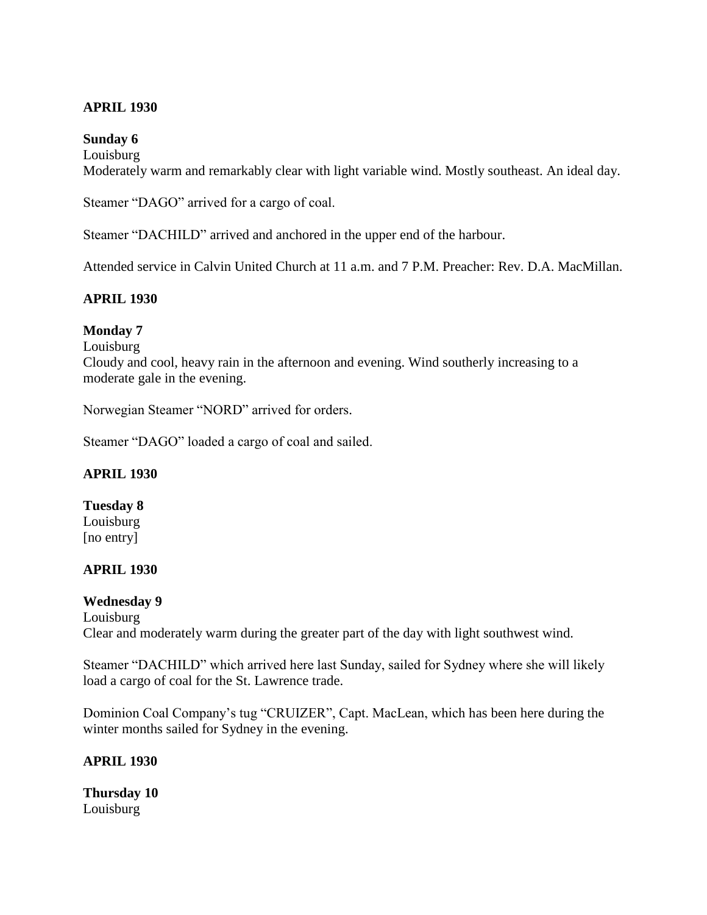## **APRIL 1930**

#### **Sunday 6**

Louisburg

Moderately warm and remarkably clear with light variable wind. Mostly southeast. An ideal day.

Steamer "DAGO" arrived for a cargo of coal.

Steamer "DACHILD" arrived and anchored in the upper end of the harbour.

Attended service in Calvin United Church at 11 a.m. and 7 P.M. Preacher: Rev. D.A. MacMillan.

## **APRIL 1930**

#### **Monday 7**

Louisburg

Cloudy and cool, heavy rain in the afternoon and evening. Wind southerly increasing to a moderate gale in the evening.

Norwegian Steamer "NORD" arrived for orders.

Steamer "DAGO" loaded a cargo of coal and sailed.

## **APRIL 1930**

#### **Tuesday 8** Louisburg [no entry]

**APRIL 1930**

#### **Wednesday 9**

Louisburg Clear and moderately warm during the greater part of the day with light southwest wind.

Steamer "DACHILD" which arrived here last Sunday, sailed for Sydney where she will likely load a cargo of coal for the St. Lawrence trade.

Dominion Coal Company's tug "CRUIZER", Capt. MacLean, which has been here during the winter months sailed for Sydney in the evening.

## **APRIL 1930**

**Thursday 10** Louisburg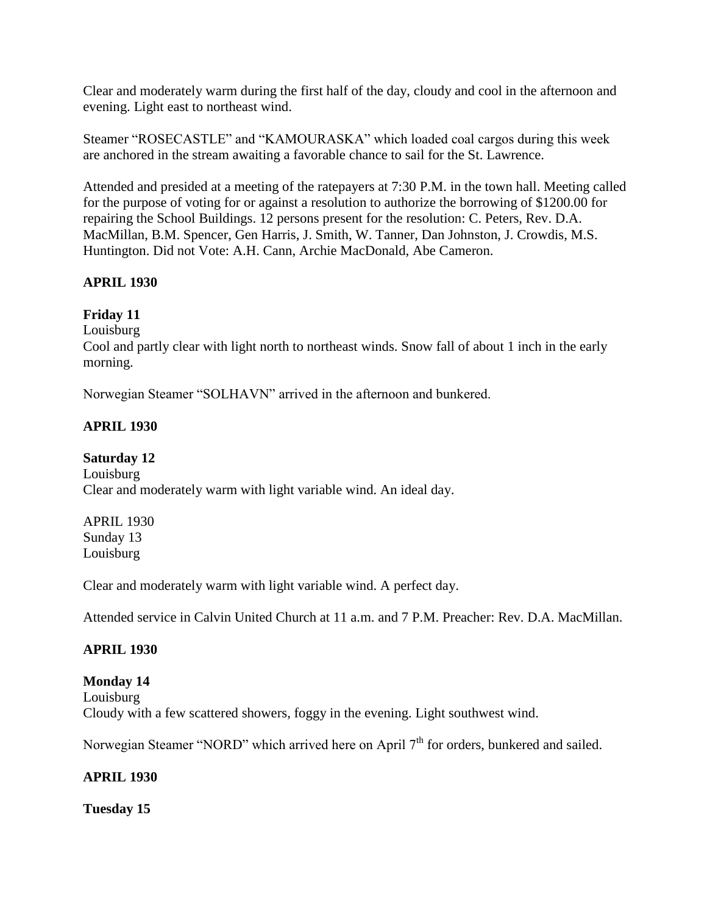Clear and moderately warm during the first half of the day, cloudy and cool in the afternoon and evening. Light east to northeast wind.

Steamer "ROSECASTLE" and "KAMOURASKA" which loaded coal cargos during this week are anchored in the stream awaiting a favorable chance to sail for the St. Lawrence.

Attended and presided at a meeting of the ratepayers at 7:30 P.M. in the town hall. Meeting called for the purpose of voting for or against a resolution to authorize the borrowing of \$1200.00 for repairing the School Buildings. 12 persons present for the resolution: C. Peters, Rev. D.A. MacMillan, B.M. Spencer, Gen Harris, J. Smith, W. Tanner, Dan Johnston, J. Crowdis, M.S. Huntington. Did not Vote: A.H. Cann, Archie MacDonald, Abe Cameron.

# **APRIL 1930**

# **Friday 11**

Louisburg

Cool and partly clear with light north to northeast winds. Snow fall of about 1 inch in the early morning.

Norwegian Steamer "SOLHAVN" arrived in the afternoon and bunkered.

# **APRIL 1930**

## **Saturday 12**

Louisburg Clear and moderately warm with light variable wind. An ideal day.

APRIL 1930 Sunday 13 Louisburg

Clear and moderately warm with light variable wind. A perfect day.

Attended service in Calvin United Church at 11 a.m. and 7 P.M. Preacher: Rev. D.A. MacMillan.

# **APRIL 1930**

**Monday 14** Louisburg Cloudy with a few scattered showers, foggy in the evening. Light southwest wind.

Norwegian Steamer "NORD" which arrived here on April 7<sup>th</sup> for orders, bunkered and sailed.

## **APRIL 1930**

**Tuesday 15**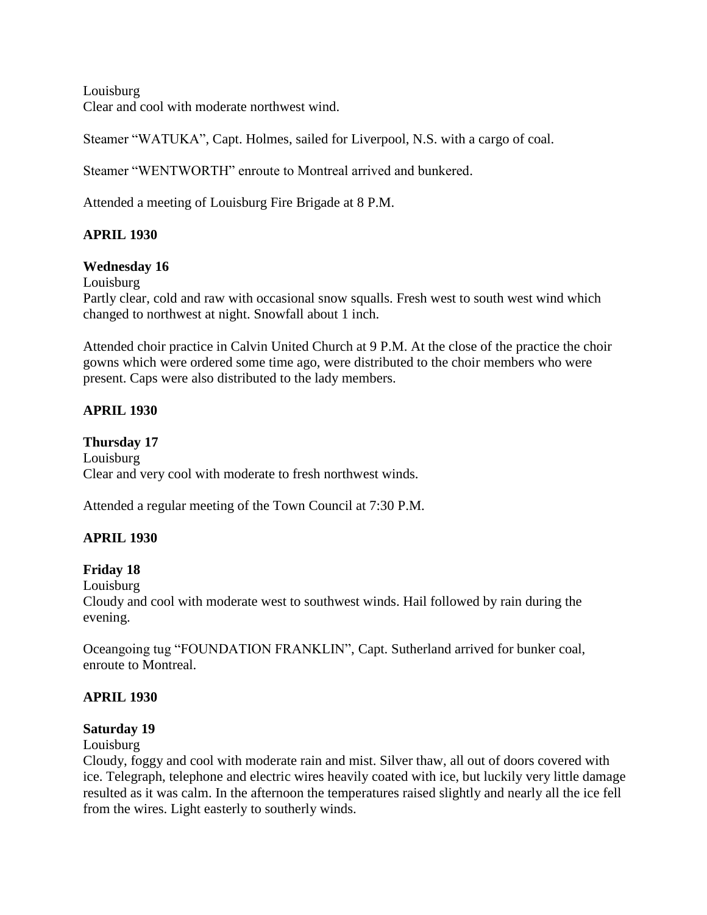Louisburg Clear and cool with moderate northwest wind.

Steamer "WATUKA", Capt. Holmes, sailed for Liverpool, N.S. with a cargo of coal.

Steamer "WENTWORTH" enroute to Montreal arrived and bunkered.

Attended a meeting of Louisburg Fire Brigade at 8 P.M.

# **APRIL 1930**

#### **Wednesday 16**

Louisburg

Partly clear, cold and raw with occasional snow squalls. Fresh west to south west wind which changed to northwest at night. Snowfall about 1 inch.

Attended choir practice in Calvin United Church at 9 P.M. At the close of the practice the choir gowns which were ordered some time ago, were distributed to the choir members who were present. Caps were also distributed to the lady members.

# **APRIL 1930**

**Thursday 17** Louisburg Clear and very cool with moderate to fresh northwest winds.

Attended a regular meeting of the Town Council at 7:30 P.M.

## **APRIL 1930**

# **Friday 18**

Louisburg

Cloudy and cool with moderate west to southwest winds. Hail followed by rain during the evening.

Oceangoing tug "FOUNDATION FRANKLIN", Capt. Sutherland arrived for bunker coal, enroute to Montreal.

## **APRIL 1930**

#### **Saturday 19**

Louisburg

Cloudy, foggy and cool with moderate rain and mist. Silver thaw, all out of doors covered with ice. Telegraph, telephone and electric wires heavily coated with ice, but luckily very little damage resulted as it was calm. In the afternoon the temperatures raised slightly and nearly all the ice fell from the wires. Light easterly to southerly winds.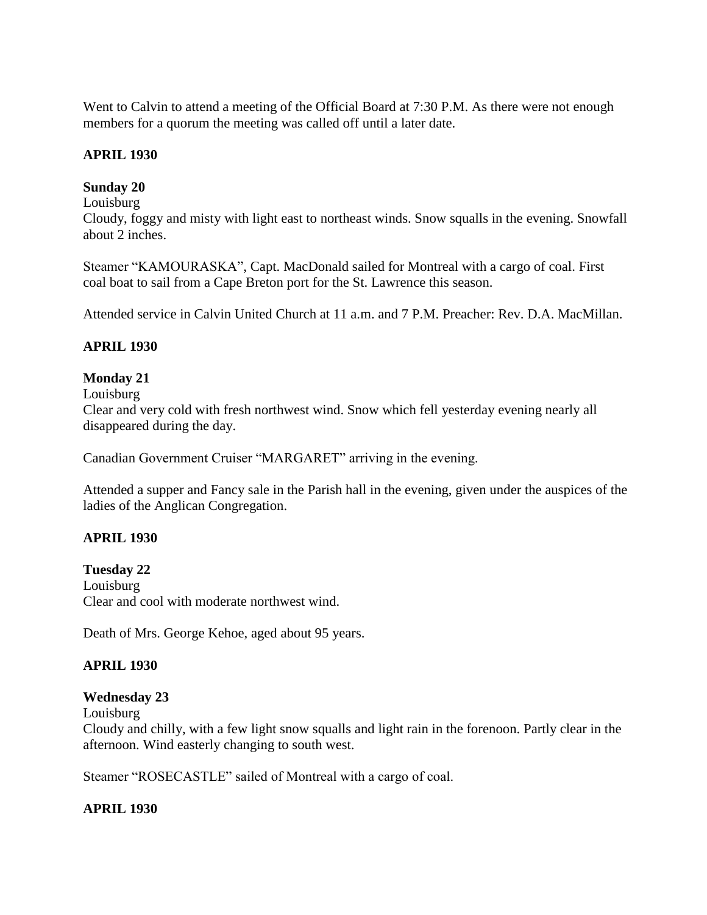Went to Calvin to attend a meeting of the Official Board at 7:30 P.M. As there were not enough members for a quorum the meeting was called off until a later date.

## **APRIL 1930**

### **Sunday 20**

Louisburg

Cloudy, foggy and misty with light east to northeast winds. Snow squalls in the evening. Snowfall about 2 inches.

Steamer "KAMOURASKA", Capt. MacDonald sailed for Montreal with a cargo of coal. First coal boat to sail from a Cape Breton port for the St. Lawrence this season.

Attended service in Calvin United Church at 11 a.m. and 7 P.M. Preacher: Rev. D.A. MacMillan.

## **APRIL 1930**

# **Monday 21**

#### Louisburg

Clear and very cold with fresh northwest wind. Snow which fell yesterday evening nearly all disappeared during the day.

Canadian Government Cruiser "MARGARET" arriving in the evening.

Attended a supper and Fancy sale in the Parish hall in the evening, given under the auspices of the ladies of the Anglican Congregation.

## **APRIL 1930**

**Tuesday 22** Louisburg Clear and cool with moderate northwest wind.

Death of Mrs. George Kehoe, aged about 95 years.

#### **APRIL 1930**

#### **Wednesday 23**

Louisburg

Cloudy and chilly, with a few light snow squalls and light rain in the forenoon. Partly clear in the afternoon. Wind easterly changing to south west.

Steamer "ROSECASTLE" sailed of Montreal with a cargo of coal.

#### **APRIL 1930**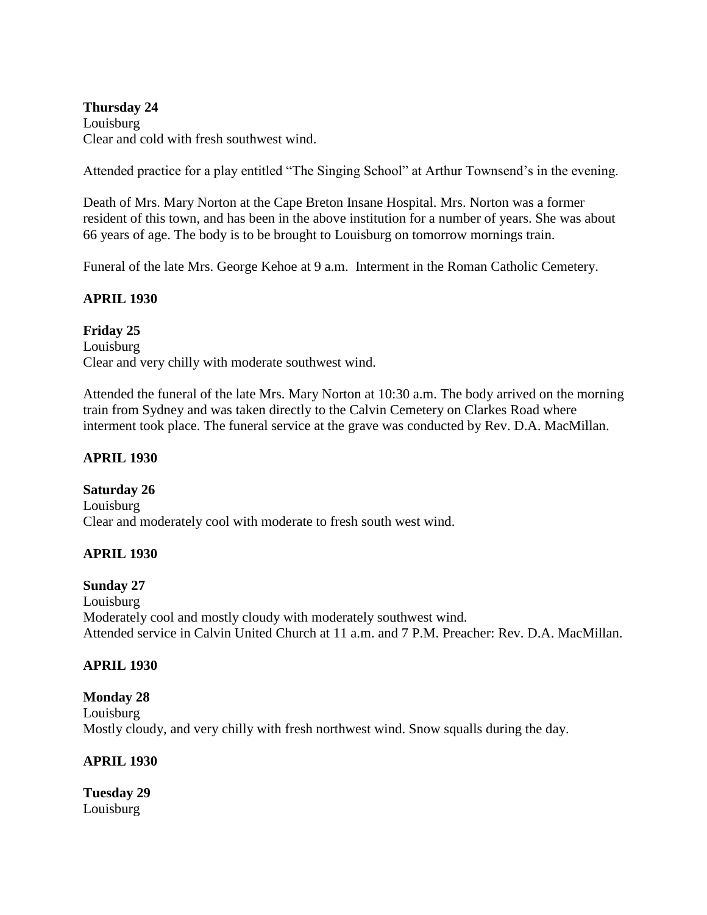## **Thursday 24**

Louisburg Clear and cold with fresh southwest wind.

Attended practice for a play entitled "The Singing School" at Arthur Townsend's in the evening.

Death of Mrs. Mary Norton at the Cape Breton Insane Hospital. Mrs. Norton was a former resident of this town, and has been in the above institution for a number of years. She was about 66 years of age. The body is to be brought to Louisburg on tomorrow mornings train.

Funeral of the late Mrs. George Kehoe at 9 a.m. Interment in the Roman Catholic Cemetery.

## **APRIL 1930**

**Friday 25** Louisburg Clear and very chilly with moderate southwest wind.

Attended the funeral of the late Mrs. Mary Norton at 10:30 a.m. The body arrived on the morning train from Sydney and was taken directly to the Calvin Cemetery on Clarkes Road where interment took place. The funeral service at the grave was conducted by Rev. D.A. MacMillan.

#### **APRIL 1930**

**Saturday 26** Louisburg Clear and moderately cool with moderate to fresh south west wind.

#### **APRIL 1930**

#### **Sunday 27**

Louisburg Moderately cool and mostly cloudy with moderately southwest wind. Attended service in Calvin United Church at 11 a.m. and 7 P.M. Preacher: Rev. D.A. MacMillan.

#### **APRIL 1930**

#### **Monday 28**

Louisburg Mostly cloudy, and very chilly with fresh northwest wind. Snow squalls during the day.

#### **APRIL 1930**

**Tuesday 29** Louisburg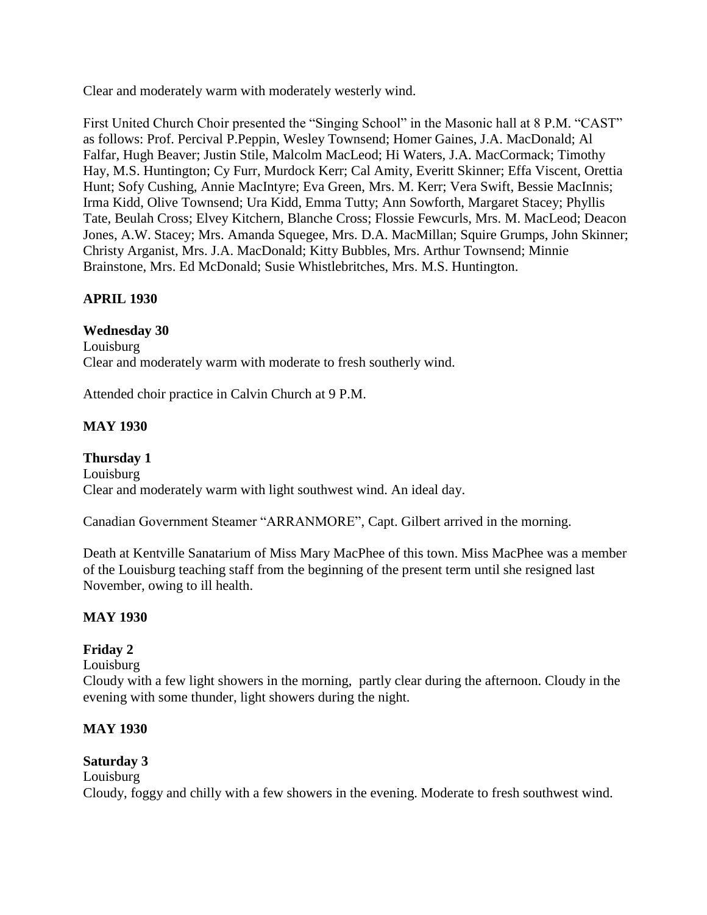Clear and moderately warm with moderately westerly wind.

First United Church Choir presented the "Singing School" in the Masonic hall at 8 P.M. "CAST" as follows: Prof. Percival P.Peppin, Wesley Townsend; Homer Gaines, J.A. MacDonald; Al Falfar, Hugh Beaver; Justin Stile, Malcolm MacLeod; Hi Waters, J.A. MacCormack; Timothy Hay, M.S. Huntington; Cy Furr, Murdock Kerr; Cal Amity, Everitt Skinner; Effa Viscent, Orettia Hunt; Sofy Cushing, Annie MacIntyre; Eva Green, Mrs. M. Kerr; Vera Swift, Bessie MacInnis; Irma Kidd, Olive Townsend; Ura Kidd, Emma Tutty; Ann Sowforth, Margaret Stacey; Phyllis Tate, Beulah Cross; Elvey Kitchern, Blanche Cross; Flossie Fewcurls, Mrs. M. MacLeod; Deacon Jones, A.W. Stacey; Mrs. Amanda Squegee, Mrs. D.A. MacMillan; Squire Grumps, John Skinner; Christy Arganist, Mrs. J.A. MacDonald; Kitty Bubbles, Mrs. Arthur Townsend; Minnie Brainstone, Mrs. Ed McDonald; Susie Whistlebritches, Mrs. M.S. Huntington.

# **APRIL 1930**

#### **Wednesday 30**

Louisburg Clear and moderately warm with moderate to fresh southerly wind.

Attended choir practice in Calvin Church at 9 P.M.

## **MAY 1930**

**Thursday 1** Louisburg Clear and moderately warm with light southwest wind. An ideal day.

Canadian Government Steamer "ARRANMORE", Capt. Gilbert arrived in the morning.

Death at Kentville Sanatarium of Miss Mary MacPhee of this town. Miss MacPhee was a member of the Louisburg teaching staff from the beginning of the present term until she resigned last November, owing to ill health.

## **MAY 1930**

## **Friday 2**

Louisburg

Cloudy with a few light showers in the morning, partly clear during the afternoon. Cloudy in the evening with some thunder, light showers during the night.

## **MAY 1930**

## **Saturday 3**

#### Louisburg

Cloudy, foggy and chilly with a few showers in the evening. Moderate to fresh southwest wind.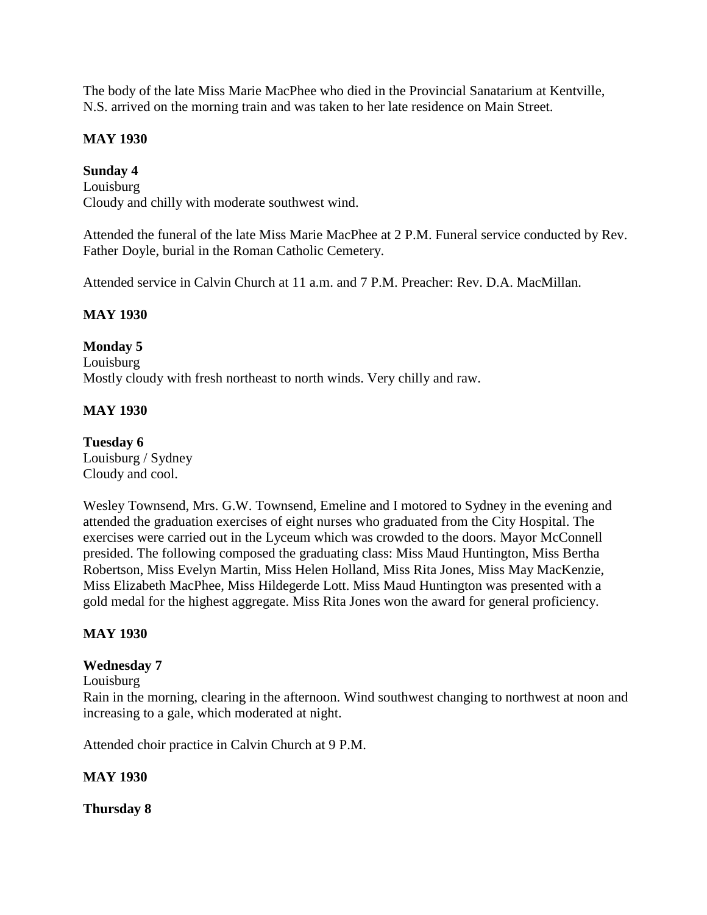The body of the late Miss Marie MacPhee who died in the Provincial Sanatarium at Kentville, N.S. arrived on the morning train and was taken to her late residence on Main Street.

#### **MAY 1930**

## **Sunday 4**

Louisburg Cloudy and chilly with moderate southwest wind.

Attended the funeral of the late Miss Marie MacPhee at 2 P.M. Funeral service conducted by Rev. Father Doyle, burial in the Roman Catholic Cemetery.

Attended service in Calvin Church at 11 a.m. and 7 P.M. Preacher: Rev. D.A. MacMillan.

#### **MAY 1930**

## **Monday 5**

Louisburg Mostly cloudy with fresh northeast to north winds. Very chilly and raw.

## **MAY 1930**

#### **Tuesday 6**

Louisburg / Sydney Cloudy and cool.

Wesley Townsend, Mrs. G.W. Townsend, Emeline and I motored to Sydney in the evening and attended the graduation exercises of eight nurses who graduated from the City Hospital. The exercises were carried out in the Lyceum which was crowded to the doors. Mayor McConnell presided. The following composed the graduating class: Miss Maud Huntington, Miss Bertha Robertson, Miss Evelyn Martin, Miss Helen Holland, Miss Rita Jones, Miss May MacKenzie, Miss Elizabeth MacPhee, Miss Hildegerde Lott. Miss Maud Huntington was presented with a gold medal for the highest aggregate. Miss Rita Jones won the award for general proficiency.

## **MAY 1930**

#### **Wednesday 7**

Louisburg

Rain in the morning, clearing in the afternoon. Wind southwest changing to northwest at noon and increasing to a gale, which moderated at night.

Attended choir practice in Calvin Church at 9 P.M.

#### **MAY 1930**

**Thursday 8**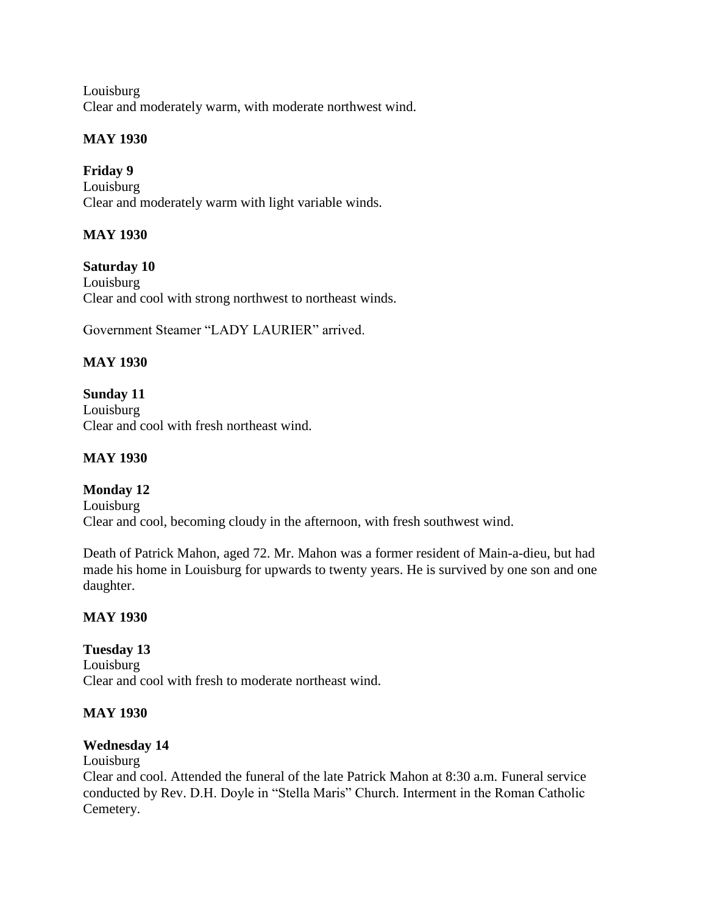Louisburg Clear and moderately warm, with moderate northwest wind.

# **MAY 1930**

**Friday 9** Louisburg Clear and moderately warm with light variable winds.

# **MAY 1930**

**Saturday 10** Louisburg Clear and cool with strong northwest to northeast winds.

Government Steamer "LADY LAURIER" arrived.

# **MAY 1930**

**Sunday 11** Louisburg Clear and cool with fresh northeast wind.

# **MAY 1930**

**Monday 12** Louisburg Clear and cool, becoming cloudy in the afternoon, with fresh southwest wind.

Death of Patrick Mahon, aged 72. Mr. Mahon was a former resident of Main-a-dieu, but had made his home in Louisburg for upwards to twenty years. He is survived by one son and one daughter.

## **MAY 1930**

**Tuesday 13** Louisburg Clear and cool with fresh to moderate northeast wind.

## **MAY 1930**

# **Wednesday 14**

Louisburg

Clear and cool. Attended the funeral of the late Patrick Mahon at 8:30 a.m. Funeral service conducted by Rev. D.H. Doyle in "Stella Maris" Church. Interment in the Roman Catholic Cemetery.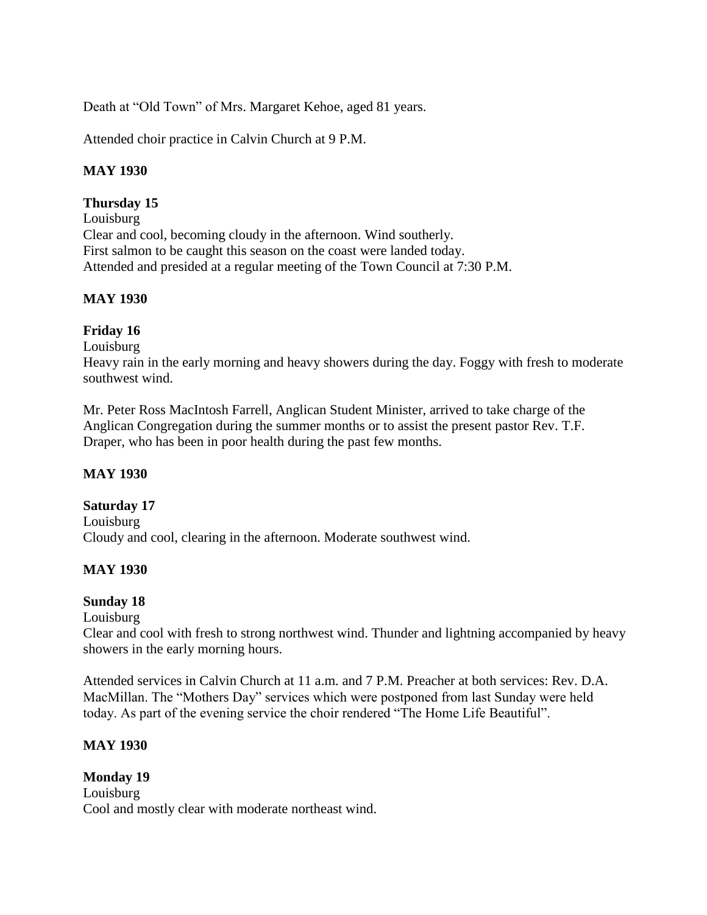Death at "Old Town" of Mrs. Margaret Kehoe, aged 81 years.

Attended choir practice in Calvin Church at 9 P.M.

## **MAY 1930**

## **Thursday 15**

Louisburg Clear and cool, becoming cloudy in the afternoon. Wind southerly. First salmon to be caught this season on the coast were landed today. Attended and presided at a regular meeting of the Town Council at 7:30 P.M.

## **MAY 1930**

# **Friday 16**

Louisburg

Heavy rain in the early morning and heavy showers during the day. Foggy with fresh to moderate southwest wind.

Mr. Peter Ross MacIntosh Farrell, Anglican Student Minister, arrived to take charge of the Anglican Congregation during the summer months or to assist the present pastor Rev. T.F. Draper, who has been in poor health during the past few months.

## **MAY 1930**

## **Saturday 17**

Louisburg Cloudy and cool, clearing in the afternoon. Moderate southwest wind.

## **MAY 1930**

## **Sunday 18**

Louisburg

Clear and cool with fresh to strong northwest wind. Thunder and lightning accompanied by heavy showers in the early morning hours.

Attended services in Calvin Church at 11 a.m. and 7 P.M. Preacher at both services: Rev. D.A. MacMillan. The "Mothers Day" services which were postponed from last Sunday were held today. As part of the evening service the choir rendered "The Home Life Beautiful".

## **MAY 1930**

**Monday 19** Louisburg Cool and mostly clear with moderate northeast wind.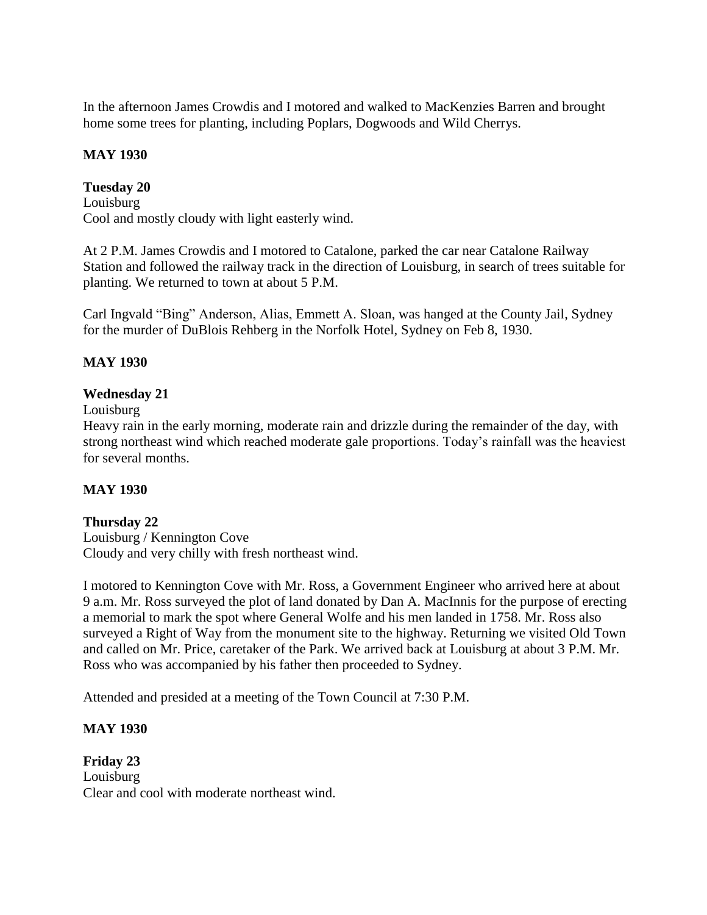In the afternoon James Crowdis and I motored and walked to MacKenzies Barren and brought home some trees for planting, including Poplars, Dogwoods and Wild Cherrys.

## **MAY 1930**

### **Tuesday 20**

Louisburg Cool and mostly cloudy with light easterly wind.

At 2 P.M. James Crowdis and I motored to Catalone, parked the car near Catalone Railway Station and followed the railway track in the direction of Louisburg, in search of trees suitable for planting. We returned to town at about 5 P.M.

Carl Ingvald "Bing" Anderson, Alias, Emmett A. Sloan, was hanged at the County Jail, Sydney for the murder of DuBlois Rehberg in the Norfolk Hotel, Sydney on Feb 8, 1930.

#### **MAY 1930**

#### **Wednesday 21**

Louisburg

Heavy rain in the early morning, moderate rain and drizzle during the remainder of the day, with strong northeast wind which reached moderate gale proportions. Today's rainfall was the heaviest for several months.

#### **MAY 1930**

## **Thursday 22**

Louisburg / Kennington Cove Cloudy and very chilly with fresh northeast wind.

I motored to Kennington Cove with Mr. Ross, a Government Engineer who arrived here at about 9 a.m. Mr. Ross surveyed the plot of land donated by Dan A. MacInnis for the purpose of erecting a memorial to mark the spot where General Wolfe and his men landed in 1758. Mr. Ross also surveyed a Right of Way from the monument site to the highway. Returning we visited Old Town and called on Mr. Price, caretaker of the Park. We arrived back at Louisburg at about 3 P.M. Mr. Ross who was accompanied by his father then proceeded to Sydney.

Attended and presided at a meeting of the Town Council at 7:30 P.M.

#### **MAY 1930**

**Friday 23** Louisburg Clear and cool with moderate northeast wind.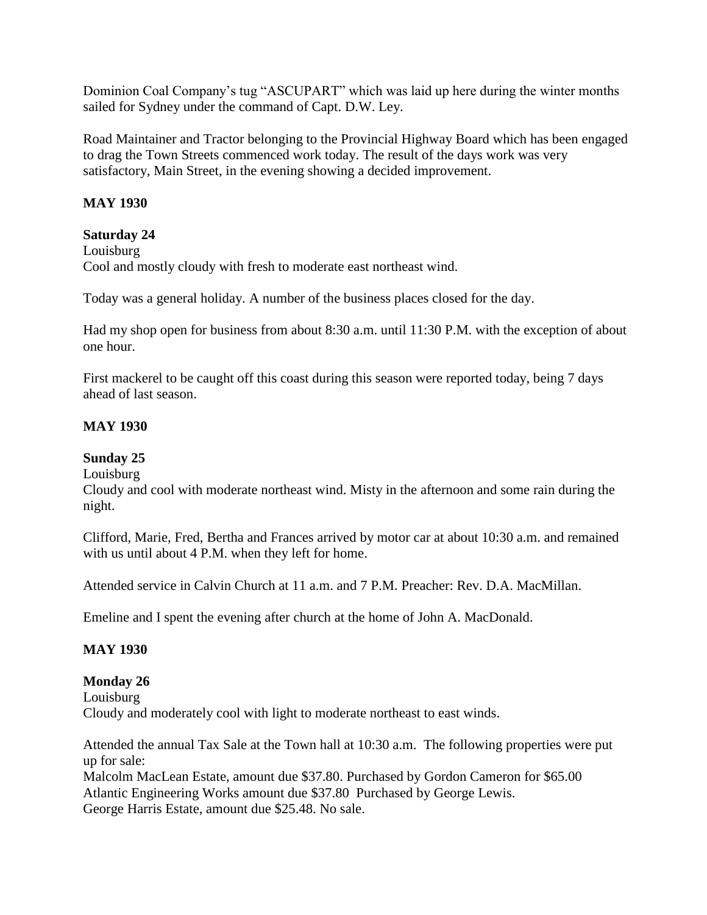Dominion Coal Company's tug "ASCUPART" which was laid up here during the winter months sailed for Sydney under the command of Capt. D.W. Ley.

Road Maintainer and Tractor belonging to the Provincial Highway Board which has been engaged to drag the Town Streets commenced work today. The result of the days work was very satisfactory, Main Street, in the evening showing a decided improvement.

### **MAY 1930**

#### **Saturday 24**

Louisburg Cool and mostly cloudy with fresh to moderate east northeast wind.

Today was a general holiday. A number of the business places closed for the day.

Had my shop open for business from about 8:30 a.m. until 11:30 P.M. with the exception of about one hour.

First mackerel to be caught off this coast during this season were reported today, being 7 days ahead of last season.

#### **MAY 1930**

## **Sunday 25**

#### Louisburg

Cloudy and cool with moderate northeast wind. Misty in the afternoon and some rain during the night.

Clifford, Marie, Fred, Bertha and Frances arrived by motor car at about 10:30 a.m. and remained with us until about 4 P.M. when they left for home.

Attended service in Calvin Church at 11 a.m. and 7 P.M. Preacher: Rev. D.A. MacMillan.

Emeline and I spent the evening after church at the home of John A. MacDonald.

#### **MAY 1930**

#### **Monday 26**

Louisburg Cloudy and moderately cool with light to moderate northeast to east winds.

Attended the annual Tax Sale at the Town hall at 10:30 a.m. The following properties were put up for sale:

Malcolm MacLean Estate, amount due \$37.80. Purchased by Gordon Cameron for \$65.00 Atlantic Engineering Works amount due \$37.80 Purchased by George Lewis. George Harris Estate, amount due \$25.48. No sale.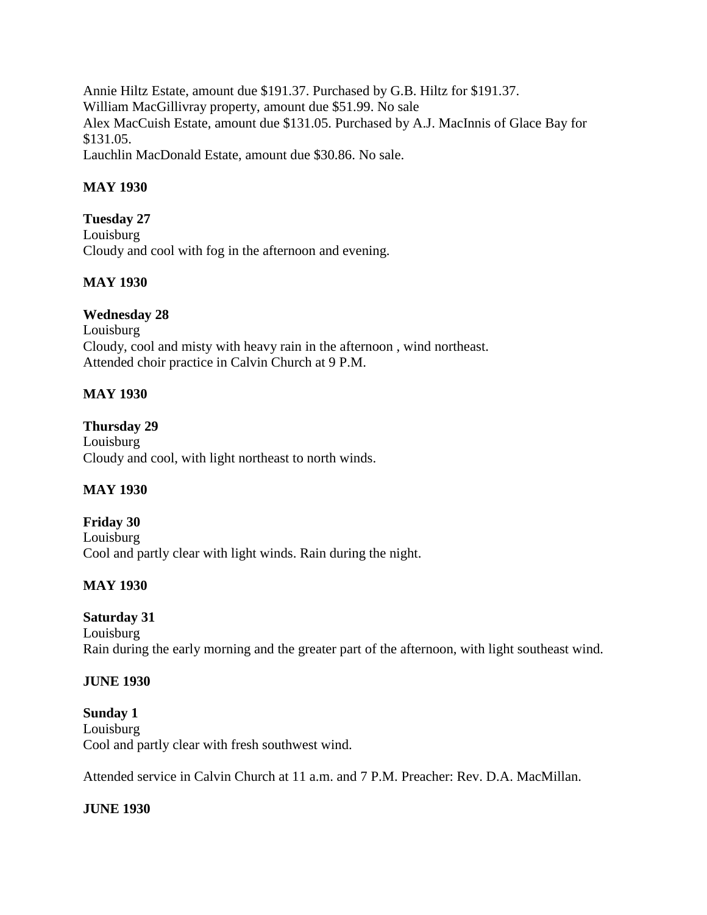Annie Hiltz Estate, amount due \$191.37. Purchased by G.B. Hiltz for \$191.37. William MacGillivray property, amount due \$51.99. No sale Alex MacCuish Estate, amount due \$131.05. Purchased by A.J. MacInnis of Glace Bay for \$131.05. Lauchlin MacDonald Estate, amount due \$30.86. No sale.

# **MAY 1930**

**Tuesday 27** Louisburg Cloudy and cool with fog in the afternoon and evening.

# **MAY 1930**

## **Wednesday 28**

Louisburg Cloudy, cool and misty with heavy rain in the afternoon , wind northeast. Attended choir practice in Calvin Church at 9 P.M.

# **MAY 1930**

## **Thursday 29**

Louisburg Cloudy and cool, with light northeast to north winds.

# **MAY 1930**

**Friday 30** Louisburg Cool and partly clear with light winds. Rain during the night.

## **MAY 1930**

## **Saturday 31**

Louisburg Rain during the early morning and the greater part of the afternoon, with light southeast wind.

## **JUNE 1930**

**Sunday 1** Louisburg Cool and partly clear with fresh southwest wind.

Attended service in Calvin Church at 11 a.m. and 7 P.M. Preacher: Rev. D.A. MacMillan.

## **JUNE 1930**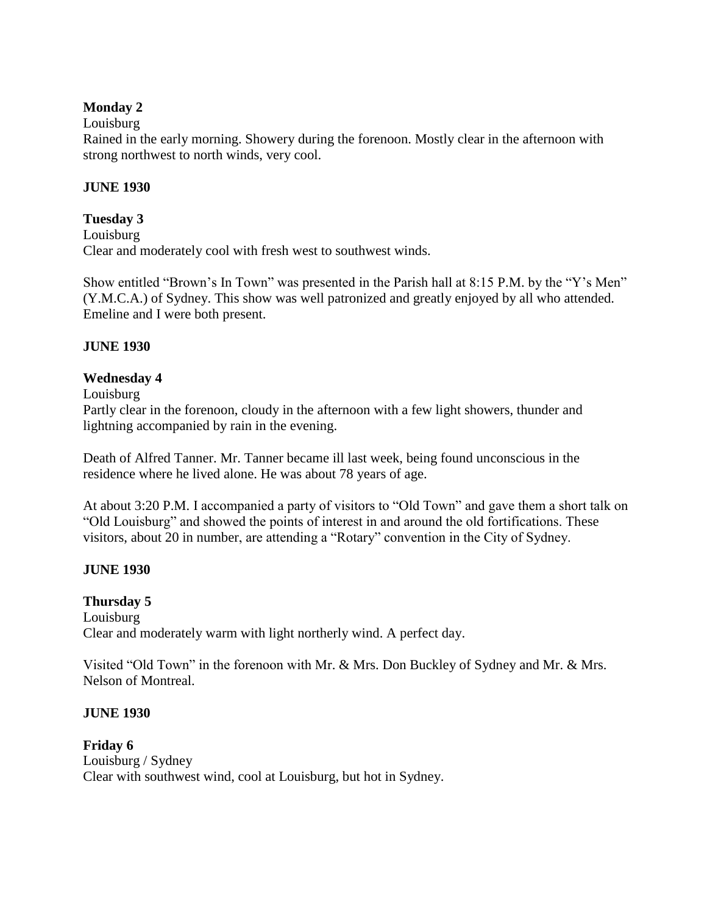## **Monday 2**

### Louisburg

Rained in the early morning. Showery during the forenoon. Mostly clear in the afternoon with strong northwest to north winds, very cool.

## **JUNE 1930**

# **Tuesday 3**

Louisburg Clear and moderately cool with fresh west to southwest winds.

Show entitled "Brown's In Town" was presented in the Parish hall at 8:15 P.M. by the "Y's Men" (Y.M.C.A.) of Sydney. This show was well patronized and greatly enjoyed by all who attended. Emeline and I were both present.

# **JUNE 1930**

# **Wednesday 4**

Louisburg

Partly clear in the forenoon, cloudy in the afternoon with a few light showers, thunder and lightning accompanied by rain in the evening.

Death of Alfred Tanner. Mr. Tanner became ill last week, being found unconscious in the residence where he lived alone. He was about 78 years of age.

At about 3:20 P.M. I accompanied a party of visitors to "Old Town" and gave them a short talk on "Old Louisburg" and showed the points of interest in and around the old fortifications. These visitors, about 20 in number, are attending a "Rotary" convention in the City of Sydney.

### **JUNE 1930**

### **Thursday 5**

Louisburg Clear and moderately warm with light northerly wind. A perfect day.

Visited "Old Town" in the forenoon with Mr. & Mrs. Don Buckley of Sydney and Mr. & Mrs. Nelson of Montreal.

### **JUNE 1930**

**Friday 6** Louisburg / Sydney Clear with southwest wind, cool at Louisburg, but hot in Sydney.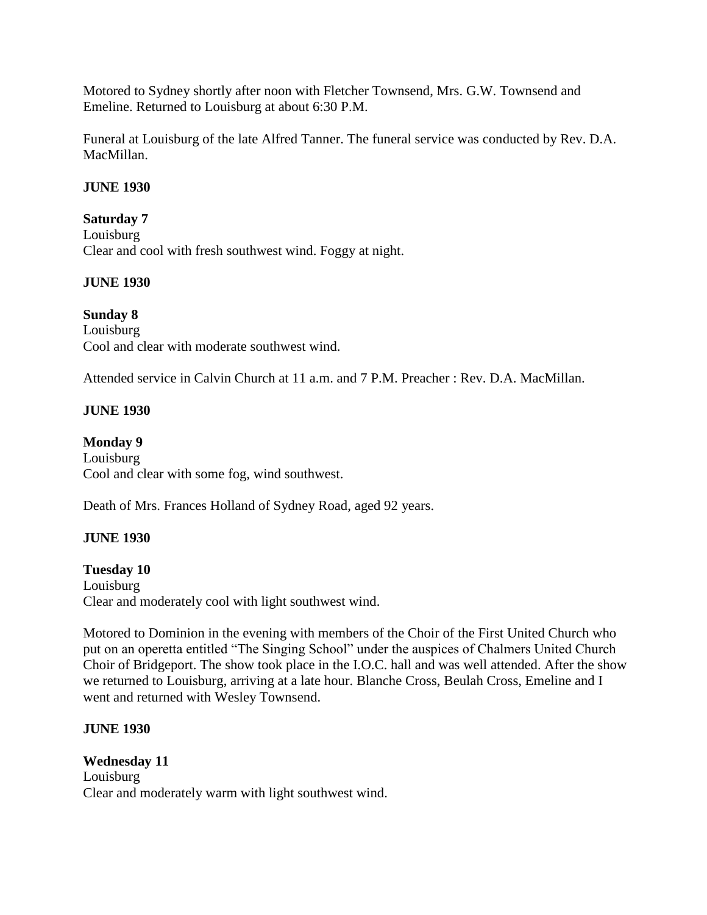Motored to Sydney shortly after noon with Fletcher Townsend, Mrs. G.W. Townsend and Emeline. Returned to Louisburg at about 6:30 P.M.

Funeral at Louisburg of the late Alfred Tanner. The funeral service was conducted by Rev. D.A. MacMillan.

#### **JUNE 1930**

**Saturday 7** Louisburg Clear and cool with fresh southwest wind. Foggy at night.

### **JUNE 1930**

**Sunday 8** Louisburg Cool and clear with moderate southwest wind.

Attended service in Calvin Church at 11 a.m. and 7 P.M. Preacher : Rev. D.A. MacMillan.

### **JUNE 1930**

**Monday 9** Louisburg Cool and clear with some fog, wind southwest.

Death of Mrs. Frances Holland of Sydney Road, aged 92 years.

### **JUNE 1930**

**Tuesday 10** Louisburg Clear and moderately cool with light southwest wind.

Motored to Dominion in the evening with members of the Choir of the First United Church who put on an operetta entitled "The Singing School" under the auspices of Chalmers United Church Choir of Bridgeport. The show took place in the I.O.C. hall and was well attended. After the show we returned to Louisburg, arriving at a late hour. Blanche Cross, Beulah Cross, Emeline and I went and returned with Wesley Townsend.

#### **JUNE 1930**

**Wednesday 11** Louisburg Clear and moderately warm with light southwest wind.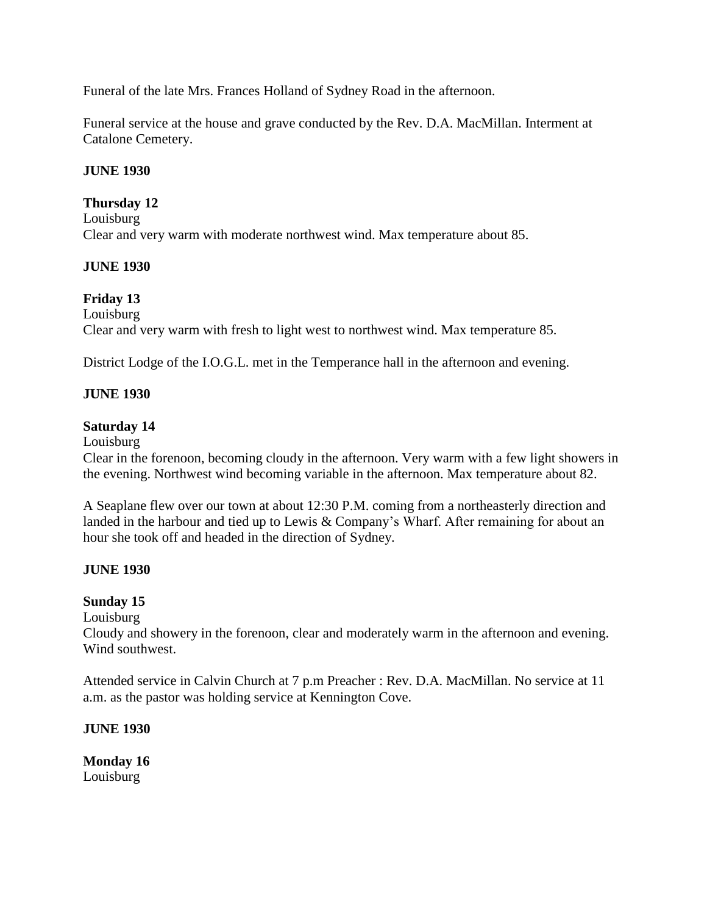Funeral of the late Mrs. Frances Holland of Sydney Road in the afternoon.

Funeral service at the house and grave conducted by the Rev. D.A. MacMillan. Interment at Catalone Cemetery.

### **JUNE 1930**

## **Thursday 12**

Louisburg Clear and very warm with moderate northwest wind. Max temperature about 85.

### **JUNE 1930**

# **Friday 13**

Louisburg

Clear and very warm with fresh to light west to northwest wind. Max temperature 85.

District Lodge of the I.O.G.L. met in the Temperance hall in the afternoon and evening.

### **JUNE 1930**

### **Saturday 14**

Louisburg

Clear in the forenoon, becoming cloudy in the afternoon. Very warm with a few light showers in the evening. Northwest wind becoming variable in the afternoon. Max temperature about 82.

A Seaplane flew over our town at about 12:30 P.M. coming from a northeasterly direction and landed in the harbour and tied up to Lewis & Company's Wharf. After remaining for about an hour she took off and headed in the direction of Sydney.

### **JUNE 1930**

### **Sunday 15**

Louisburg

Cloudy and showery in the forenoon, clear and moderately warm in the afternoon and evening. Wind southwest.

Attended service in Calvin Church at 7 p.m Preacher : Rev. D.A. MacMillan. No service at 11 a.m. as the pastor was holding service at Kennington Cove.

#### **JUNE 1930**

**Monday 16** Louisburg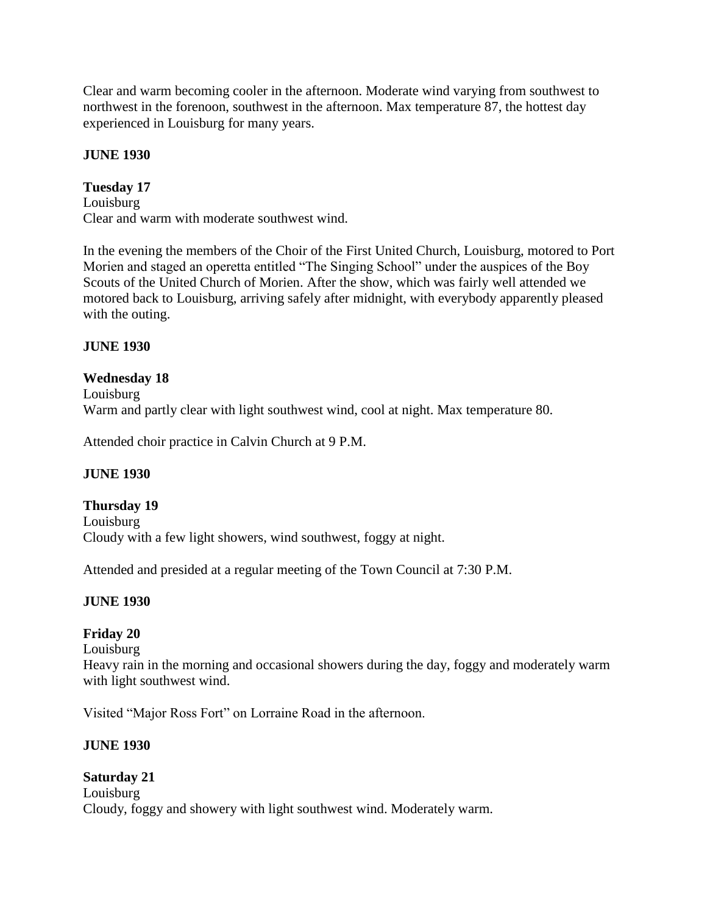Clear and warm becoming cooler in the afternoon. Moderate wind varying from southwest to northwest in the forenoon, southwest in the afternoon. Max temperature 87, the hottest day experienced in Louisburg for many years.

# **JUNE 1930**

**Tuesday 17** Louisburg Clear and warm with moderate southwest wind.

In the evening the members of the Choir of the First United Church, Louisburg, motored to Port Morien and staged an operetta entitled "The Singing School" under the auspices of the Boy Scouts of the United Church of Morien. After the show, which was fairly well attended we motored back to Louisburg, arriving safely after midnight, with everybody apparently pleased with the outing.

### **JUNE 1930**

### **Wednesday 18**

Louisburg Warm and partly clear with light southwest wind, cool at night. Max temperature 80.

Attended choir practice in Calvin Church at 9 P.M.

### **JUNE 1930**

**Thursday 19**

Louisburg Cloudy with a few light showers, wind southwest, foggy at night.

Attended and presided at a regular meeting of the Town Council at 7:30 P.M.

# **JUNE 1930**

# **Friday 20**

Louisburg

Heavy rain in the morning and occasional showers during the day, foggy and moderately warm with light southwest wind.

Visited "Major Ross Fort" on Lorraine Road in the afternoon.

### **JUNE 1930**

### **Saturday 21**

Louisburg Cloudy, foggy and showery with light southwest wind. Moderately warm.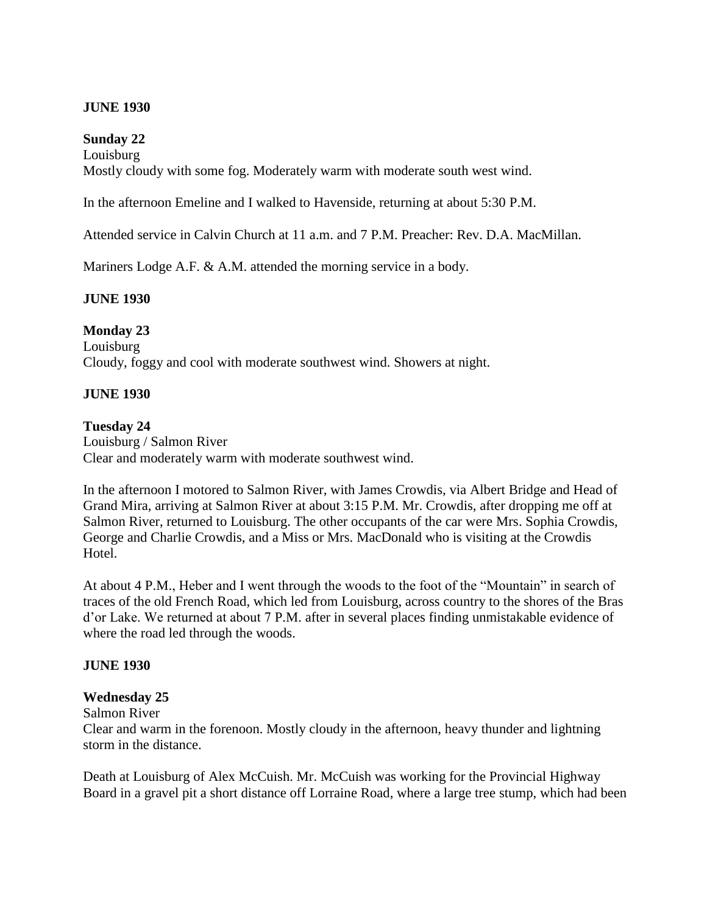#### **JUNE 1930**

#### **Sunday 22**

Louisburg Mostly cloudy with some fog. Moderately warm with moderate south west wind.

In the afternoon Emeline and I walked to Havenside, returning at about 5:30 P.M.

Attended service in Calvin Church at 11 a.m. and 7 P.M. Preacher: Rev. D.A. MacMillan.

Mariners Lodge A.F. & A.M. attended the morning service in a body.

#### **JUNE 1930**

#### **Monday 23**

Louisburg Cloudy, foggy and cool with moderate southwest wind. Showers at night.

#### **JUNE 1930**

#### **Tuesday 24**

Louisburg / Salmon River Clear and moderately warm with moderate southwest wind.

In the afternoon I motored to Salmon River, with James Crowdis, via Albert Bridge and Head of Grand Mira, arriving at Salmon River at about 3:15 P.M. Mr. Crowdis, after dropping me off at Salmon River, returned to Louisburg. The other occupants of the car were Mrs. Sophia Crowdis, George and Charlie Crowdis, and a Miss or Mrs. MacDonald who is visiting at the Crowdis Hotel.

At about 4 P.M., Heber and I went through the woods to the foot of the "Mountain" in search of traces of the old French Road, which led from Louisburg, across country to the shores of the Bras d'or Lake. We returned at about 7 P.M. after in several places finding unmistakable evidence of where the road led through the woods.

#### **JUNE 1930**

#### **Wednesday 25**

Salmon River

Clear and warm in the forenoon. Mostly cloudy in the afternoon, heavy thunder and lightning storm in the distance.

Death at Louisburg of Alex McCuish. Mr. McCuish was working for the Provincial Highway Board in a gravel pit a short distance off Lorraine Road, where a large tree stump, which had been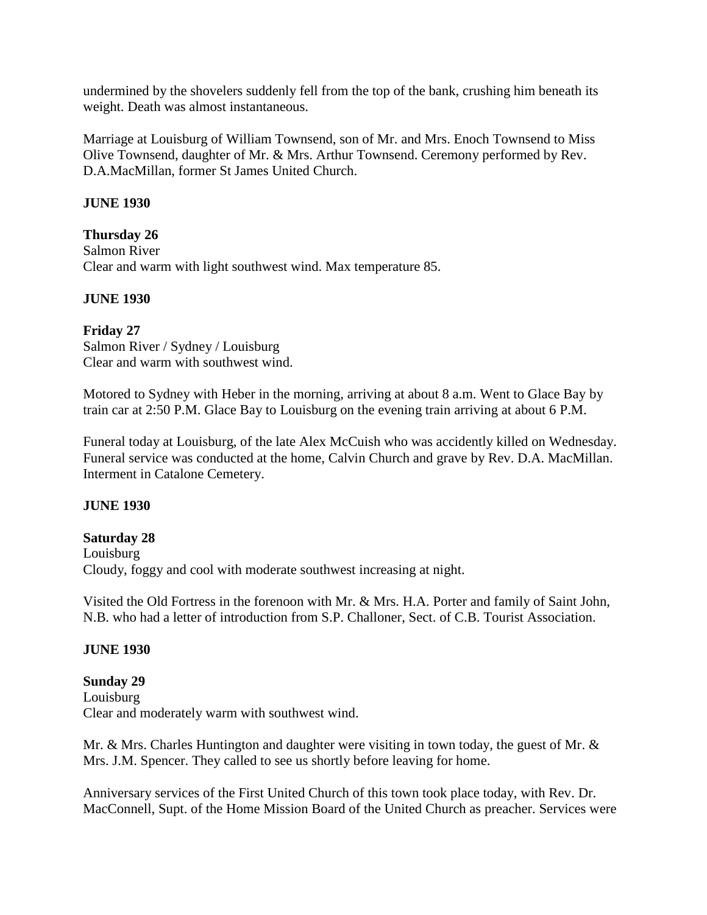undermined by the shovelers suddenly fell from the top of the bank, crushing him beneath its weight. Death was almost instantaneous.

Marriage at Louisburg of William Townsend, son of Mr. and Mrs. Enoch Townsend to Miss Olive Townsend, daughter of Mr. & Mrs. Arthur Townsend. Ceremony performed by Rev. D.A.MacMillan, former St James United Church.

#### **JUNE 1930**

**Thursday 26** Salmon River Clear and warm with light southwest wind. Max temperature 85.

### **JUNE 1930**

**Friday 27** Salmon River / Sydney / Louisburg Clear and warm with southwest wind.

Motored to Sydney with Heber in the morning, arriving at about 8 a.m. Went to Glace Bay by train car at 2:50 P.M. Glace Bay to Louisburg on the evening train arriving at about 6 P.M.

Funeral today at Louisburg, of the late Alex McCuish who was accidently killed on Wednesday. Funeral service was conducted at the home, Calvin Church and grave by Rev. D.A. MacMillan. Interment in Catalone Cemetery.

#### **JUNE 1930**

#### **Saturday 28**

Louisburg Cloudy, foggy and cool with moderate southwest increasing at night.

Visited the Old Fortress in the forenoon with Mr. & Mrs. H.A. Porter and family of Saint John, N.B. who had a letter of introduction from S.P. Challoner, Sect. of C.B. Tourist Association.

#### **JUNE 1930**

**Sunday 29** Louisburg Clear and moderately warm with southwest wind.

Mr. & Mrs. Charles Huntington and daughter were visiting in town today, the guest of Mr. & Mrs. J.M. Spencer. They called to see us shortly before leaving for home.

Anniversary services of the First United Church of this town took place today, with Rev. Dr. MacConnell, Supt. of the Home Mission Board of the United Church as preacher. Services were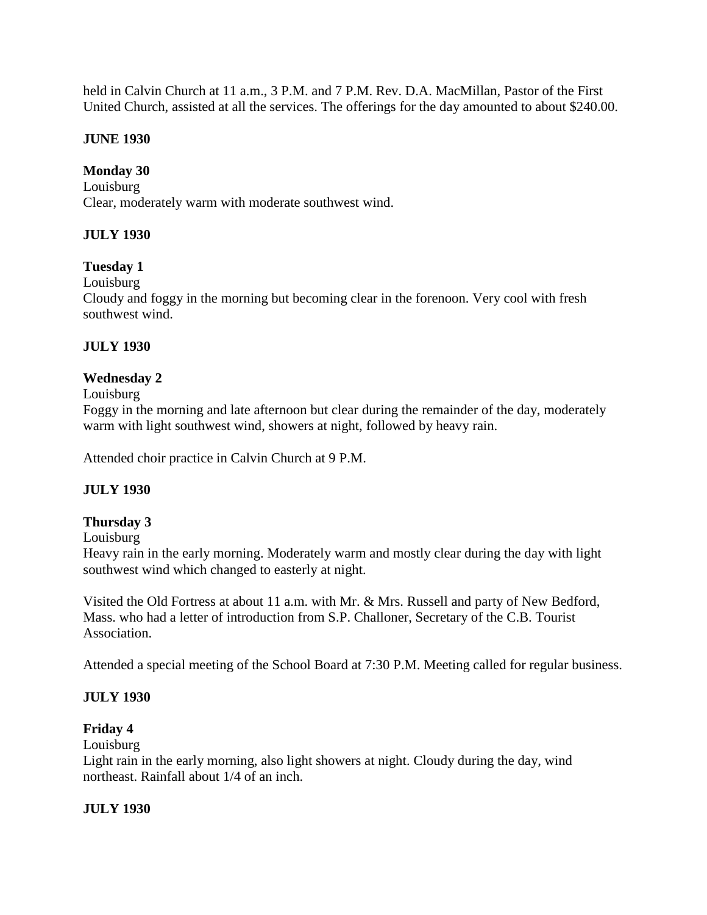held in Calvin Church at 11 a.m., 3 P.M. and 7 P.M. Rev. D.A. MacMillan, Pastor of the First United Church, assisted at all the services. The offerings for the day amounted to about \$240.00.

### **JUNE 1930**

## **Monday 30**

Louisburg Clear, moderately warm with moderate southwest wind.

### **JULY 1930**

### **Tuesday 1**

Louisburg

Cloudy and foggy in the morning but becoming clear in the forenoon. Very cool with fresh southwest wind.

### **JULY 1930**

### **Wednesday 2**

Louisburg

Foggy in the morning and late afternoon but clear during the remainder of the day, moderately warm with light southwest wind, showers at night, followed by heavy rain.

Attended choir practice in Calvin Church at 9 P.M.

### **JULY 1930**

#### **Thursday 3**

Louisburg

Heavy rain in the early morning. Moderately warm and mostly clear during the day with light southwest wind which changed to easterly at night.

Visited the Old Fortress at about 11 a.m. with Mr. & Mrs. Russell and party of New Bedford, Mass. who had a letter of introduction from S.P. Challoner, Secretary of the C.B. Tourist Association.

Attended a special meeting of the School Board at 7:30 P.M. Meeting called for regular business.

#### **JULY 1930**

#### **Friday 4**

Louisburg

Light rain in the early morning, also light showers at night. Cloudy during the day, wind northeast. Rainfall about 1/4 of an inch.

#### **JULY 1930**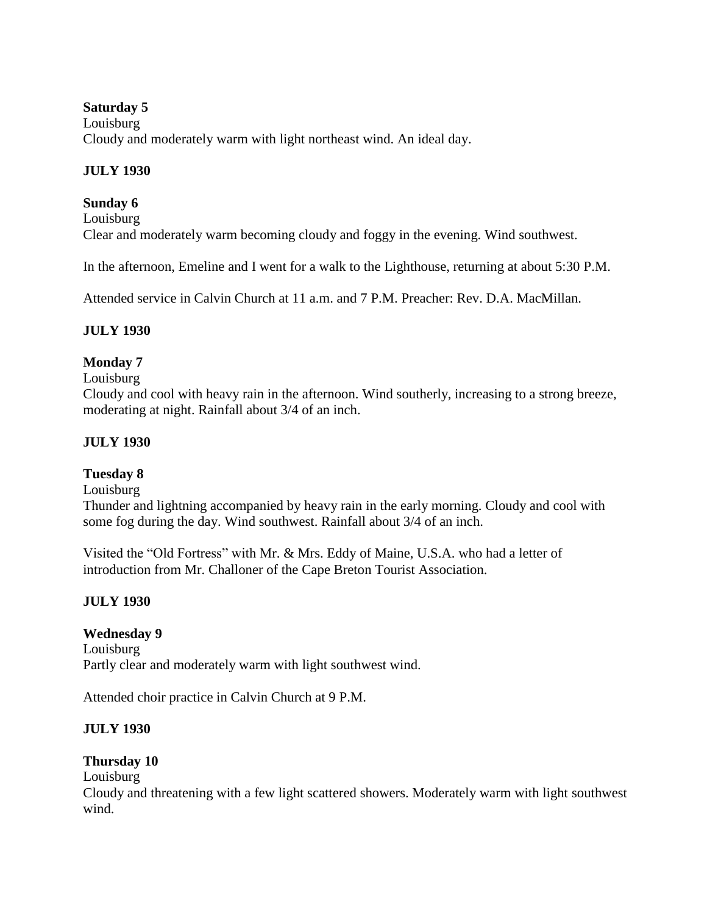### **Saturday 5**

Louisburg Cloudy and moderately warm with light northeast wind. An ideal day.

### **JULY 1930**

### **Sunday 6**

Louisburg

Clear and moderately warm becoming cloudy and foggy in the evening. Wind southwest.

In the afternoon, Emeline and I went for a walk to the Lighthouse, returning at about 5:30 P.M.

Attended service in Calvin Church at 11 a.m. and 7 P.M. Preacher: Rev. D.A. MacMillan.

# **JULY 1930**

### **Monday 7**

#### Louisburg

Cloudy and cool with heavy rain in the afternoon. Wind southerly, increasing to a strong breeze, moderating at night. Rainfall about 3/4 of an inch.

### **JULY 1930**

### **Tuesday 8**

Louisburg

Thunder and lightning accompanied by heavy rain in the early morning. Cloudy and cool with some fog during the day. Wind southwest. Rainfall about 3/4 of an inch.

Visited the "Old Fortress" with Mr. & Mrs. Eddy of Maine, U.S.A. who had a letter of introduction from Mr. Challoner of the Cape Breton Tourist Association.

### **JULY 1930**

### **Wednesday 9**

Louisburg Partly clear and moderately warm with light southwest wind.

Attended choir practice in Calvin Church at 9 P.M.

### **JULY 1930**

### **Thursday 10**

#### Louisburg

Cloudy and threatening with a few light scattered showers. Moderately warm with light southwest wind.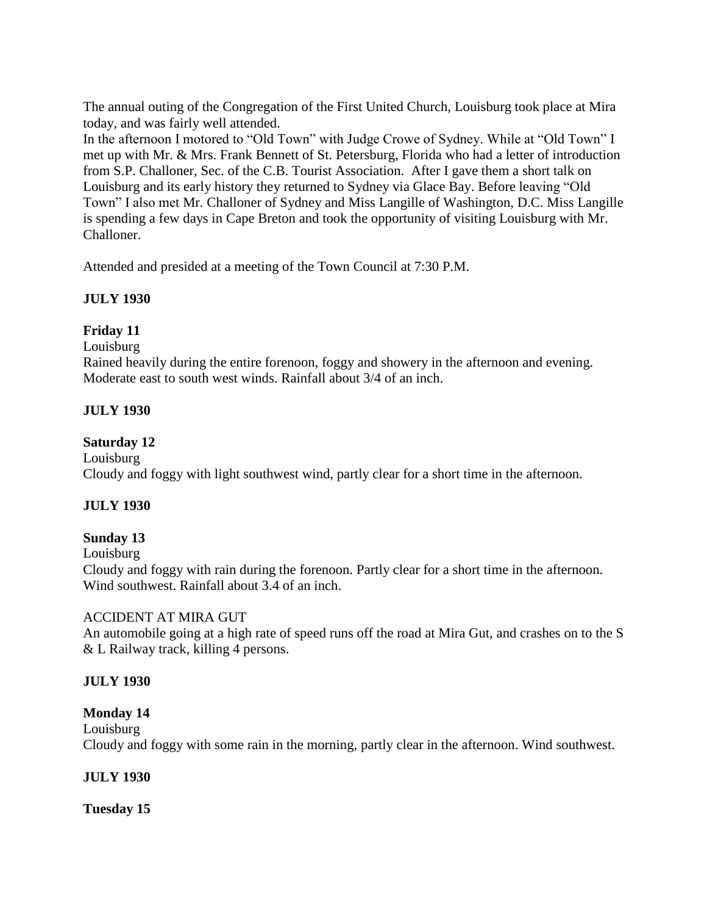The annual outing of the Congregation of the First United Church, Louisburg took place at Mira today, and was fairly well attended.

In the afternoon I motored to "Old Town" with Judge Crowe of Sydney. While at "Old Town" I met up with Mr. & Mrs. Frank Bennett of St. Petersburg, Florida who had a letter of introduction from S.P. Challoner, Sec. of the C.B. Tourist Association. After I gave them a short talk on Louisburg and its early history they returned to Sydney via Glace Bay. Before leaving "Old Town" I also met Mr. Challoner of Sydney and Miss Langille of Washington, D.C. Miss Langille is spending a few days in Cape Breton and took the opportunity of visiting Louisburg with Mr. Challoner.

Attended and presided at a meeting of the Town Council at 7:30 P.M.

### **JULY 1930**

# **Friday 11**

Louisburg

Rained heavily during the entire forenoon, foggy and showery in the afternoon and evening. Moderate east to south west winds. Rainfall about 3/4 of an inch.

# **JULY 1930**

### **Saturday 12**

Louisburg Cloudy and foggy with light southwest wind, partly clear for a short time in the afternoon.

### **JULY 1930**

### **Sunday 13**

Louisburg

Cloudy and foggy with rain during the forenoon. Partly clear for a short time in the afternoon. Wind southwest. Rainfall about 3.4 of an inch.

### ACCIDENT AT MIRA GUT

An automobile going at a high rate of speed runs off the road at Mira Gut, and crashes on to the S & L Railway track, killing 4 persons.

### **JULY 1930**

### **Monday 14**

Louisburg Cloudy and foggy with some rain in the morning, partly clear in the afternoon. Wind southwest.

### **JULY 1930**

**Tuesday 15**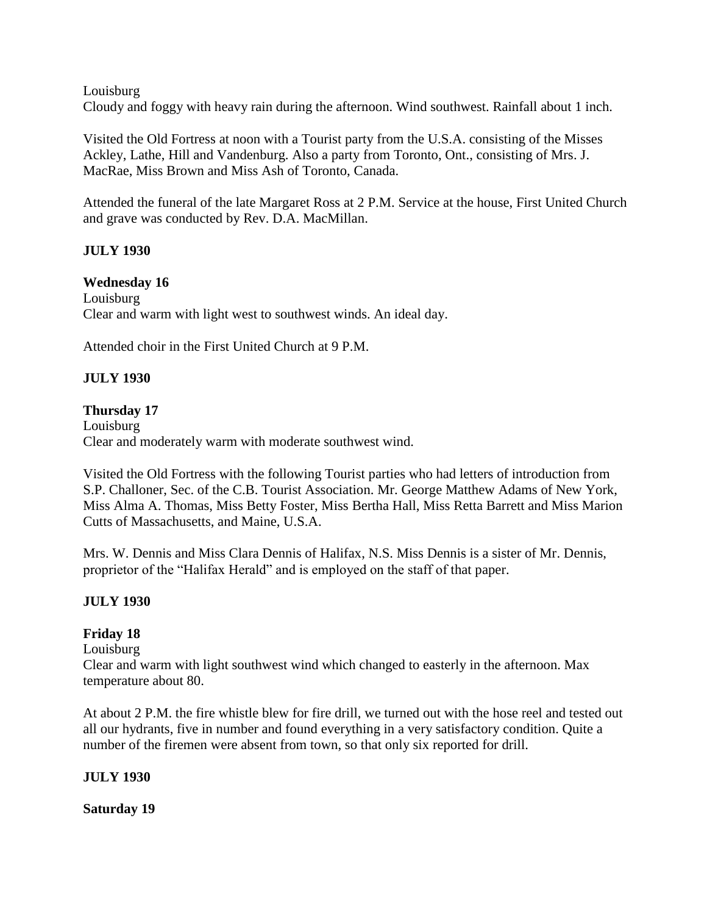Louisburg

Cloudy and foggy with heavy rain during the afternoon. Wind southwest. Rainfall about 1 inch.

Visited the Old Fortress at noon with a Tourist party from the U.S.A. consisting of the Misses Ackley, Lathe, Hill and Vandenburg. Also a party from Toronto, Ont., consisting of Mrs. J. MacRae, Miss Brown and Miss Ash of Toronto, Canada.

Attended the funeral of the late Margaret Ross at 2 P.M. Service at the house, First United Church and grave was conducted by Rev. D.A. MacMillan.

### **JULY 1930**

**Wednesday 16**

Louisburg Clear and warm with light west to southwest winds. An ideal day.

Attended choir in the First United Church at 9 P.M.

### **JULY 1930**

#### **Thursday 17**

Louisburg Clear and moderately warm with moderate southwest wind.

Visited the Old Fortress with the following Tourist parties who had letters of introduction from S.P. Challoner, Sec. of the C.B. Tourist Association. Mr. George Matthew Adams of New York, Miss Alma A. Thomas, Miss Betty Foster, Miss Bertha Hall, Miss Retta Barrett and Miss Marion Cutts of Massachusetts, and Maine, U.S.A.

Mrs. W. Dennis and Miss Clara Dennis of Halifax, N.S. Miss Dennis is a sister of Mr. Dennis, proprietor of the "Halifax Herald" and is employed on the staff of that paper.

#### **JULY 1930**

#### **Friday 18**

Louisburg

Clear and warm with light southwest wind which changed to easterly in the afternoon. Max temperature about 80.

At about 2 P.M. the fire whistle blew for fire drill, we turned out with the hose reel and tested out all our hydrants, five in number and found everything in a very satisfactory condition. Quite a number of the firemen were absent from town, so that only six reported for drill.

#### **JULY 1930**

**Saturday 19**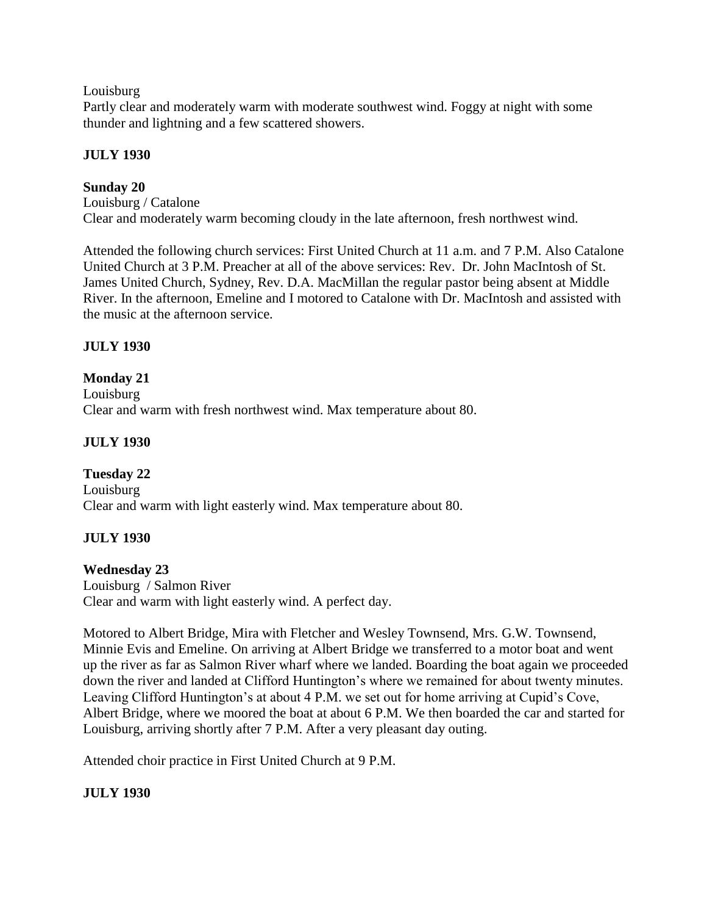#### Louisburg

Partly clear and moderately warm with moderate southwest wind. Foggy at night with some thunder and lightning and a few scattered showers.

### **JULY 1930**

# **Sunday 20**

Louisburg / Catalone Clear and moderately warm becoming cloudy in the late afternoon, fresh northwest wind.

Attended the following church services: First United Church at 11 a.m. and 7 P.M. Also Catalone United Church at 3 P.M. Preacher at all of the above services: Rev. Dr. John MacIntosh of St. James United Church, Sydney, Rev. D.A. MacMillan the regular pastor being absent at Middle River. In the afternoon, Emeline and I motored to Catalone with Dr. MacIntosh and assisted with the music at the afternoon service.

# **JULY 1930**

**Monday 21** Louisburg Clear and warm with fresh northwest wind. Max temperature about 80.

# **JULY 1930**

**Tuesday 22** Louisburg Clear and warm with light easterly wind. Max temperature about 80.

# **JULY 1930**

**Wednesday 23** Louisburg / Salmon River Clear and warm with light easterly wind. A perfect day.

Motored to Albert Bridge, Mira with Fletcher and Wesley Townsend, Mrs. G.W. Townsend, Minnie Evis and Emeline. On arriving at Albert Bridge we transferred to a motor boat and went up the river as far as Salmon River wharf where we landed. Boarding the boat again we proceeded down the river and landed at Clifford Huntington's where we remained for about twenty minutes. Leaving Clifford Huntington's at about 4 P.M. we set out for home arriving at Cupid's Cove, Albert Bridge, where we moored the boat at about 6 P.M. We then boarded the car and started for Louisburg, arriving shortly after 7 P.M. After a very pleasant day outing.

Attended choir practice in First United Church at 9 P.M.

# **JULY 1930**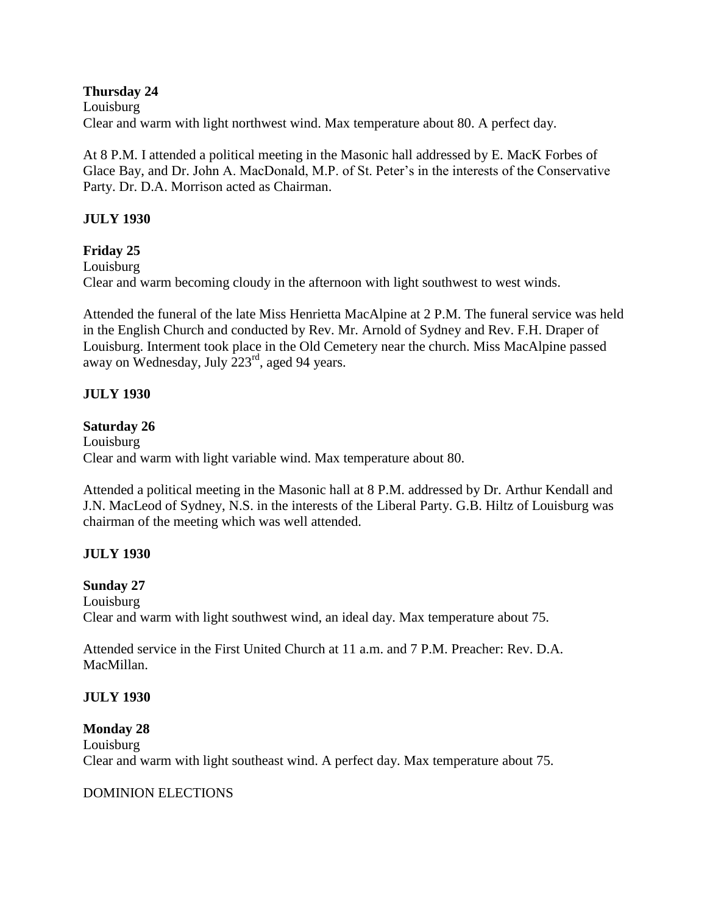### **Thursday 24**

Louisburg

Clear and warm with light northwest wind. Max temperature about 80. A perfect day.

At 8 P.M. I attended a political meeting in the Masonic hall addressed by E. MacK Forbes of Glace Bay, and Dr. John A. MacDonald, M.P. of St. Peter's in the interests of the Conservative Party. Dr. D.A. Morrison acted as Chairman.

## **JULY 1930**

# **Friday 25**

Louisburg Clear and warm becoming cloudy in the afternoon with light southwest to west winds.

Attended the funeral of the late Miss Henrietta MacAlpine at 2 P.M. The funeral service was held in the English Church and conducted by Rev. Mr. Arnold of Sydney and Rev. F.H. Draper of Louisburg. Interment took place in the Old Cemetery near the church. Miss MacAlpine passed away on Wednesday, July 223rd, aged 94 years.

### **JULY 1930**

### **Saturday 26**

Louisburg Clear and warm with light variable wind. Max temperature about 80.

Attended a political meeting in the Masonic hall at 8 P.M. addressed by Dr. Arthur Kendall and J.N. MacLeod of Sydney, N.S. in the interests of the Liberal Party. G.B. Hiltz of Louisburg was chairman of the meeting which was well attended.

### **JULY 1930**

### **Sunday 27**

Louisburg Clear and warm with light southwest wind, an ideal day. Max temperature about 75.

Attended service in the First United Church at 11 a.m. and 7 P.M. Preacher: Rev. D.A. MacMillan.

### **JULY 1930**

### **Monday 28**

Louisburg Clear and warm with light southeast wind. A perfect day. Max temperature about 75.

### DOMINION ELECTIONS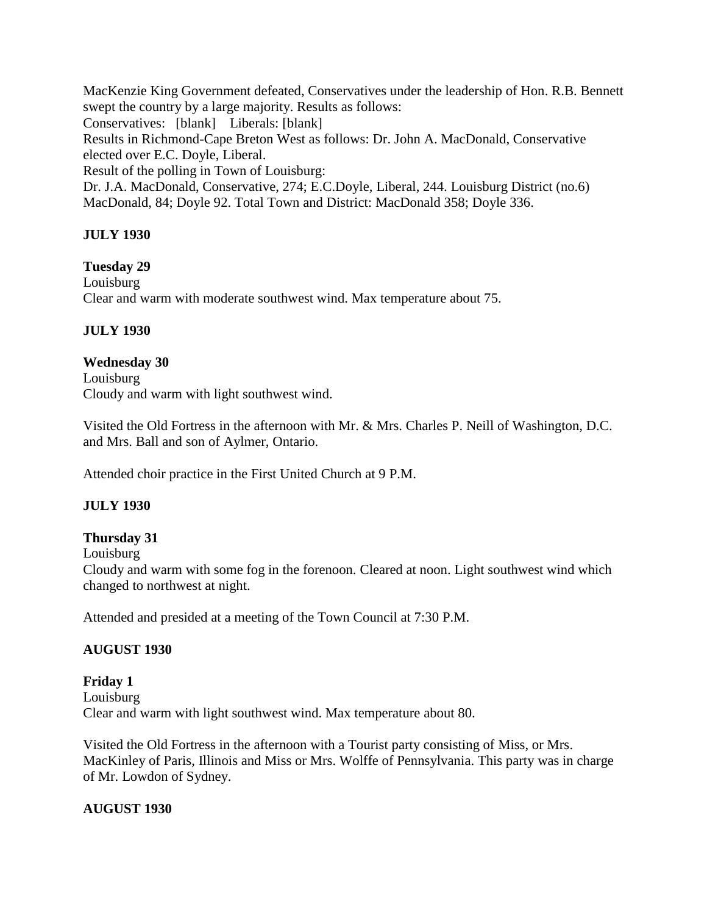MacKenzie King Government defeated, Conservatives under the leadership of Hon. R.B. Bennett swept the country by a large majority. Results as follows:

Conservatives: [blank] Liberals: [blank]

Results in Richmond-Cape Breton West as follows: Dr. John A. MacDonald, Conservative elected over E.C. Doyle, Liberal.

Result of the polling in Town of Louisburg:

Dr. J.A. MacDonald, Conservative, 274; E.C.Doyle, Liberal, 244. Louisburg District (no.6) MacDonald, 84; Doyle 92. Total Town and District: MacDonald 358; Doyle 336.

# **JULY 1930**

**Tuesday 29**

Louisburg Clear and warm with moderate southwest wind. Max temperature about 75.

# **JULY 1930**

### **Wednesday 30**

Louisburg Cloudy and warm with light southwest wind.

Visited the Old Fortress in the afternoon with Mr. & Mrs. Charles P. Neill of Washington, D.C. and Mrs. Ball and son of Aylmer, Ontario.

Attended choir practice in the First United Church at 9 P.M.

### **JULY 1930**

### **Thursday 31**

Louisburg

Cloudy and warm with some fog in the forenoon. Cleared at noon. Light southwest wind which changed to northwest at night.

Attended and presided at a meeting of the Town Council at 7:30 P.M.

### **AUGUST 1930**

**Friday 1** Louisburg Clear and warm with light southwest wind. Max temperature about 80.

Visited the Old Fortress in the afternoon with a Tourist party consisting of Miss, or Mrs. MacKinley of Paris, Illinois and Miss or Mrs. Wolffe of Pennsylvania. This party was in charge of Mr. Lowdon of Sydney.

### **AUGUST 1930**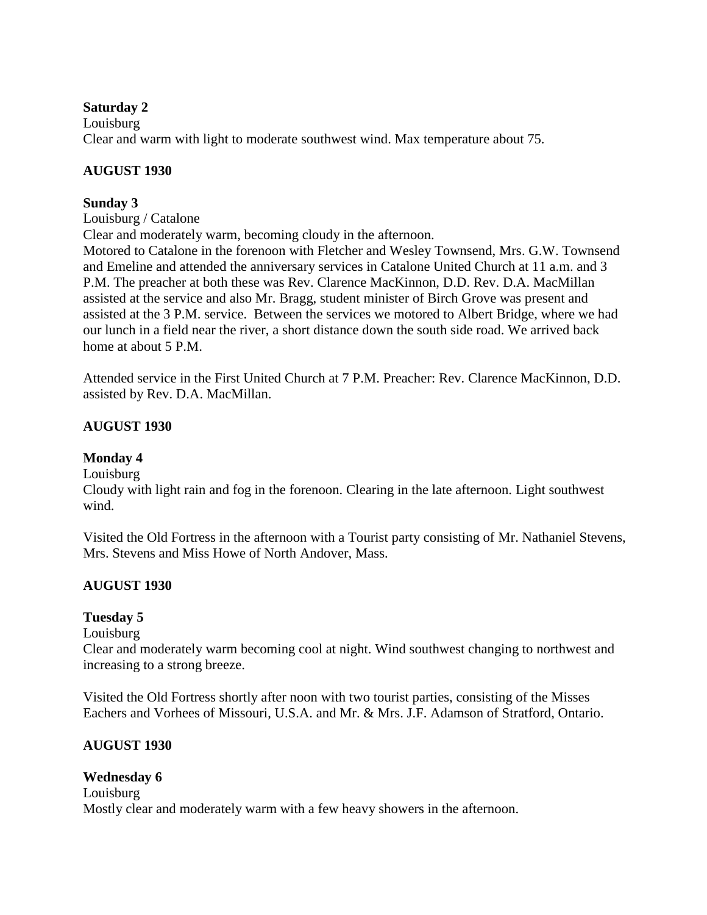### **Saturday 2**

Louisburg Clear and warm with light to moderate southwest wind. Max temperature about 75.

### **AUGUST 1930**

#### **Sunday 3**

Louisburg / Catalone

Clear and moderately warm, becoming cloudy in the afternoon.

Motored to Catalone in the forenoon with Fletcher and Wesley Townsend, Mrs. G.W. Townsend and Emeline and attended the anniversary services in Catalone United Church at 11 a.m. and 3 P.M. The preacher at both these was Rev. Clarence MacKinnon, D.D. Rev. D.A. MacMillan assisted at the service and also Mr. Bragg, student minister of Birch Grove was present and assisted at the 3 P.M. service. Between the services we motored to Albert Bridge, where we had our lunch in a field near the river, a short distance down the south side road. We arrived back home at about 5 P.M.

Attended service in the First United Church at 7 P.M. Preacher: Rev. Clarence MacKinnon, D.D. assisted by Rev. D.A. MacMillan.

### **AUGUST 1930**

# **Monday 4**

Louisburg

Cloudy with light rain and fog in the forenoon. Clearing in the late afternoon. Light southwest wind.

Visited the Old Fortress in the afternoon with a Tourist party consisting of Mr. Nathaniel Stevens, Mrs. Stevens and Miss Howe of North Andover, Mass.

### **AUGUST 1930**

### **Tuesday 5**

Louisburg

Clear and moderately warm becoming cool at night. Wind southwest changing to northwest and increasing to a strong breeze.

Visited the Old Fortress shortly after noon with two tourist parties, consisting of the Misses Eachers and Vorhees of Missouri, U.S.A. and Mr. & Mrs. J.F. Adamson of Stratford, Ontario.

### **AUGUST 1930**

### **Wednesday 6**

Louisburg Mostly clear and moderately warm with a few heavy showers in the afternoon.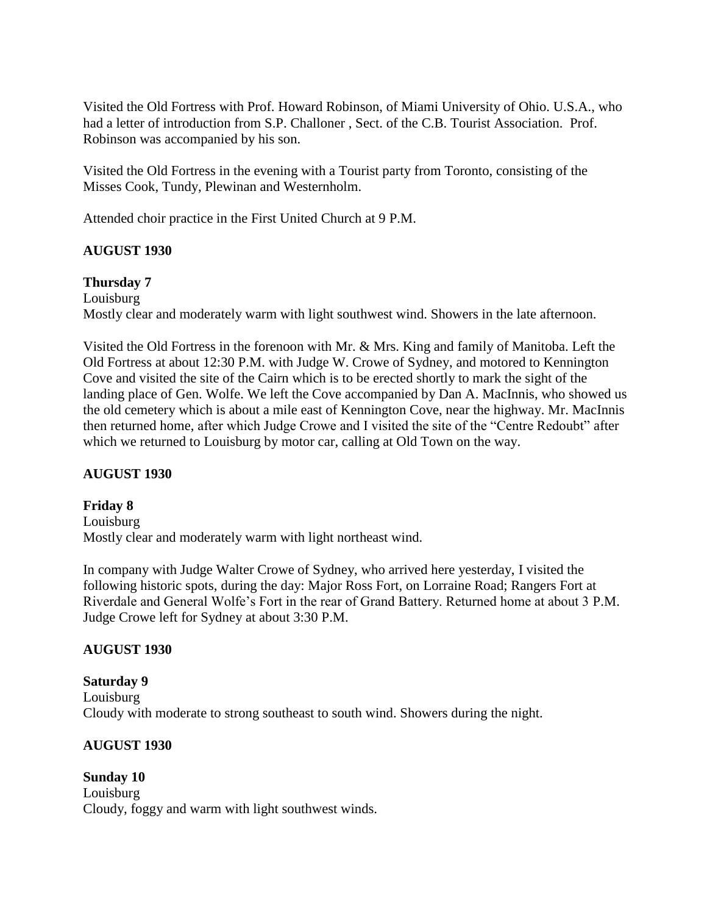Visited the Old Fortress with Prof. Howard Robinson, of Miami University of Ohio. U.S.A., who had a letter of introduction from S.P. Challoner , Sect. of the C.B. Tourist Association. Prof. Robinson was accompanied by his son.

Visited the Old Fortress in the evening with a Tourist party from Toronto, consisting of the Misses Cook, Tundy, Plewinan and Westernholm.

Attended choir practice in the First United Church at 9 P.M.

### **AUGUST 1930**

### **Thursday 7**

Louisburg

Mostly clear and moderately warm with light southwest wind. Showers in the late afternoon.

Visited the Old Fortress in the forenoon with Mr. & Mrs. King and family of Manitoba. Left the Old Fortress at about 12:30 P.M. with Judge W. Crowe of Sydney, and motored to Kennington Cove and visited the site of the Cairn which is to be erected shortly to mark the sight of the landing place of Gen. Wolfe. We left the Cove accompanied by Dan A. MacInnis, who showed us the old cemetery which is about a mile east of Kennington Cove, near the highway. Mr. MacInnis then returned home, after which Judge Crowe and I visited the site of the "Centre Redoubt" after which we returned to Louisburg by motor car, calling at Old Town on the way.

### **AUGUST 1930**

### **Friday 8**

Louisburg Mostly clear and moderately warm with light northeast wind.

In company with Judge Walter Crowe of Sydney, who arrived here yesterday, I visited the following historic spots, during the day: Major Ross Fort, on Lorraine Road; Rangers Fort at Riverdale and General Wolfe's Fort in the rear of Grand Battery. Returned home at about 3 P.M. Judge Crowe left for Sydney at about 3:30 P.M.

### **AUGUST 1930**

**Saturday 9** Louisburg Cloudy with moderate to strong southeast to south wind. Showers during the night.

### **AUGUST 1930**

**Sunday 10** Louisburg Cloudy, foggy and warm with light southwest winds.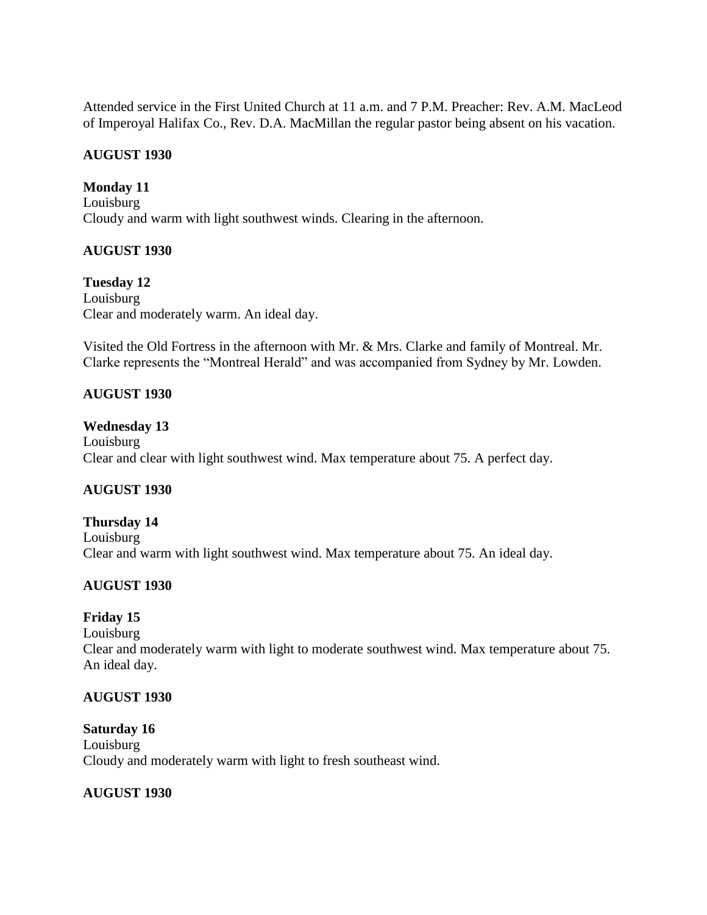Attended service in the First United Church at 11 a.m. and 7 P.M. Preacher: Rev. A.M. MacLeod of Imperoyal Halifax Co., Rev. D.A. MacMillan the regular pastor being absent on his vacation.

### **AUGUST 1930**

**Monday 11**

Louisburg Cloudy and warm with light southwest winds. Clearing in the afternoon.

### **AUGUST 1930**

**Tuesday 12** Louisburg Clear and moderately warm. An ideal day.

Visited the Old Fortress in the afternoon with Mr. & Mrs. Clarke and family of Montreal. Mr. Clarke represents the "Montreal Herald" and was accompanied from Sydney by Mr. Lowden.

### **AUGUST 1930**

#### **Wednesday 13**

Louisburg Clear and clear with light southwest wind. Max temperature about 75. A perfect day.

#### **AUGUST 1930**

**Thursday 14** Louisburg Clear and warm with light southwest wind. Max temperature about 75. An ideal day.

#### **AUGUST 1930**

#### **Friday 15**

Louisburg

Clear and moderately warm with light to moderate southwest wind. Max temperature about 75. An ideal day.

#### **AUGUST 1930**

**Saturday 16** Louisburg Cloudy and moderately warm with light to fresh southeast wind.

### **AUGUST 1930**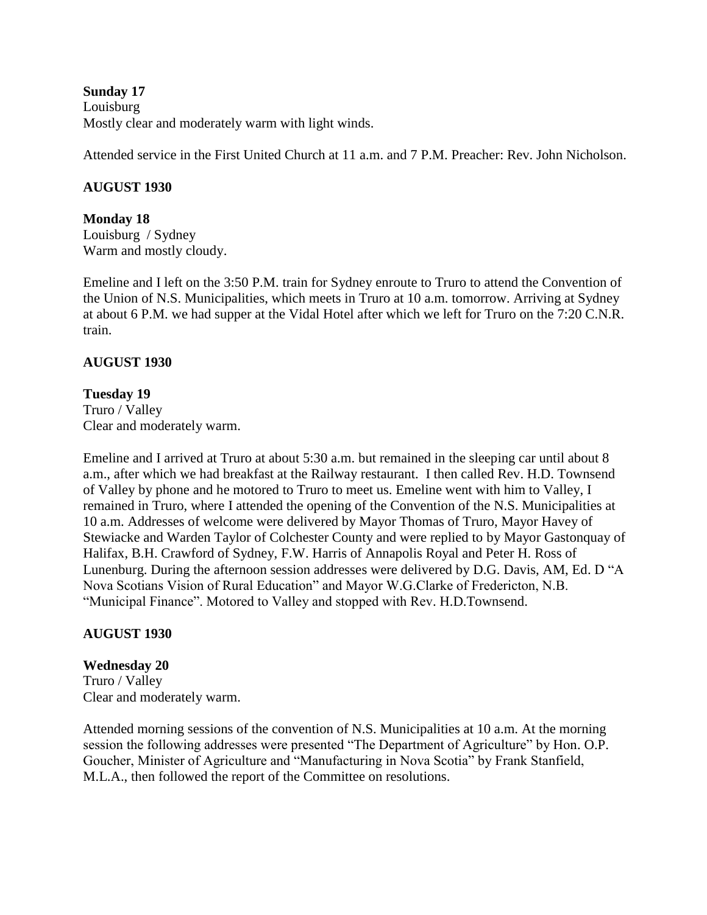**Sunday 17** Louisburg Mostly clear and moderately warm with light winds.

Attended service in the First United Church at 11 a.m. and 7 P.M. Preacher: Rev. John Nicholson.

### **AUGUST 1930**

#### **Monday 18**

Louisburg / Sydney Warm and mostly cloudy.

Emeline and I left on the 3:50 P.M. train for Sydney enroute to Truro to attend the Convention of the Union of N.S. Municipalities, which meets in Truro at 10 a.m. tomorrow. Arriving at Sydney at about 6 P.M. we had supper at the Vidal Hotel after which we left for Truro on the 7:20 C.N.R. train.

#### **AUGUST 1930**

#### **Tuesday 19**

Truro / Valley Clear and moderately warm.

Emeline and I arrived at Truro at about 5:30 a.m. but remained in the sleeping car until about 8 a.m., after which we had breakfast at the Railway restaurant. I then called Rev. H.D. Townsend of Valley by phone and he motored to Truro to meet us. Emeline went with him to Valley, I remained in Truro, where I attended the opening of the Convention of the N.S. Municipalities at 10 a.m. Addresses of welcome were delivered by Mayor Thomas of Truro, Mayor Havey of Stewiacke and Warden Taylor of Colchester County and were replied to by Mayor Gastonquay of Halifax, B.H. Crawford of Sydney, F.W. Harris of Annapolis Royal and Peter H. Ross of Lunenburg. During the afternoon session addresses were delivered by D.G. Davis, AM, Ed. D "A Nova Scotians Vision of Rural Education" and Mayor W.G.Clarke of Fredericton, N.B. "Municipal Finance". Motored to Valley and stopped with Rev. H.D.Townsend.

#### **AUGUST 1930**

#### **Wednesday 20**

Truro / Valley Clear and moderately warm.

Attended morning sessions of the convention of N.S. Municipalities at 10 a.m. At the morning session the following addresses were presented "The Department of Agriculture" by Hon. O.P. Goucher, Minister of Agriculture and "Manufacturing in Nova Scotia" by Frank Stanfield, M.L.A., then followed the report of the Committee on resolutions.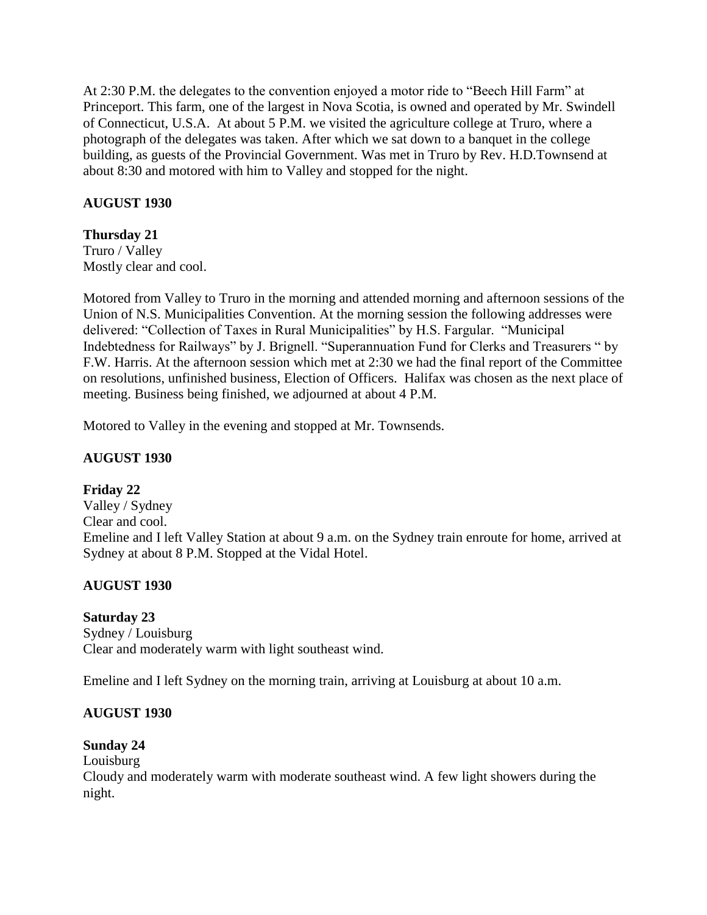At 2:30 P.M. the delegates to the convention enjoyed a motor ride to "Beech Hill Farm" at Princeport. This farm, one of the largest in Nova Scotia, is owned and operated by Mr. Swindell of Connecticut, U.S.A. At about 5 P.M. we visited the agriculture college at Truro, where a photograph of the delegates was taken. After which we sat down to a banquet in the college building, as guests of the Provincial Government. Was met in Truro by Rev. H.D.Townsend at about 8:30 and motored with him to Valley and stopped for the night.

## **AUGUST 1930**

# **Thursday 21**

Truro / Valley Mostly clear and cool.

Motored from Valley to Truro in the morning and attended morning and afternoon sessions of the Union of N.S. Municipalities Convention. At the morning session the following addresses were delivered: "Collection of Taxes in Rural Municipalities" by H.S. Fargular. "Municipal Indebtedness for Railways" by J. Brignell. "Superannuation Fund for Clerks and Treasurers " by F.W. Harris. At the afternoon session which met at 2:30 we had the final report of the Committee on resolutions, unfinished business, Election of Officers. Halifax was chosen as the next place of meeting. Business being finished, we adjourned at about 4 P.M.

Motored to Valley in the evening and stopped at Mr. Townsends.

## **AUGUST 1930**

### **Friday 22**

Valley / Sydney Clear and cool. Emeline and I left Valley Station at about 9 a.m. on the Sydney train enroute for home, arrived at Sydney at about 8 P.M. Stopped at the Vidal Hotel.

# **AUGUST 1930**

### **Saturday 23**

Sydney / Louisburg Clear and moderately warm with light southeast wind.

Emeline and I left Sydney on the morning train, arriving at Louisburg at about 10 a.m.

# **AUGUST 1930**

# **Sunday 24**

Louisburg

Cloudy and moderately warm with moderate southeast wind. A few light showers during the night.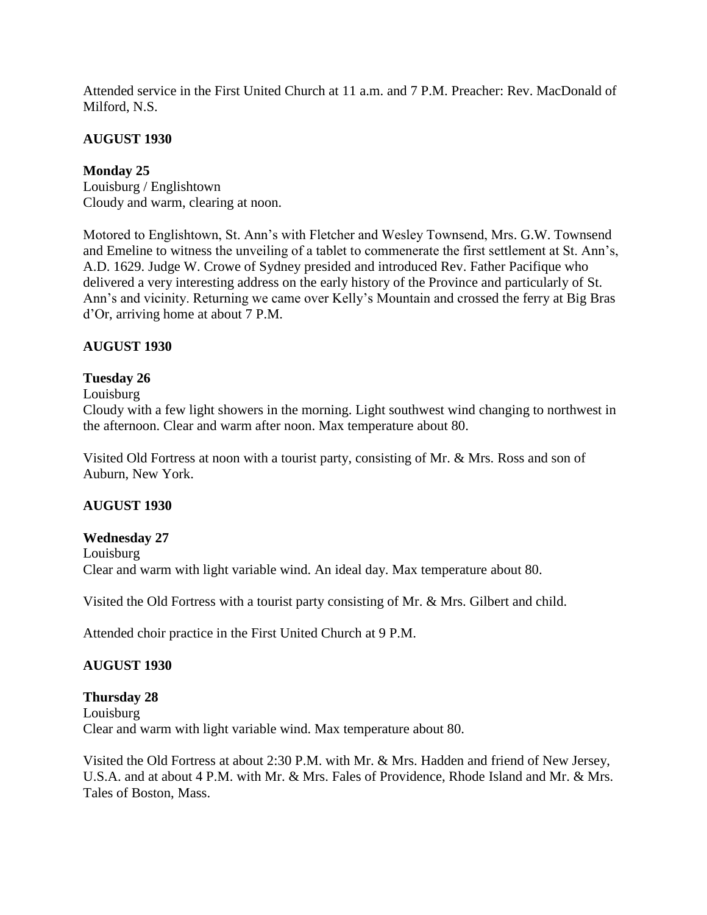Attended service in the First United Church at 11 a.m. and 7 P.M. Preacher: Rev. MacDonald of Milford, N.S.

### **AUGUST 1930**

### **Monday 25**

Louisburg / Englishtown Cloudy and warm, clearing at noon.

Motored to Englishtown, St. Ann's with Fletcher and Wesley Townsend, Mrs. G.W. Townsend and Emeline to witness the unveiling of a tablet to commenerate the first settlement at St. Ann's, A.D. 1629. Judge W. Crowe of Sydney presided and introduced Rev. Father Pacifique who delivered a very interesting address on the early history of the Province and particularly of St. Ann's and vicinity. Returning we came over Kelly's Mountain and crossed the ferry at Big Bras d'Or, arriving home at about 7 P.M.

### **AUGUST 1930**

### **Tuesday 26**

#### Louisburg

Cloudy with a few light showers in the morning. Light southwest wind changing to northwest in the afternoon. Clear and warm after noon. Max temperature about 80.

Visited Old Fortress at noon with a tourist party, consisting of Mr. & Mrs. Ross and son of Auburn, New York.

#### **AUGUST 1930**

#### **Wednesday 27**

Louisburg Clear and warm with light variable wind. An ideal day. Max temperature about 80.

Visited the Old Fortress with a tourist party consisting of Mr. & Mrs. Gilbert and child.

Attended choir practice in the First United Church at 9 P.M.

#### **AUGUST 1930**

#### **Thursday 28**

Louisburg Clear and warm with light variable wind. Max temperature about 80.

Visited the Old Fortress at about 2:30 P.M. with Mr. & Mrs. Hadden and friend of New Jersey, U.S.A. and at about 4 P.M. with Mr. & Mrs. Fales of Providence, Rhode Island and Mr. & Mrs. Tales of Boston, Mass.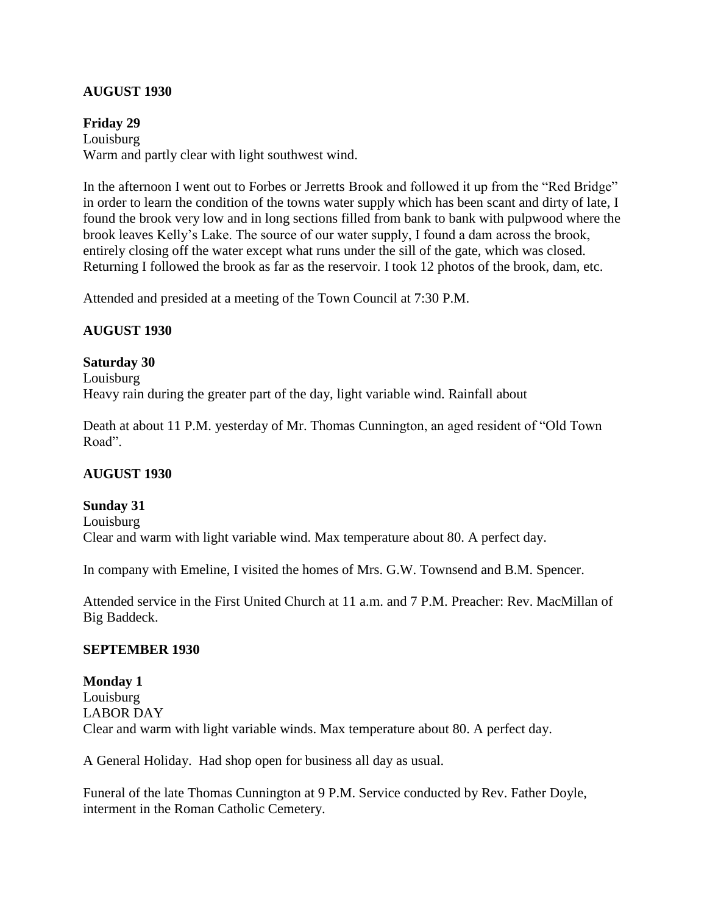### **AUGUST 1930**

**Friday 29** Louisburg Warm and partly clear with light southwest wind.

In the afternoon I went out to Forbes or Jerretts Brook and followed it up from the "Red Bridge" in order to learn the condition of the towns water supply which has been scant and dirty of late, I found the brook very low and in long sections filled from bank to bank with pulpwood where the brook leaves Kelly's Lake. The source of our water supply, I found a dam across the brook, entirely closing off the water except what runs under the sill of the gate, which was closed. Returning I followed the brook as far as the reservoir. I took 12 photos of the brook, dam, etc.

Attended and presided at a meeting of the Town Council at 7:30 P.M.

#### **AUGUST 1930**

#### **Saturday 30**

Louisburg Heavy rain during the greater part of the day, light variable wind. Rainfall about

Death at about 11 P.M. yesterday of Mr. Thomas Cunnington, an aged resident of "Old Town Road".

#### **AUGUST 1930**

#### **Sunday 31**

Louisburg Clear and warm with light variable wind. Max temperature about 80. A perfect day.

In company with Emeline, I visited the homes of Mrs. G.W. Townsend and B.M. Spencer.

Attended service in the First United Church at 11 a.m. and 7 P.M. Preacher: Rev. MacMillan of Big Baddeck.

#### **SEPTEMBER 1930**

**Monday 1** Louisburg LABOR DAY Clear and warm with light variable winds. Max temperature about 80. A perfect day.

A General Holiday. Had shop open for business all day as usual.

Funeral of the late Thomas Cunnington at 9 P.M. Service conducted by Rev. Father Doyle, interment in the Roman Catholic Cemetery.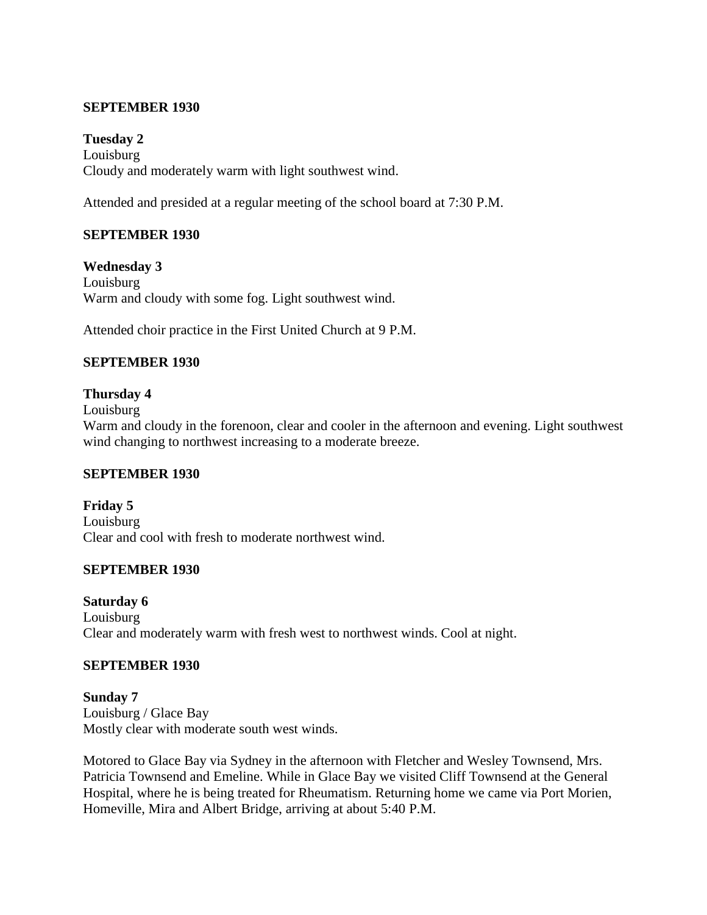#### **SEPTEMBER 1930**

#### **Tuesday 2**

Louisburg Cloudy and moderately warm with light southwest wind.

Attended and presided at a regular meeting of the school board at 7:30 P.M.

### **SEPTEMBER 1930**

**Wednesday 3** Louisburg Warm and cloudy with some fog. Light southwest wind.

Attended choir practice in the First United Church at 9 P.M.

### **SEPTEMBER 1930**

### **Thursday 4**

Louisburg

Warm and cloudy in the forenoon, clear and cooler in the afternoon and evening. Light southwest wind changing to northwest increasing to a moderate breeze.

#### **SEPTEMBER 1930**

**Friday 5** Louisburg Clear and cool with fresh to moderate northwest wind.

#### **SEPTEMBER 1930**

**Saturday 6** Louisburg Clear and moderately warm with fresh west to northwest winds. Cool at night.

#### **SEPTEMBER 1930**

**Sunday 7** Louisburg / Glace Bay Mostly clear with moderate south west winds.

Motored to Glace Bay via Sydney in the afternoon with Fletcher and Wesley Townsend, Mrs. Patricia Townsend and Emeline. While in Glace Bay we visited Cliff Townsend at the General Hospital, where he is being treated for Rheumatism. Returning home we came via Port Morien, Homeville, Mira and Albert Bridge, arriving at about 5:40 P.M.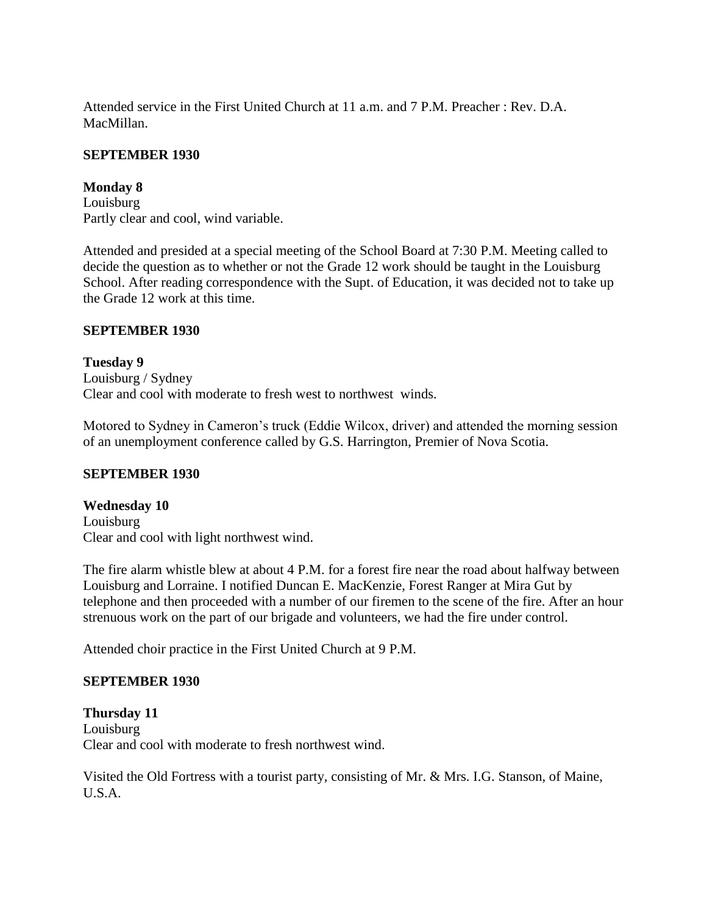Attended service in the First United Church at 11 a.m. and 7 P.M. Preacher : Rev. D.A. MacMillan.

#### **SEPTEMBER 1930**

#### **Monday 8**

Louisburg Partly clear and cool, wind variable.

Attended and presided at a special meeting of the School Board at 7:30 P.M. Meeting called to decide the question as to whether or not the Grade 12 work should be taught in the Louisburg School. After reading correspondence with the Supt. of Education, it was decided not to take up the Grade 12 work at this time.

### **SEPTEMBER 1930**

### **Tuesday 9**

Louisburg / Sydney Clear and cool with moderate to fresh west to northwest winds.

Motored to Sydney in Cameron's truck (Eddie Wilcox, driver) and attended the morning session of an unemployment conference called by G.S. Harrington, Premier of Nova Scotia.

#### **SEPTEMBER 1930**

### **Wednesday 10** Louisburg Clear and cool with light northwest wind.

The fire alarm whistle blew at about 4 P.M. for a forest fire near the road about halfway between Louisburg and Lorraine. I notified Duncan E. MacKenzie, Forest Ranger at Mira Gut by telephone and then proceeded with a number of our firemen to the scene of the fire. After an hour strenuous work on the part of our brigade and volunteers, we had the fire under control.

Attended choir practice in the First United Church at 9 P.M.

#### **SEPTEMBER 1930**

### **Thursday 11** Louisburg Clear and cool with moderate to fresh northwest wind.

Visited the Old Fortress with a tourist party, consisting of Mr. & Mrs. I.G. Stanson, of Maine, U.S.A.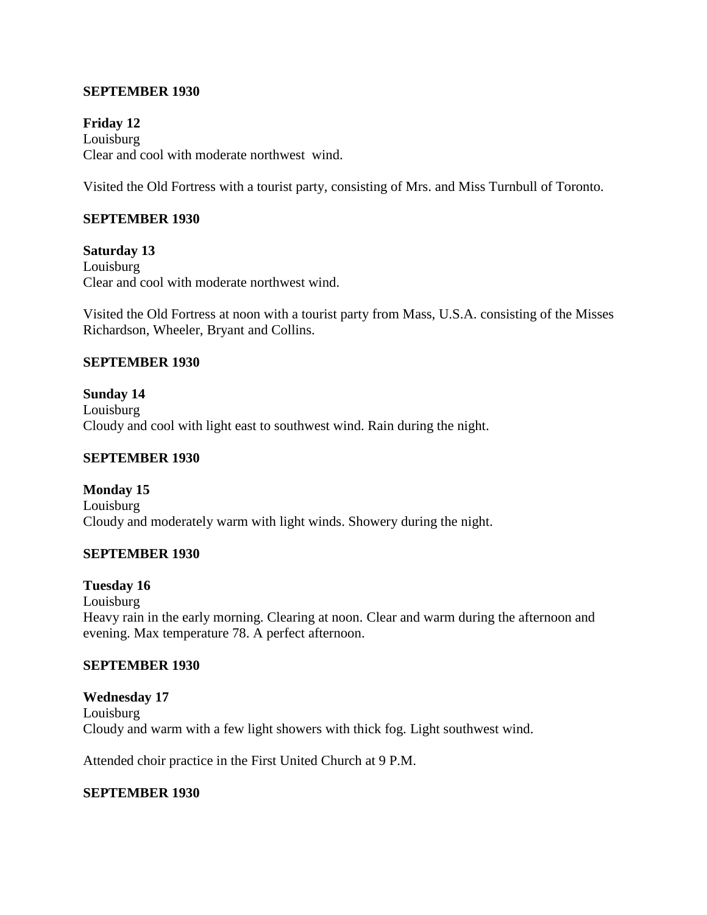#### **SEPTEMBER 1930**

**Friday 12** Louisburg Clear and cool with moderate northwest wind.

Visited the Old Fortress with a tourist party, consisting of Mrs. and Miss Turnbull of Toronto.

#### **SEPTEMBER 1930**

**Saturday 13** Louisburg Clear and cool with moderate northwest wind.

Visited the Old Fortress at noon with a tourist party from Mass, U.S.A. consisting of the Misses Richardson, Wheeler, Bryant and Collins.

#### **SEPTEMBER 1930**

**Sunday 14** Louisburg Cloudy and cool with light east to southwest wind. Rain during the night.

#### **SEPTEMBER 1930**

**Monday 15** Louisburg Cloudy and moderately warm with light winds. Showery during the night.

#### **SEPTEMBER 1930**

#### **Tuesday 16**

Louisburg Heavy rain in the early morning. Clearing at noon. Clear and warm during the afternoon and evening. Max temperature 78. A perfect afternoon.

#### **SEPTEMBER 1930**

**Wednesday 17** Louisburg Cloudy and warm with a few light showers with thick fog. Light southwest wind.

Attended choir practice in the First United Church at 9 P.M.

#### **SEPTEMBER 1930**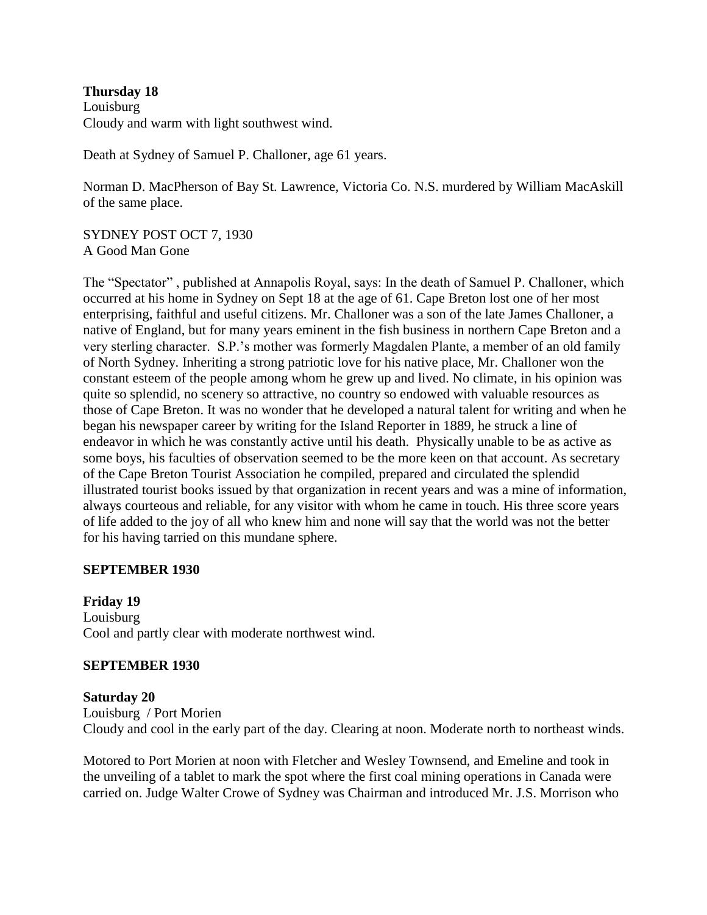**Thursday 18** Louisburg Cloudy and warm with light southwest wind.

Death at Sydney of Samuel P. Challoner, age 61 years.

Norman D. MacPherson of Bay St. Lawrence, Victoria Co. N.S. murdered by William MacAskill of the same place.

SYDNEY POST OCT 7, 1930 A Good Man Gone

The "Spectator" , published at Annapolis Royal, says: In the death of Samuel P. Challoner, which occurred at his home in Sydney on Sept 18 at the age of 61. Cape Breton lost one of her most enterprising, faithful and useful citizens. Mr. Challoner was a son of the late James Challoner, a native of England, but for many years eminent in the fish business in northern Cape Breton and a very sterling character. S.P.'s mother was formerly Magdalen Plante, a member of an old family of North Sydney. Inheriting a strong patriotic love for his native place, Mr. Challoner won the constant esteem of the people among whom he grew up and lived. No climate, in his opinion was quite so splendid, no scenery so attractive, no country so endowed with valuable resources as those of Cape Breton. It was no wonder that he developed a natural talent for writing and when he began his newspaper career by writing for the Island Reporter in 1889, he struck a line of endeavor in which he was constantly active until his death. Physically unable to be as active as some boys, his faculties of observation seemed to be the more keen on that account. As secretary of the Cape Breton Tourist Association he compiled, prepared and circulated the splendid illustrated tourist books issued by that organization in recent years and was a mine of information, always courteous and reliable, for any visitor with whom he came in touch. His three score years of life added to the joy of all who knew him and none will say that the world was not the better for his having tarried on this mundane sphere.

#### **SEPTEMBER 1930**

**Friday 19** Louisburg Cool and partly clear with moderate northwest wind.

#### **SEPTEMBER 1930**

**Saturday 20** Louisburg / Port Morien Cloudy and cool in the early part of the day. Clearing at noon. Moderate north to northeast winds.

Motored to Port Morien at noon with Fletcher and Wesley Townsend, and Emeline and took in the unveiling of a tablet to mark the spot where the first coal mining operations in Canada were carried on. Judge Walter Crowe of Sydney was Chairman and introduced Mr. J.S. Morrison who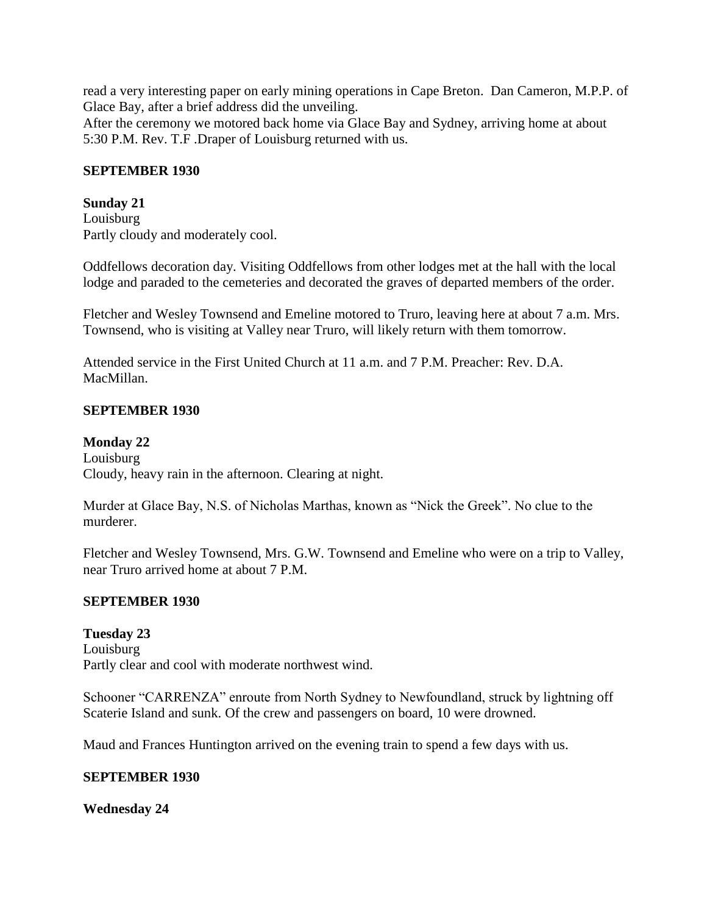read a very interesting paper on early mining operations in Cape Breton. Dan Cameron, M.P.P. of Glace Bay, after a brief address did the unveiling.

After the ceremony we motored back home via Glace Bay and Sydney, arriving home at about 5:30 P.M. Rev. T.F .Draper of Louisburg returned with us.

#### **SEPTEMBER 1930**

### **Sunday 21**

Louisburg Partly cloudy and moderately cool.

Oddfellows decoration day. Visiting Oddfellows from other lodges met at the hall with the local lodge and paraded to the cemeteries and decorated the graves of departed members of the order.

Fletcher and Wesley Townsend and Emeline motored to Truro, leaving here at about 7 a.m. Mrs. Townsend, who is visiting at Valley near Truro, will likely return with them tomorrow.

Attended service in the First United Church at 11 a.m. and 7 P.M. Preacher: Rev. D.A. MacMillan.

### **SEPTEMBER 1930**

### **Monday 22**

Louisburg Cloudy, heavy rain in the afternoon. Clearing at night.

Murder at Glace Bay, N.S. of Nicholas Marthas, known as "Nick the Greek". No clue to the murderer.

Fletcher and Wesley Townsend, Mrs. G.W. Townsend and Emeline who were on a trip to Valley, near Truro arrived home at about 7 P.M.

#### **SEPTEMBER 1930**

**Tuesday 23** Louisburg Partly clear and cool with moderate northwest wind.

Schooner "CARRENZA" enroute from North Sydney to Newfoundland, struck by lightning off Scaterie Island and sunk. Of the crew and passengers on board, 10 were drowned.

Maud and Frances Huntington arrived on the evening train to spend a few days with us.

#### **SEPTEMBER 1930**

**Wednesday 24**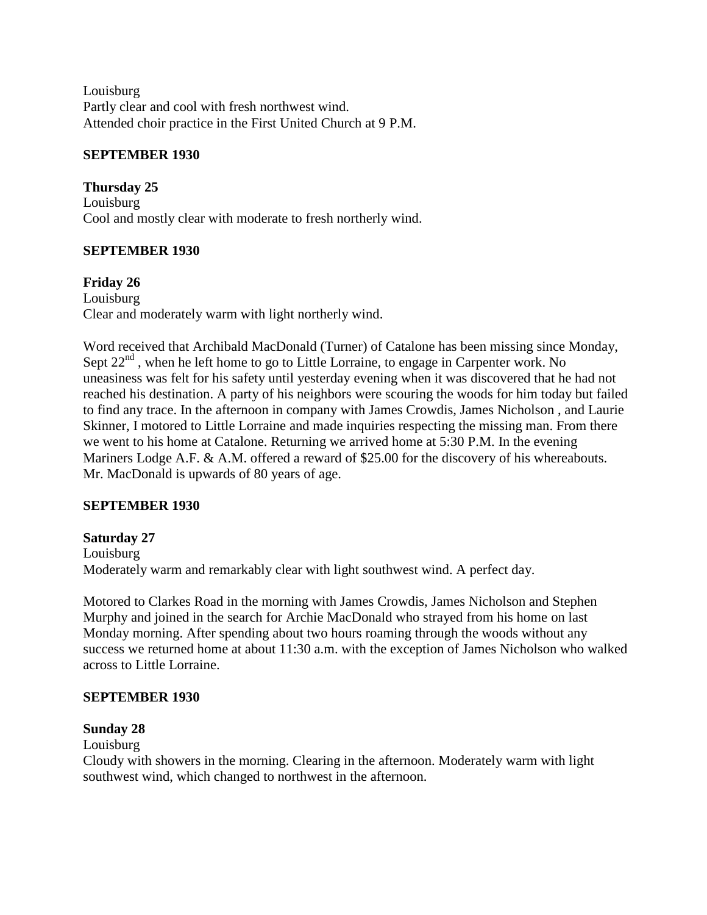Louisburg Partly clear and cool with fresh northwest wind. Attended choir practice in the First United Church at 9 P.M.

#### **SEPTEMBER 1930**

**Thursday 25** Louisburg Cool and mostly clear with moderate to fresh northerly wind.

### **SEPTEMBER 1930**

**Friday 26** Louisburg Clear and moderately warm with light northerly wind.

Word received that Archibald MacDonald (Turner) of Catalone has been missing since Monday, Sept  $22<sup>nd</sup>$ , when he left home to go to Little Lorraine, to engage in Carpenter work. No uneasiness was felt for his safety until yesterday evening when it was discovered that he had not reached his destination. A party of his neighbors were scouring the woods for him today but failed to find any trace. In the afternoon in company with James Crowdis, James Nicholson , and Laurie Skinner, I motored to Little Lorraine and made inquiries respecting the missing man. From there we went to his home at Catalone. Returning we arrived home at 5:30 P.M. In the evening Mariners Lodge A.F. & A.M. offered a reward of \$25.00 for the discovery of his whereabouts. Mr. MacDonald is upwards of 80 years of age.

#### **SEPTEMBER 1930**

#### **Saturday 27**

Louisburg Moderately warm and remarkably clear with light southwest wind. A perfect day.

Motored to Clarkes Road in the morning with James Crowdis, James Nicholson and Stephen Murphy and joined in the search for Archie MacDonald who strayed from his home on last Monday morning. After spending about two hours roaming through the woods without any success we returned home at about 11:30 a.m. with the exception of James Nicholson who walked across to Little Lorraine.

#### **SEPTEMBER 1930**

#### **Sunday 28**

Louisburg

Cloudy with showers in the morning. Clearing in the afternoon. Moderately warm with light southwest wind, which changed to northwest in the afternoon.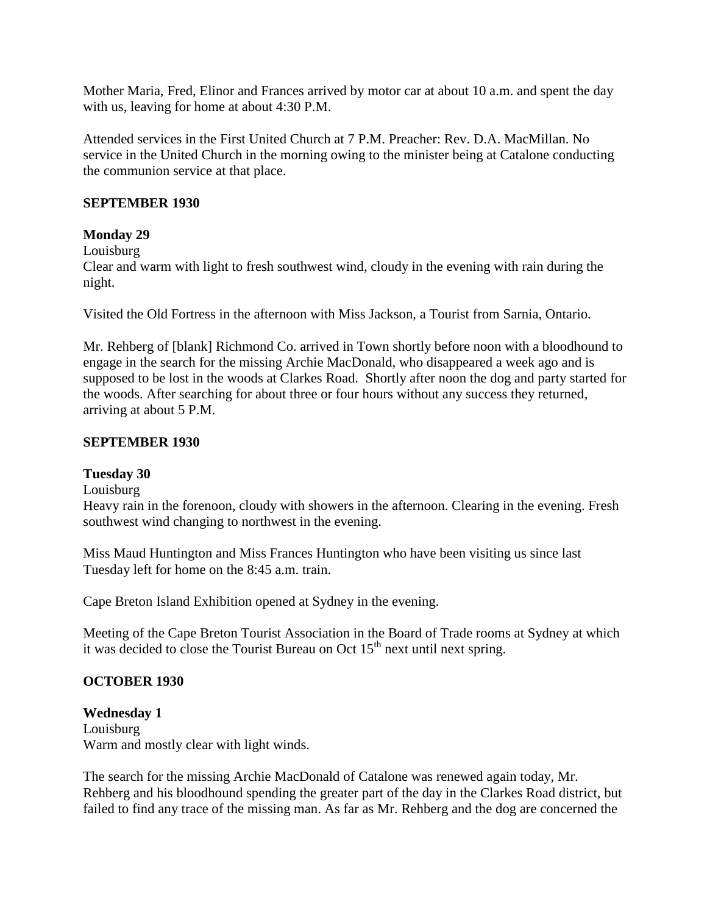Mother Maria, Fred, Elinor and Frances arrived by motor car at about 10 a.m. and spent the day with us, leaving for home at about 4:30 P.M.

Attended services in the First United Church at 7 P.M. Preacher: Rev. D.A. MacMillan. No service in the United Church in the morning owing to the minister being at Catalone conducting the communion service at that place.

### **SEPTEMBER 1930**

### **Monday 29**

Louisburg

Clear and warm with light to fresh southwest wind, cloudy in the evening with rain during the night.

Visited the Old Fortress in the afternoon with Miss Jackson, a Tourist from Sarnia, Ontario.

Mr. Rehberg of [blank] Richmond Co. arrived in Town shortly before noon with a bloodhound to engage in the search for the missing Archie MacDonald, who disappeared a week ago and is supposed to be lost in the woods at Clarkes Road. Shortly after noon the dog and party started for the woods. After searching for about three or four hours without any success they returned, arriving at about 5 P.M.

### **SEPTEMBER 1930**

#### **Tuesday 30**

Louisburg

Heavy rain in the forenoon, cloudy with showers in the afternoon. Clearing in the evening. Fresh southwest wind changing to northwest in the evening.

Miss Maud Huntington and Miss Frances Huntington who have been visiting us since last Tuesday left for home on the 8:45 a.m. train.

Cape Breton Island Exhibition opened at Sydney in the evening.

Meeting of the Cape Breton Tourist Association in the Board of Trade rooms at Sydney at which it was decided to close the Tourist Bureau on Oct  $15<sup>th</sup>$  next until next spring.

### **OCTOBER 1930**

**Wednesday 1** Louisburg Warm and mostly clear with light winds.

The search for the missing Archie MacDonald of Catalone was renewed again today, Mr. Rehberg and his bloodhound spending the greater part of the day in the Clarkes Road district, but failed to find any trace of the missing man. As far as Mr. Rehberg and the dog are concerned the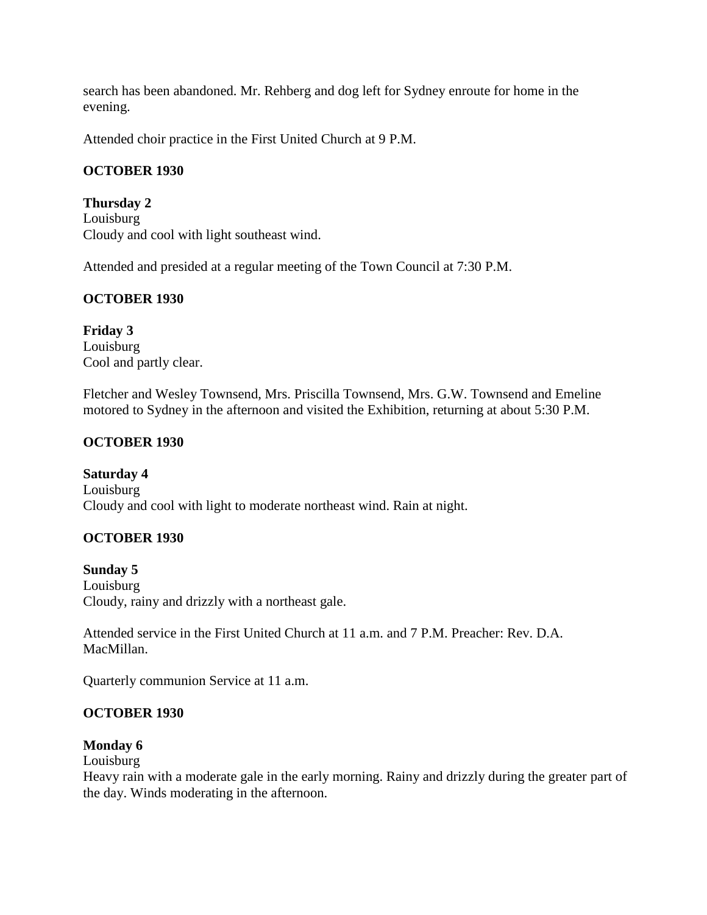search has been abandoned. Mr. Rehberg and dog left for Sydney enroute for home in the evening.

Attended choir practice in the First United Church at 9 P.M.

## **OCTOBER 1930**

**Thursday 2** Louisburg Cloudy and cool with light southeast wind.

Attended and presided at a regular meeting of the Town Council at 7:30 P.M.

# **OCTOBER 1930**

**Friday 3** Louisburg Cool and partly clear.

Fletcher and Wesley Townsend, Mrs. Priscilla Townsend, Mrs. G.W. Townsend and Emeline motored to Sydney in the afternoon and visited the Exhibition, returning at about 5:30 P.M.

### **OCTOBER 1930**

**Saturday 4** Louisburg Cloudy and cool with light to moderate northeast wind. Rain at night.

# **OCTOBER 1930**

**Sunday 5** Louisburg Cloudy, rainy and drizzly with a northeast gale.

Attended service in the First United Church at 11 a.m. and 7 P.M. Preacher: Rev. D.A. MacMillan.

Quarterly communion Service at 11 a.m.

## **OCTOBER 1930**

### **Monday 6**

Louisburg

Heavy rain with a moderate gale in the early morning. Rainy and drizzly during the greater part of the day. Winds moderating in the afternoon.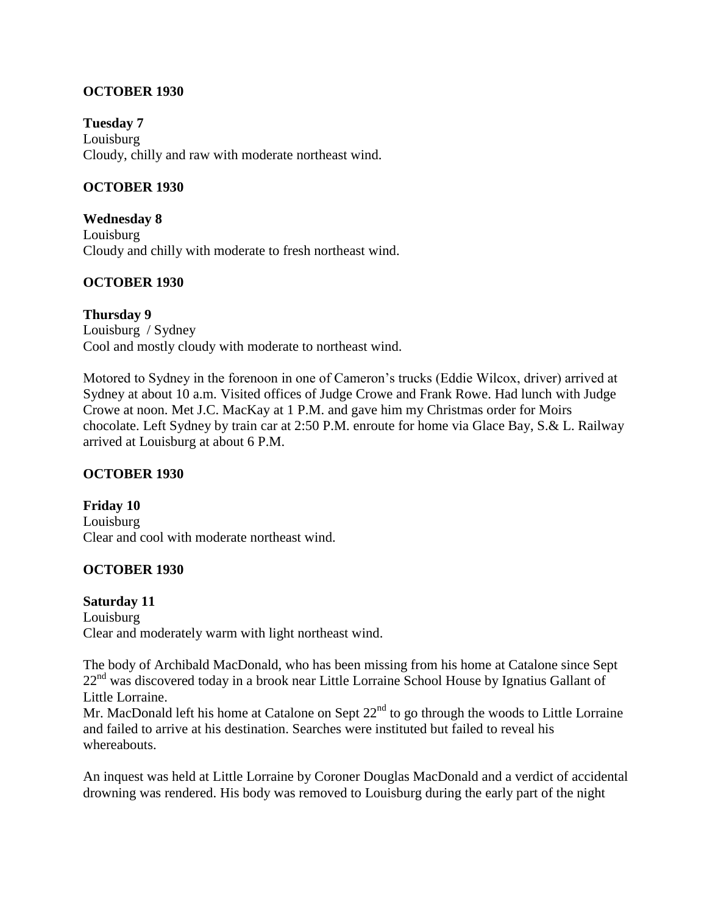### **OCTOBER 1930**

**Tuesday 7** Louisburg Cloudy, chilly and raw with moderate northeast wind.

### **OCTOBER 1930**

**Wednesday 8** Louisburg Cloudy and chilly with moderate to fresh northeast wind.

### **OCTOBER 1930**

### **Thursday 9**

Louisburg / Sydney Cool and mostly cloudy with moderate to northeast wind.

Motored to Sydney in the forenoon in one of Cameron's trucks (Eddie Wilcox, driver) arrived at Sydney at about 10 a.m. Visited offices of Judge Crowe and Frank Rowe. Had lunch with Judge Crowe at noon. Met J.C. MacKay at 1 P.M. and gave him my Christmas order for Moirs chocolate. Left Sydney by train car at 2:50 P.M. enroute for home via Glace Bay, S.& L. Railway arrived at Louisburg at about 6 P.M.

#### **OCTOBER 1930**

**Friday 10** Louisburg Clear and cool with moderate northeast wind.

### **OCTOBER 1930**

**Saturday 11** Louisburg Clear and moderately warm with light northeast wind.

The body of Archibald MacDonald, who has been missing from his home at Catalone since Sept 22<sup>nd</sup> was discovered today in a brook near Little Lorraine School House by Ignatius Gallant of Little Lorraine.

Mr. MacDonald left his home at Catalone on Sept 22<sup>nd</sup> to go through the woods to Little Lorraine and failed to arrive at his destination. Searches were instituted but failed to reveal his whereabouts.

An inquest was held at Little Lorraine by Coroner Douglas MacDonald and a verdict of accidental drowning was rendered. His body was removed to Louisburg during the early part of the night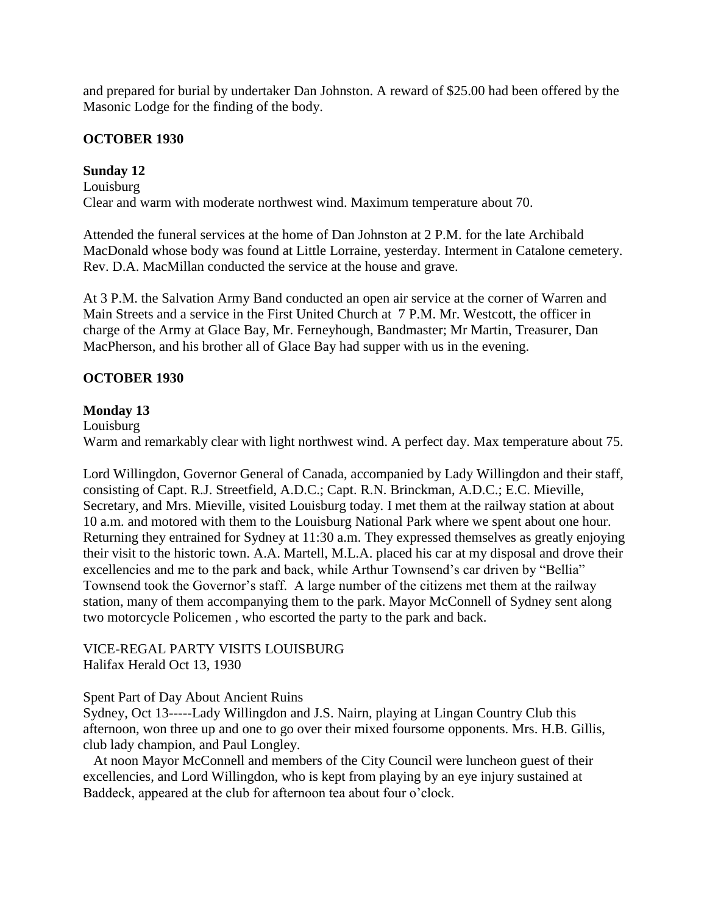and prepared for burial by undertaker Dan Johnston. A reward of \$25.00 had been offered by the Masonic Lodge for the finding of the body.

# **OCTOBER 1930**

# **Sunday 12**

Louisburg Clear and warm with moderate northwest wind. Maximum temperature about 70.

Attended the funeral services at the home of Dan Johnston at 2 P.M. for the late Archibald MacDonald whose body was found at Little Lorraine, yesterday. Interment in Catalone cemetery. Rev. D.A. MacMillan conducted the service at the house and grave.

At 3 P.M. the Salvation Army Band conducted an open air service at the corner of Warren and Main Streets and a service in the First United Church at 7 P.M. Mr. Westcott, the officer in charge of the Army at Glace Bay, Mr. Ferneyhough, Bandmaster; Mr Martin, Treasurer, Dan MacPherson, and his brother all of Glace Bay had supper with us in the evening.

# **OCTOBER 1930**

# **Monday 13**

Louisburg

Warm and remarkably clear with light northwest wind. A perfect day. Max temperature about 75.

Lord Willingdon, Governor General of Canada, accompanied by Lady Willingdon and their staff, consisting of Capt. R.J. Streetfield, A.D.C.; Capt. R.N. Brinckman, A.D.C.; E.C. Mieville, Secretary, and Mrs. Mieville, visited Louisburg today. I met them at the railway station at about 10 a.m. and motored with them to the Louisburg National Park where we spent about one hour. Returning they entrained for Sydney at 11:30 a.m. They expressed themselves as greatly enjoying their visit to the historic town. A.A. Martell, M.L.A. placed his car at my disposal and drove their excellencies and me to the park and back, while Arthur Townsend's car driven by "Bellia" Townsend took the Governor's staff. A large number of the citizens met them at the railway station, many of them accompanying them to the park. Mayor McConnell of Sydney sent along two motorcycle Policemen , who escorted the party to the park and back.

VICE-REGAL PARTY VISITS LOUISBURG Halifax Herald Oct 13, 1930

### Spent Part of Day About Ancient Ruins

Sydney, Oct 13-----Lady Willingdon and J.S. Nairn, playing at Lingan Country Club this afternoon, won three up and one to go over their mixed foursome opponents. Mrs. H.B. Gillis, club lady champion, and Paul Longley.

 At noon Mayor McConnell and members of the City Council were luncheon guest of their excellencies, and Lord Willingdon, who is kept from playing by an eye injury sustained at Baddeck, appeared at the club for afternoon tea about four o'clock.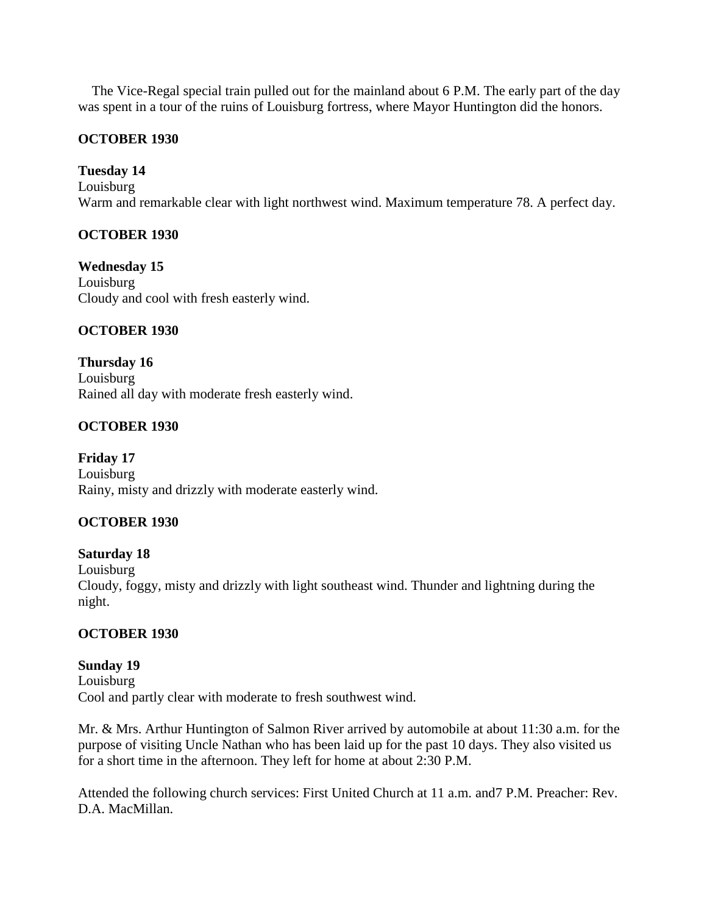The Vice-Regal special train pulled out for the mainland about 6 P.M. The early part of the day was spent in a tour of the ruins of Louisburg fortress, where Mayor Huntington did the honors.

### **OCTOBER 1930**

### **Tuesday 14**

Louisburg Warm and remarkable clear with light northwest wind. Maximum temperature 78. A perfect day.

## **OCTOBER 1930**

**Wednesday 15** Louisburg Cloudy and cool with fresh easterly wind.

# **OCTOBER 1930**

**Thursday 16** Louisburg Rained all day with moderate fresh easterly wind.

# **OCTOBER 1930**

**Friday 17** Louisburg Rainy, misty and drizzly with moderate easterly wind.

### **OCTOBER 1930**

**Saturday 18** Louisburg Cloudy, foggy, misty and drizzly with light southeast wind. Thunder and lightning during the night.

### **OCTOBER 1930**

### **Sunday 19**

Louisburg Cool and partly clear with moderate to fresh southwest wind.

Mr. & Mrs. Arthur Huntington of Salmon River arrived by automobile at about 11:30 a.m. for the purpose of visiting Uncle Nathan who has been laid up for the past 10 days. They also visited us for a short time in the afternoon. They left for home at about 2:30 P.M.

Attended the following church services: First United Church at 11 a.m. and7 P.M. Preacher: Rev. D.A. MacMillan.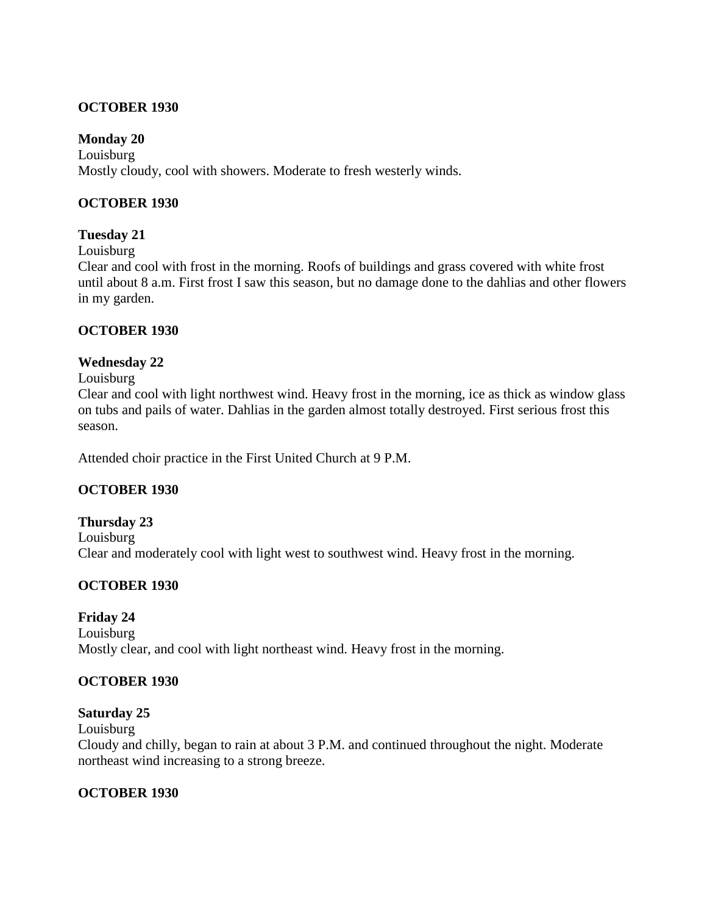### **OCTOBER 1930**

#### **Monday 20**

Louisburg Mostly cloudy, cool with showers. Moderate to fresh westerly winds.

### **OCTOBER 1930**

### **Tuesday 21**

**Louisburg** 

Clear and cool with frost in the morning. Roofs of buildings and grass covered with white frost until about 8 a.m. First frost I saw this season, but no damage done to the dahlias and other flowers in my garden.

### **OCTOBER 1930**

### **Wednesday 22**

### Louisburg

Clear and cool with light northwest wind. Heavy frost in the morning, ice as thick as window glass on tubs and pails of water. Dahlias in the garden almost totally destroyed. First serious frost this season.

Attended choir practice in the First United Church at 9 P.M.

### **OCTOBER 1930**

#### **Thursday 23** Louisburg Clear and moderately cool with light west to southwest wind. Heavy frost in the morning.

### **OCTOBER 1930**

### **Friday 24**

Louisburg Mostly clear, and cool with light northeast wind. Heavy frost in the morning.

#### **OCTOBER 1930**

#### **Saturday 25**

Louisburg

Cloudy and chilly, began to rain at about 3 P.M. and continued throughout the night. Moderate northeast wind increasing to a strong breeze.

### **OCTOBER 1930**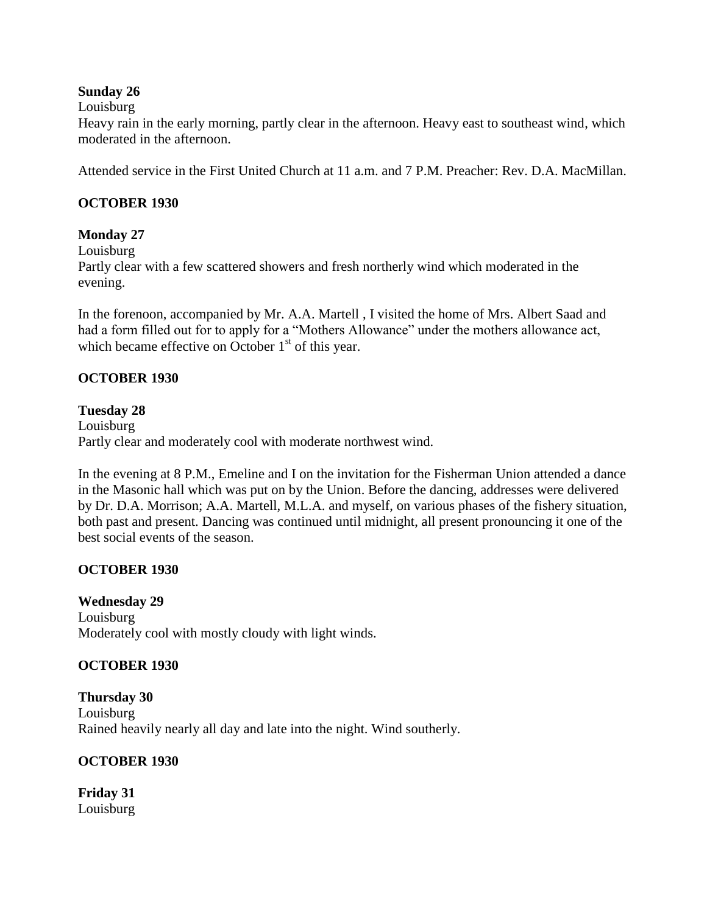### **Sunday 26**

#### Louisburg

Heavy rain in the early morning, partly clear in the afternoon. Heavy east to southeast wind, which moderated in the afternoon.

Attended service in the First United Church at 11 a.m. and 7 P.M. Preacher: Rev. D.A. MacMillan.

### **OCTOBER 1930**

### **Monday 27**

Louisburg

Partly clear with a few scattered showers and fresh northerly wind which moderated in the evening.

In the forenoon, accompanied by Mr. A.A. Martell , I visited the home of Mrs. Albert Saad and had a form filled out for to apply for a "Mothers Allowance" under the mothers allowance act, which became effective on October  $1<sup>st</sup>$  of this year.

### **OCTOBER 1930**

#### **Tuesday 28**

Louisburg Partly clear and moderately cool with moderate northwest wind.

In the evening at 8 P.M., Emeline and I on the invitation for the Fisherman Union attended a dance in the Masonic hall which was put on by the Union. Before the dancing, addresses were delivered by Dr. D.A. Morrison; A.A. Martell, M.L.A. and myself, on various phases of the fishery situation, both past and present. Dancing was continued until midnight, all present pronouncing it one of the best social events of the season.

### **OCTOBER 1930**

**Wednesday 29** Louisburg Moderately cool with mostly cloudy with light winds.

#### **OCTOBER 1930**

**Thursday 30** Louisburg Rained heavily nearly all day and late into the night. Wind southerly.

#### **OCTOBER 1930**

**Friday 31** Louisburg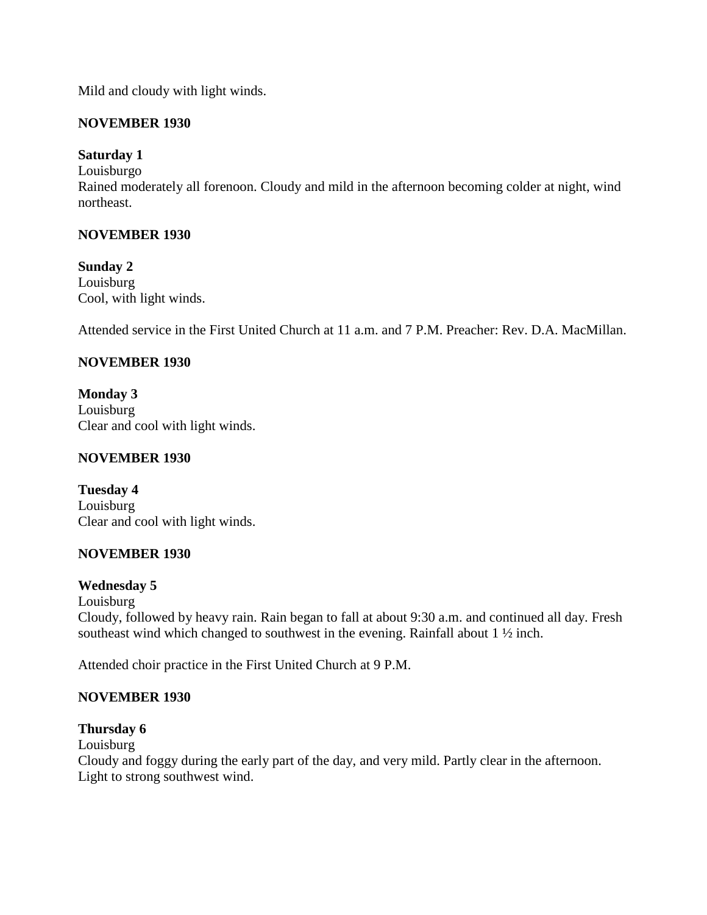Mild and cloudy with light winds.

# **NOVEMBER 1930**

# **Saturday 1**

Louisburgo Rained moderately all forenoon. Cloudy and mild in the afternoon becoming colder at night, wind northeast.

# **NOVEMBER 1930**

**Sunday 2** Louisburg Cool, with light winds.

Attended service in the First United Church at 11 a.m. and 7 P.M. Preacher: Rev. D.A. MacMillan.

# **NOVEMBER 1930**

**Monday 3** Louisburg Clear and cool with light winds.

# **NOVEMBER 1930**

**Tuesday 4** Louisburg Clear and cool with light winds.

### **NOVEMBER 1930**

### **Wednesday 5**

Louisburg Cloudy, followed by heavy rain. Rain began to fall at about 9:30 a.m. and continued all day. Fresh southeast wind which changed to southwest in the evening. Rainfall about  $1 \frac{1}{2}$  inch.

Attended choir practice in the First United Church at 9 P.M.

### **NOVEMBER 1930**

### **Thursday 6**

Louisburg Cloudy and foggy during the early part of the day, and very mild. Partly clear in the afternoon. Light to strong southwest wind.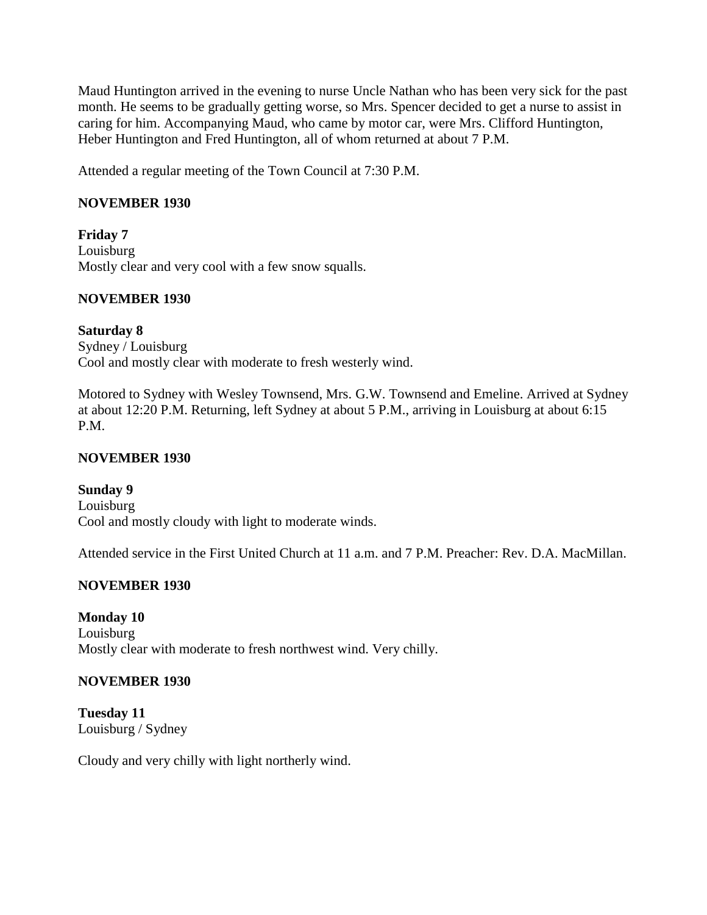Maud Huntington arrived in the evening to nurse Uncle Nathan who has been very sick for the past month. He seems to be gradually getting worse, so Mrs. Spencer decided to get a nurse to assist in caring for him. Accompanying Maud, who came by motor car, were Mrs. Clifford Huntington, Heber Huntington and Fred Huntington, all of whom returned at about 7 P.M.

Attended a regular meeting of the Town Council at 7:30 P.M.

### **NOVEMBER 1930**

**Friday 7** Louisburg Mostly clear and very cool with a few snow squalls.

### **NOVEMBER 1930**

**Saturday 8** Sydney / Louisburg Cool and mostly clear with moderate to fresh westerly wind.

Motored to Sydney with Wesley Townsend, Mrs. G.W. Townsend and Emeline. Arrived at Sydney at about 12:20 P.M. Returning, left Sydney at about 5 P.M., arriving in Louisburg at about 6:15 P.M.

#### **NOVEMBER 1930**

**Sunday 9** Louisburg Cool and mostly cloudy with light to moderate winds.

Attended service in the First United Church at 11 a.m. and 7 P.M. Preacher: Rev. D.A. MacMillan.

### **NOVEMBER 1930**

**Monday 10** Louisburg Mostly clear with moderate to fresh northwest wind. Very chilly.

#### **NOVEMBER 1930**

**Tuesday 11** Louisburg / Sydney

Cloudy and very chilly with light northerly wind.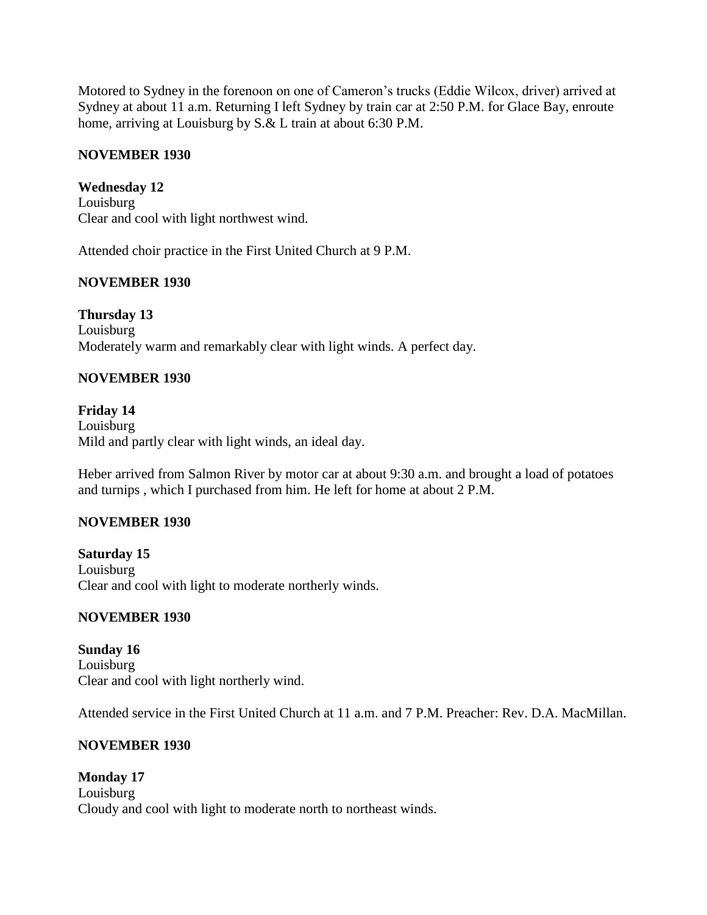Motored to Sydney in the forenoon on one of Cameron's trucks (Eddie Wilcox, driver) arrived at Sydney at about 11 a.m. Returning I left Sydney by train car at 2:50 P.M. for Glace Bay, enroute home, arriving at Louisburg by S.& L train at about 6:30 P.M.

## **NOVEMBER 1930**

**Wednesday 12** Louisburg Clear and cool with light northwest wind.

Attended choir practice in the First United Church at 9 P.M.

# **NOVEMBER 1930**

**Thursday 13** Louisburg Moderately warm and remarkably clear with light winds. A perfect day.

# **NOVEMBER 1930**

**Friday 14** Louisburg Mild and partly clear with light winds, an ideal day.

Heber arrived from Salmon River by motor car at about 9:30 a.m. and brought a load of potatoes and turnips , which I purchased from him. He left for home at about 2 P.M.

# **NOVEMBER 1930**

**Saturday 15** Louisburg Clear and cool with light to moderate northerly winds.

# **NOVEMBER 1930**

**Sunday 16** Louisburg Clear and cool with light northerly wind.

Attended service in the First United Church at 11 a.m. and 7 P.M. Preacher: Rev. D.A. MacMillan.

# **NOVEMBER 1930**

**Monday 17** Louisburg Cloudy and cool with light to moderate north to northeast winds.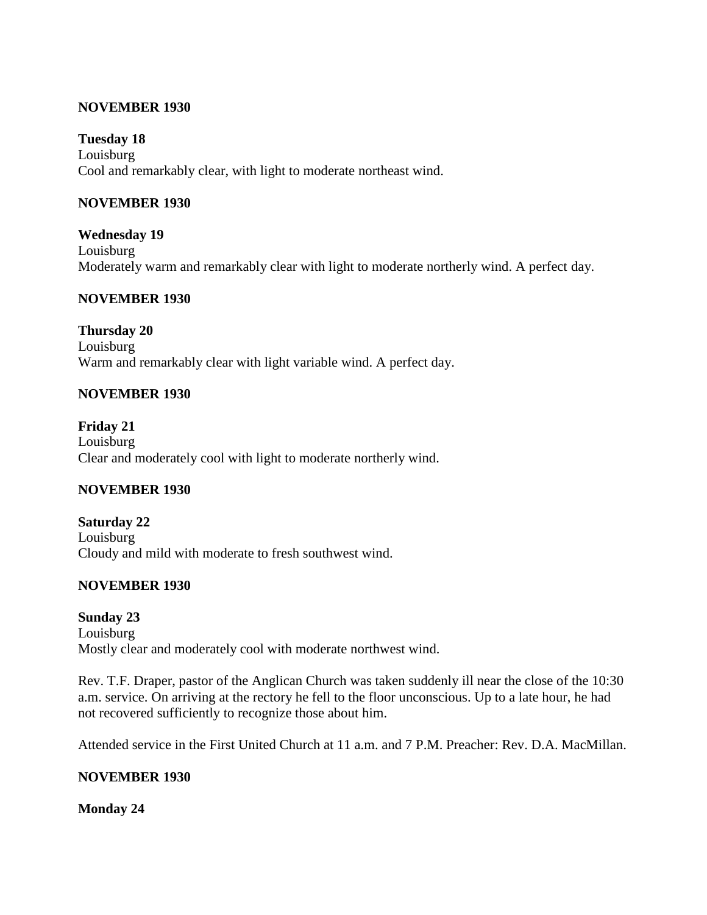### **NOVEMBER 1930**

**Tuesday 18** Louisburg Cool and remarkably clear, with light to moderate northeast wind.

### **NOVEMBER 1930**

**Wednesday 19** Louisburg Moderately warm and remarkably clear with light to moderate northerly wind. A perfect day.

## **NOVEMBER 1930**

**Thursday 20** Louisburg Warm and remarkably clear with light variable wind. A perfect day.

### **NOVEMBER 1930**

**Friday 21** Louisburg Clear and moderately cool with light to moderate northerly wind.

## **NOVEMBER 1930**

**Saturday 22** Louisburg Cloudy and mild with moderate to fresh southwest wind.

#### **NOVEMBER 1930**

**Sunday 23** Louisburg Mostly clear and moderately cool with moderate northwest wind.

Rev. T.F. Draper, pastor of the Anglican Church was taken suddenly ill near the close of the 10:30 a.m. service. On arriving at the rectory he fell to the floor unconscious. Up to a late hour, he had not recovered sufficiently to recognize those about him.

Attended service in the First United Church at 11 a.m. and 7 P.M. Preacher: Rev. D.A. MacMillan.

#### **NOVEMBER 1930**

**Monday 24**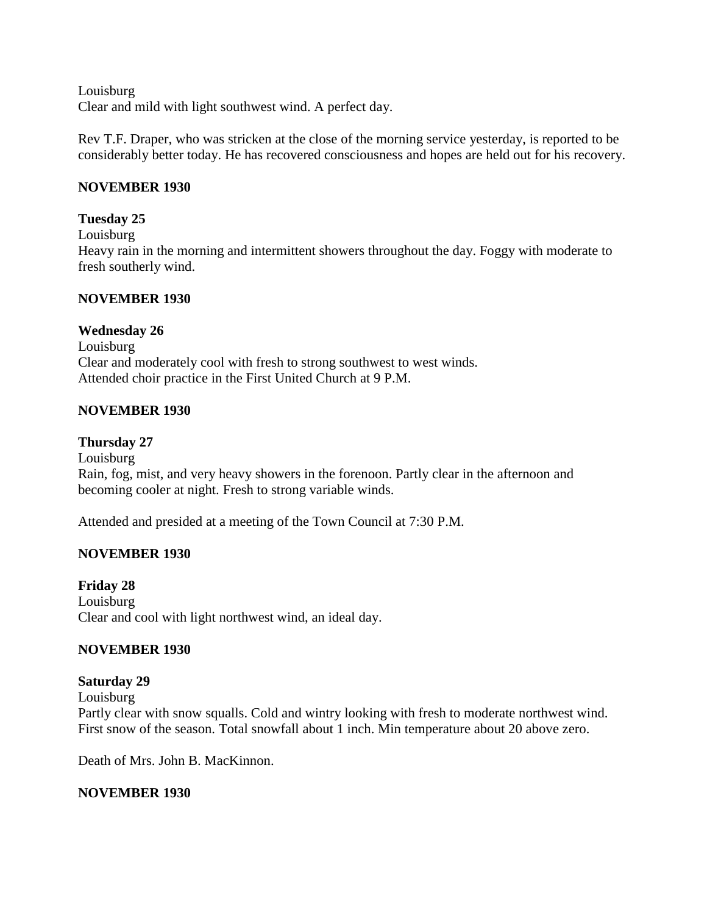Louisburg Clear and mild with light southwest wind. A perfect day.

Rev T.F. Draper, who was stricken at the close of the morning service yesterday, is reported to be considerably better today. He has recovered consciousness and hopes are held out for his recovery.

# **NOVEMBER 1930**

# **Tuesday 25**

Louisburg

Heavy rain in the morning and intermittent showers throughout the day. Foggy with moderate to fresh southerly wind.

# **NOVEMBER 1930**

# **Wednesday 26**

Louisburg Clear and moderately cool with fresh to strong southwest to west winds. Attended choir practice in the First United Church at 9 P.M.

# **NOVEMBER 1930**

## **Thursday 27**

Louisburg Rain, fog, mist, and very heavy showers in the forenoon. Partly clear in the afternoon and becoming cooler at night. Fresh to strong variable winds.

Attended and presided at a meeting of the Town Council at 7:30 P.M.

# **NOVEMBER 1930**

**Friday 28** Louisburg Clear and cool with light northwest wind, an ideal day.

# **NOVEMBER 1930**

## **Saturday 29**

Louisburg

Partly clear with snow squalls. Cold and wintry looking with fresh to moderate northwest wind. First snow of the season. Total snowfall about 1 inch. Min temperature about 20 above zero.

Death of Mrs. John B. MacKinnon.

# **NOVEMBER 1930**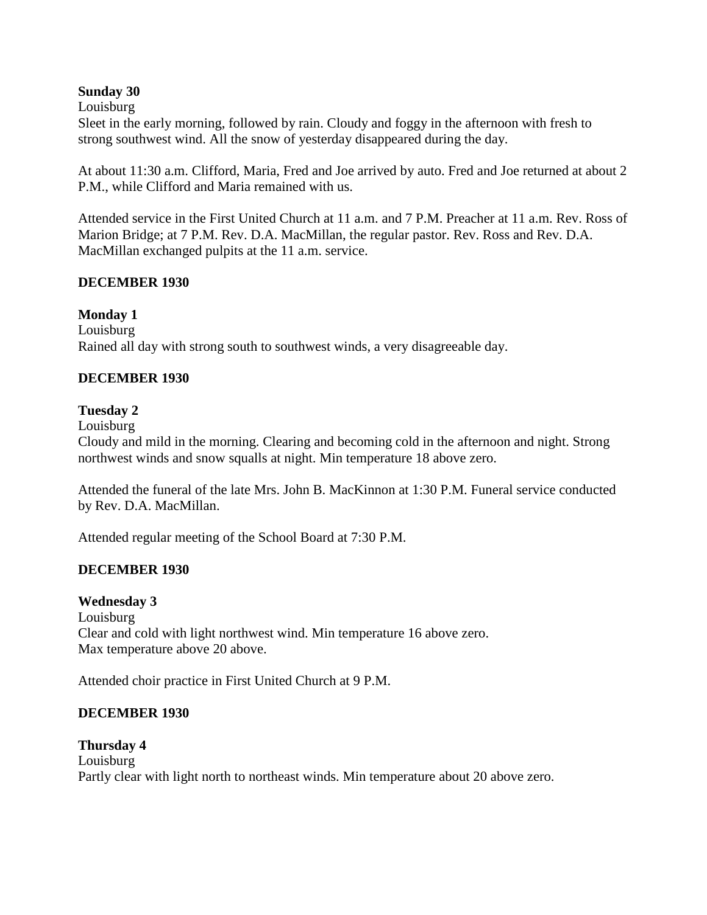### **Sunday 30**

Louisburg

Sleet in the early morning, followed by rain. Cloudy and foggy in the afternoon with fresh to strong southwest wind. All the snow of yesterday disappeared during the day.

At about 11:30 a.m. Clifford, Maria, Fred and Joe arrived by auto. Fred and Joe returned at about 2 P.M., while Clifford and Maria remained with us.

Attended service in the First United Church at 11 a.m. and 7 P.M. Preacher at 11 a.m. Rev. Ross of Marion Bridge; at 7 P.M. Rev. D.A. MacMillan, the regular pastor. Rev. Ross and Rev. D.A. MacMillan exchanged pulpits at the 11 a.m. service.

### **DECEMBER 1930**

### **Monday 1**

Louisburg Rained all day with strong south to southwest winds, a very disagreeable day.

## **DECEMBER 1930**

### **Tuesday 2**

Louisburg

Cloudy and mild in the morning. Clearing and becoming cold in the afternoon and night. Strong northwest winds and snow squalls at night. Min temperature 18 above zero.

Attended the funeral of the late Mrs. John B. MacKinnon at 1:30 P.M. Funeral service conducted by Rev. D.A. MacMillan.

Attended regular meeting of the School Board at 7:30 P.M.

## **DECEMBER 1930**

#### **Wednesday 3**

Louisburg Clear and cold with light northwest wind. Min temperature 16 above zero. Max temperature above 20 above.

Attended choir practice in First United Church at 9 P.M.

#### **DECEMBER 1930**

## **Thursday 4** Louisburg Partly clear with light north to northeast winds. Min temperature about 20 above zero.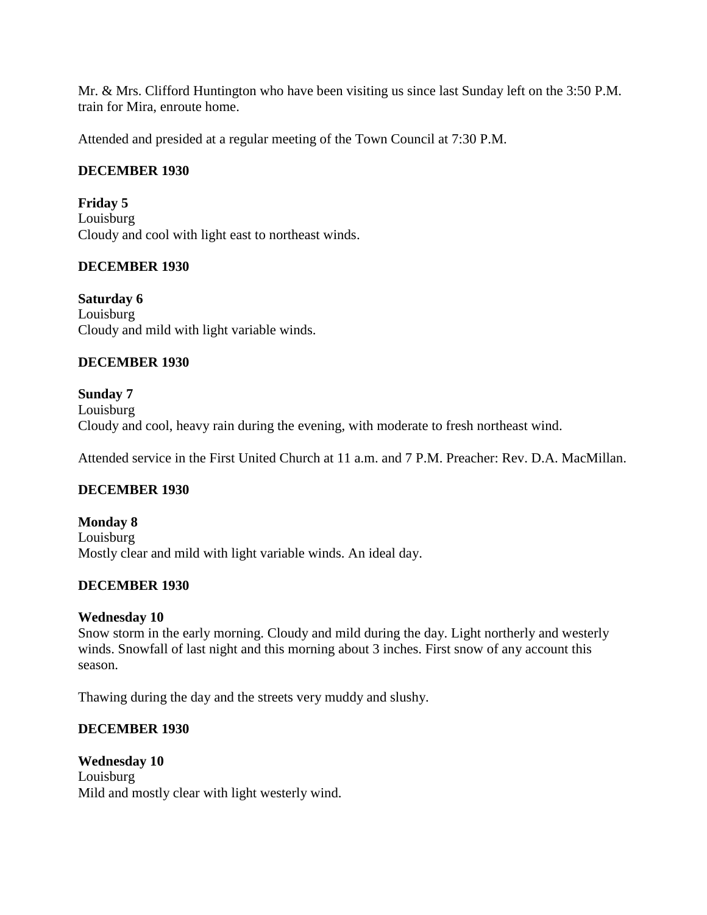Mr. & Mrs. Clifford Huntington who have been visiting us since last Sunday left on the 3:50 P.M. train for Mira, enroute home.

Attended and presided at a regular meeting of the Town Council at 7:30 P.M.

## **DECEMBER 1930**

**Friday 5** Louisburg Cloudy and cool with light east to northeast winds.

# **DECEMBER 1930**

**Saturday 6** Louisburg Cloudy and mild with light variable winds.

## **DECEMBER 1930**

### **Sunday 7**

Louisburg

Cloudy and cool, heavy rain during the evening, with moderate to fresh northeast wind.

Attended service in the First United Church at 11 a.m. and 7 P.M. Preacher: Rev. D.A. MacMillan.

## **DECEMBER 1930**

**Monday 8** Louisburg Mostly clear and mild with light variable winds. An ideal day.

## **DECEMBER 1930**

#### **Wednesday 10**

Snow storm in the early morning. Cloudy and mild during the day. Light northerly and westerly winds. Snowfall of last night and this morning about 3 inches. First snow of any account this season.

Thawing during the day and the streets very muddy and slushy.

## **DECEMBER 1930**

**Wednesday 10** Louisburg Mild and mostly clear with light westerly wind.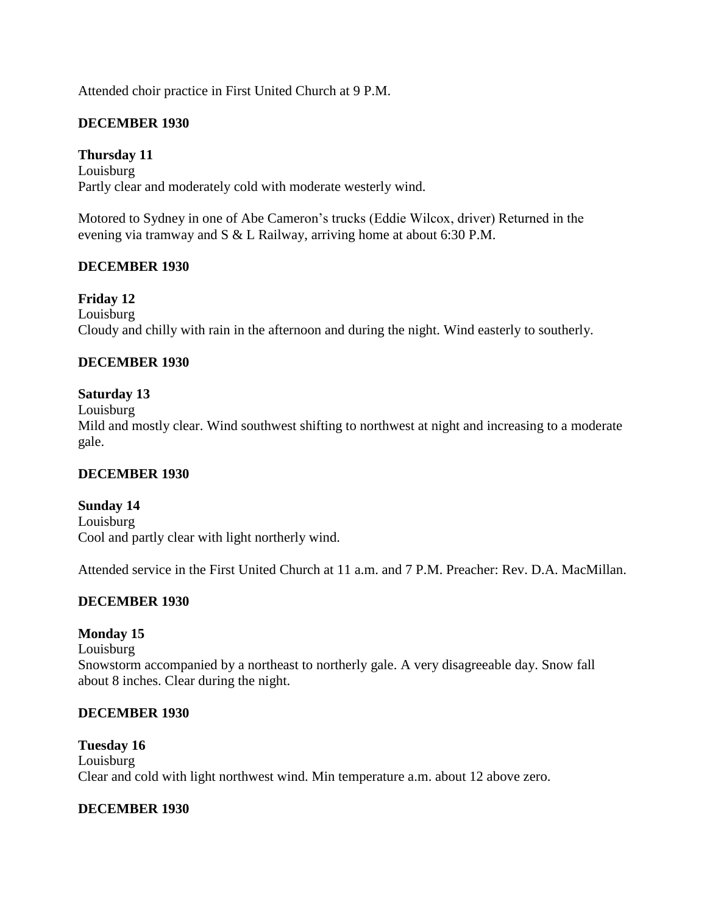Attended choir practice in First United Church at 9 P.M.

## **DECEMBER 1930**

# **Thursday 11**

Louisburg Partly clear and moderately cold with moderate westerly wind.

Motored to Sydney in one of Abe Cameron's trucks (Eddie Wilcox, driver) Returned in the evening via tramway and S & L Railway, arriving home at about 6:30 P.M.

## **DECEMBER 1930**

## **Friday 12**

Louisburg Cloudy and chilly with rain in the afternoon and during the night. Wind easterly to southerly.

# **DECEMBER 1930**

## **Saturday 13**

Louisburg

Mild and mostly clear. Wind southwest shifting to northwest at night and increasing to a moderate gale.

## **DECEMBER 1930**

**Sunday 14** Louisburg Cool and partly clear with light northerly wind.

Attended service in the First United Church at 11 a.m. and 7 P.M. Preacher: Rev. D.A. MacMillan.

## **DECEMBER 1930**

## **Monday 15**

Louisburg

Snowstorm accompanied by a northeast to northerly gale. A very disagreeable day. Snow fall about 8 inches. Clear during the night.

## **DECEMBER 1930**

**Tuesday 16** Louisburg Clear and cold with light northwest wind. Min temperature a.m. about 12 above zero.

## **DECEMBER 1930**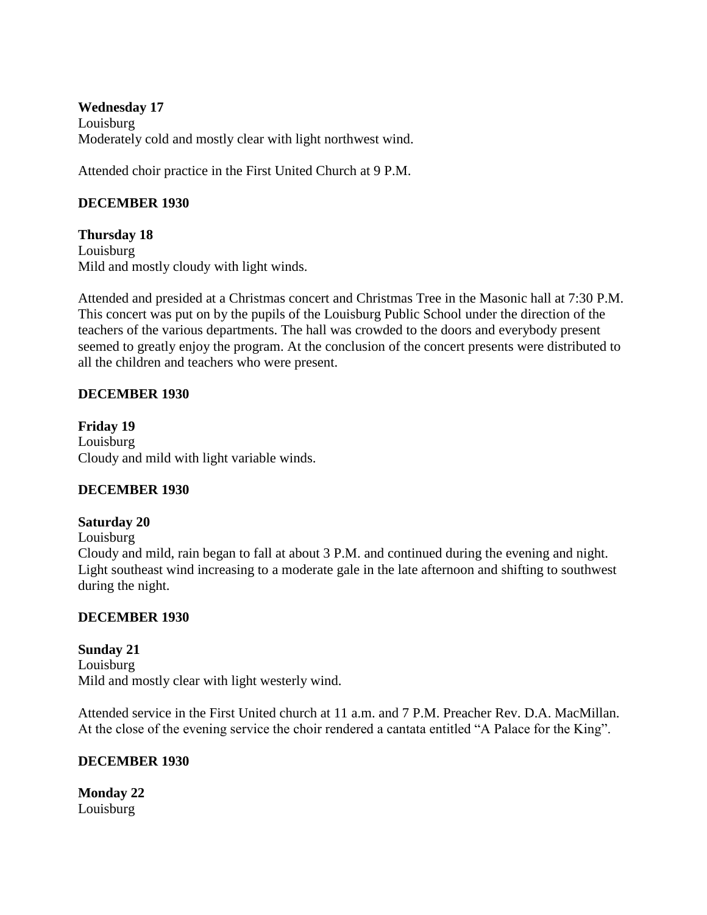**Wednesday 17** Louisburg Moderately cold and mostly clear with light northwest wind.

Attended choir practice in the First United Church at 9 P.M.

## **DECEMBER 1930**

**Thursday 18** Louisburg Mild and mostly cloudy with light winds.

Attended and presided at a Christmas concert and Christmas Tree in the Masonic hall at 7:30 P.M. This concert was put on by the pupils of the Louisburg Public School under the direction of the teachers of the various departments. The hall was crowded to the doors and everybody present seemed to greatly enjoy the program. At the conclusion of the concert presents were distributed to all the children and teachers who were present.

## **DECEMBER 1930**

**Friday 19** Louisburg Cloudy and mild with light variable winds.

## **DECEMBER 1930**

## **Saturday 20**

Louisburg

Cloudy and mild, rain began to fall at about 3 P.M. and continued during the evening and night. Light southeast wind increasing to a moderate gale in the late afternoon and shifting to southwest during the night.

## **DECEMBER 1930**

**Sunday 21** Louisburg Mild and mostly clear with light westerly wind.

Attended service in the First United church at 11 a.m. and 7 P.M. Preacher Rev. D.A. MacMillan. At the close of the evening service the choir rendered a cantata entitled "A Palace for the King".

## **DECEMBER 1930**

**Monday 22** Louisburg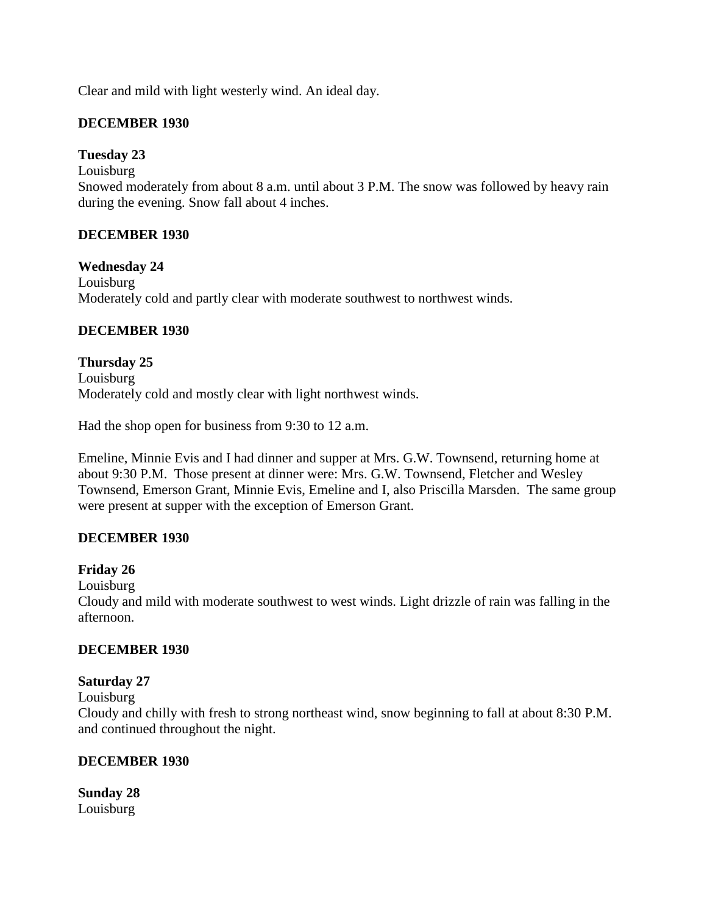Clear and mild with light westerly wind. An ideal day.

## **DECEMBER 1930**

### **Tuesday 23**

Louisburg

Snowed moderately from about 8 a.m. until about 3 P.M. The snow was followed by heavy rain during the evening. Snow fall about 4 inches.

### **DECEMBER 1930**

**Wednesday 24** Louisburg Moderately cold and partly clear with moderate southwest to northwest winds.

### **DECEMBER 1930**

**Thursday 25** Louisburg Moderately cold and mostly clear with light northwest winds.

Had the shop open for business from 9:30 to 12 a.m.

Emeline, Minnie Evis and I had dinner and supper at Mrs. G.W. Townsend, returning home at about 9:30 P.M. Those present at dinner were: Mrs. G.W. Townsend, Fletcher and Wesley Townsend, Emerson Grant, Minnie Evis, Emeline and I, also Priscilla Marsden. The same group were present at supper with the exception of Emerson Grant.

## **DECEMBER 1930**

## **Friday 26**

Louisburg

Cloudy and mild with moderate southwest to west winds. Light drizzle of rain was falling in the afternoon.

#### **DECEMBER 1930**

#### **Saturday 27**

Louisburg

Cloudy and chilly with fresh to strong northeast wind, snow beginning to fall at about 8:30 P.M. and continued throughout the night.

#### **DECEMBER 1930**

**Sunday 28** Louisburg